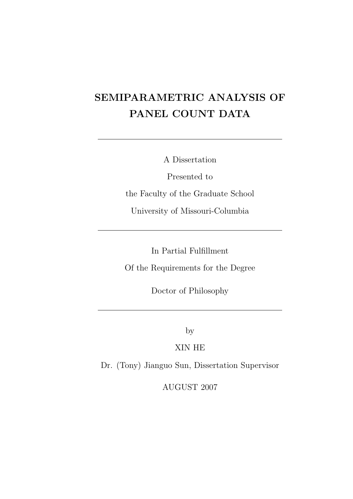# SEMIPARAMETRIC ANALYSIS OF PANEL COUNT DATA

A Dissertation

Presented to the Faculty of the Graduate School University of Missouri-Columbia

In Partial Fulfillment Of the Requirements for the Degree

Doctor of Philosophy

by

XIN HE

Dr. (Tony) Jianguo Sun, Dissertation Supervisor

AUGUST 2007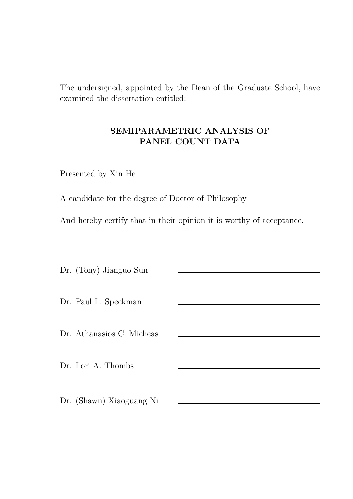The undersigned, appointed by the Dean of the Graduate School, have examined the dissertation entitled:

### SEMIPARAMETRIC ANALYSIS OF PANEL COUNT DATA

Presented by Xin He

A candidate for the degree of Doctor of Philosophy

And hereby certify that in their opinion it is worthy of acceptance.

Dr. (Tony) Jianguo Sun Dr. Paul L. Speckman Dr. Athanasios C. Micheas Dr. Lori A. Thombs Dr. (Shawn) Xiaoguang Ni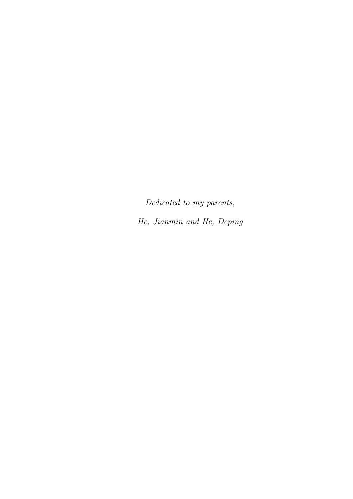Dedicated to my parents, He, Jianmin and He, Deping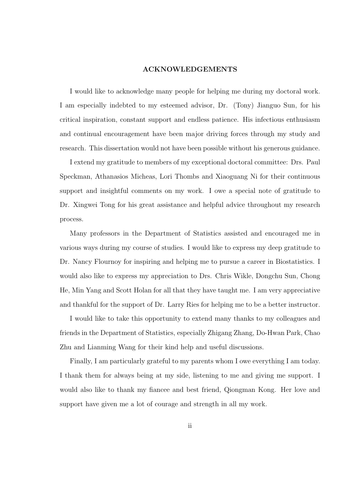#### ACKNOWLEDGEMENTS

I would like to acknowledge many people for helping me during my doctoral work. I am especially indebted to my esteemed advisor, Dr. (Tony) Jianguo Sun, for his critical inspiration, constant support and endless patience. His infectious enthusiasm and continual encouragement have been major driving forces through my study and research. This dissertation would not have been possible without his generous guidance.

I extend my gratitude to members of my exceptional doctoral committee: Drs. Paul Speckman, Athanasios Micheas, Lori Thombs and Xiaoguang Ni for their continuous support and insightful comments on my work. I owe a special note of gratitude to Dr. Xingwei Tong for his great assistance and helpful advice throughout my research process.

Many professors in the Department of Statistics assisted and encouraged me in various ways during my course of studies. I would like to express my deep gratitude to Dr. Nancy Flournoy for inspiring and helping me to pursue a career in Biostatistics. I would also like to express my appreciation to Drs. Chris Wikle, Dongchu Sun, Chong He, Min Yang and Scott Holan for all that they have taught me. I am very appreciative and thankful for the support of Dr. Larry Ries for helping me to be a better instructor.

I would like to take this opportunity to extend many thanks to my colleagues and friends in the Department of Statistics, especially Zhigang Zhang, Do-Hwan Park, Chao Zhu and Lianming Wang for their kind help and useful discussions.

Finally, I am particularly grateful to my parents whom I owe everything I am today. I thank them for always being at my side, listening to me and giving me support. I would also like to thank my fiancee and best friend, Qiongman Kong. Her love and support have given me a lot of courage and strength in all my work.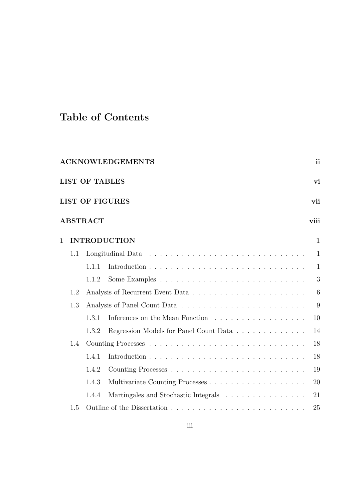## Table of Contents

| <b>ACKNOWLEDGEMENTS</b><br><sub>ii</sub> |       |                                      |                     |  |  |
|------------------------------------------|-------|--------------------------------------|---------------------|--|--|
| <b>LIST OF TABLES</b><br>vi              |       |                                      |                     |  |  |
| <b>LIST OF FIGURES</b><br>vii            |       |                                      |                     |  |  |
| <b>ABSTRACT</b><br>viii                  |       |                                      |                     |  |  |
|                                          |       |                                      | $\mathbf{1}$        |  |  |
| 1.1                                      |       |                                      | $\mathbf{1}$        |  |  |
|                                          | 1.1.1 |                                      | $\mathbf{1}$        |  |  |
|                                          | 1.1.2 |                                      | 3                   |  |  |
| 1.2                                      |       |                                      | 6                   |  |  |
| 1.3                                      |       |                                      | 9                   |  |  |
|                                          | 1.3.1 | Inferences on the Mean Function      | 10                  |  |  |
|                                          | 1.3.2 |                                      | 14                  |  |  |
| 1.4                                      |       |                                      | 18                  |  |  |
|                                          | 1.4.1 |                                      | 18                  |  |  |
|                                          | 1.4.2 |                                      | 19                  |  |  |
|                                          | 1.4.3 |                                      | 20                  |  |  |
|                                          | 1.4.4 | Martingales and Stochastic Integrals | 21                  |  |  |
| 1.5                                      |       |                                      | 25                  |  |  |
|                                          |       |                                      | <b>INTRODUCTION</b> |  |  |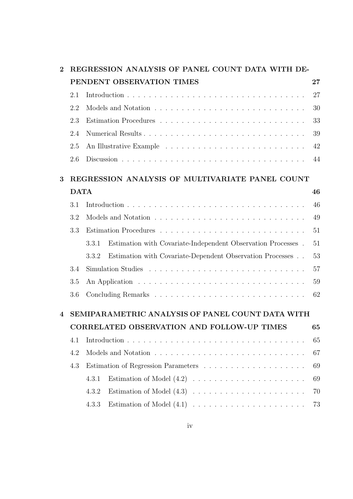| REGRESSION ANALYSIS OF PANEL COUNT DATA WITH DE-<br>$\bf{2}$ |             |                                                                       |    |
|--------------------------------------------------------------|-------------|-----------------------------------------------------------------------|----|
|                                                              |             | PENDENT OBSERVATION TIMES                                             | 27 |
|                                                              | 2.1         |                                                                       | 27 |
|                                                              | 2.2         |                                                                       | 30 |
|                                                              | 2.3         |                                                                       | 33 |
|                                                              | 2.4         |                                                                       | 39 |
|                                                              | 2.5         |                                                                       | 42 |
|                                                              | 2.6         |                                                                       | 44 |
| 3                                                            |             | REGRESSION ANALYSIS OF MULTIVARIATE PANEL COUNT                       |    |
|                                                              | <b>DATA</b> |                                                                       | 46 |
|                                                              | 3.1         |                                                                       | 46 |
|                                                              | 3.2         |                                                                       | 49 |
|                                                              | 3.3         |                                                                       | 51 |
|                                                              |             | Estimation with Covariate-Independent Observation Processes.<br>3.3.1 | 51 |
|                                                              |             | Estimation with Covariate-Dependent Observation Processes<br>3.3.2    | 53 |
|                                                              | 3.4         |                                                                       | 57 |
|                                                              | 3.5         |                                                                       | 59 |
|                                                              | 3.6         |                                                                       | 62 |
| 4                                                            |             | SEMIPARAMETRIC ANALYSIS OF PANEL COUNT DATA WITH                      |    |
|                                                              |             | <b>CORRELATED OBSERVATION AND FOLLOW-UP TIMES</b>                     | 65 |
|                                                              | 4.1         |                                                                       | 65 |
|                                                              | 4.2         |                                                                       | 67 |
|                                                              | 4.3         |                                                                       | 69 |
|                                                              |             | 4.3.1                                                                 | 69 |
|                                                              |             | 4.3.2                                                                 | 70 |
|                                                              |             | 4.3.3                                                                 | 73 |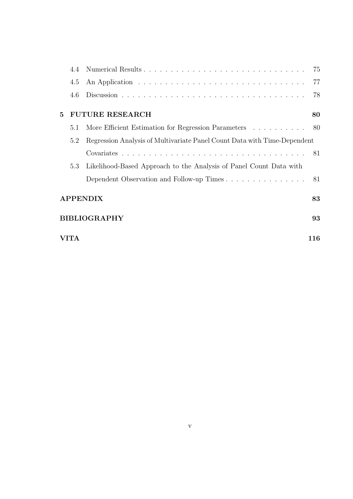|                    | 4.4         |                                                                          | 75 |  |
|--------------------|-------------|--------------------------------------------------------------------------|----|--|
|                    | 4.5         |                                                                          | 77 |  |
|                    | 4.6         |                                                                          | 78 |  |
| 5                  |             | <b>FUTURE RESEARCH</b>                                                   | 80 |  |
|                    | 5.1         | More Efficient Estimation for Regression Parameters 80                   |    |  |
|                    | 5.2         | Regression Analysis of Multivariate Panel Count Data with Time-Dependent |    |  |
|                    |             |                                                                          |    |  |
|                    | 5.3         | Likelihood-Based Approach to the Analysis of Panel Count Data with       |    |  |
|                    |             | Dependent Observation and Follow-up Times                                | 81 |  |
|                    |             | <b>APPENDIX</b>                                                          | 83 |  |
| BIBLIOGRAPHY<br>93 |             |                                                                          |    |  |
|                    | VITA<br>116 |                                                                          |    |  |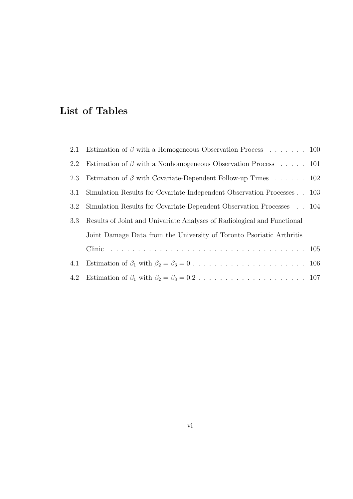## List of Tables

|     | 2.1 Estimation of $\beta$ with a Homogeneous Observation Process 100    |  |
|-----|-------------------------------------------------------------------------|--|
| 2.2 | Estimation of $\beta$ with a Nonhomogeneous Observation Process 101     |  |
| 2.3 | Estimation of $\beta$ with Covariate-Dependent Follow-up Times 102      |  |
| 3.1 | Simulation Results for Covariate-Independent Observation Processes 103  |  |
| 3.2 | Simulation Results for Covariate-Dependent Observation Processes 104    |  |
| 3.3 | Results of Joint and Univariate Analyses of Radiological and Functional |  |
|     | Joint Damage Data from the University of Toronto Psoriatic Arthritis    |  |
|     |                                                                         |  |
| 4.1 |                                                                         |  |
|     |                                                                         |  |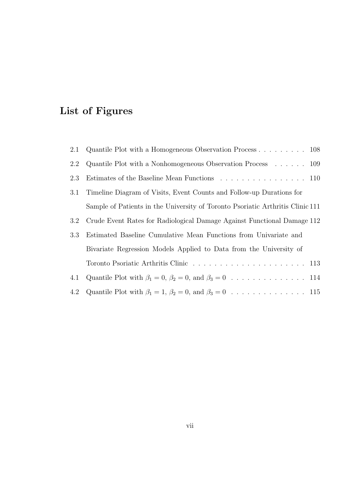# List of Figures

| 2.1 | Quantile Plot with a Homogeneous Observation Process $\dots \dots \dots \dots$ 108 |
|-----|------------------------------------------------------------------------------------|
| 2.2 | Quantile Plot with a Nonhomogeneous Observation Process $\dots \dots 109$          |
| 2.3 |                                                                                    |
| 3.1 | Timeline Diagram of Visits, Event Counts and Follow-up Durations for               |
|     | Sample of Patients in the University of Toronto Psoriatic Arthritis Clinic 111     |
| 3.2 | Crude Event Rates for Radiological Damage Against Functional Damage 112            |
| 3.3 | Estimated Baseline Cumulative Mean Functions from Univariate and                   |
|     | Bivariate Regression Models Applied to Data from the University of                 |
|     |                                                                                    |
| 4.1 |                                                                                    |
|     |                                                                                    |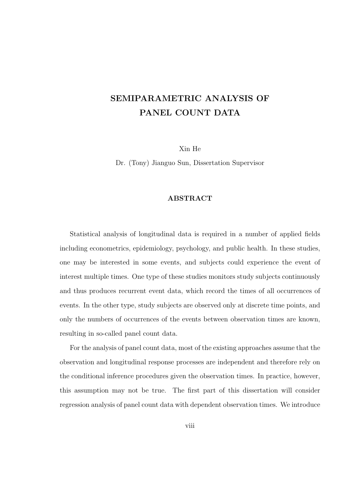## SEMIPARAMETRIC ANALYSIS OF PANEL COUNT DATA

Xin He

Dr. (Tony) Jianguo Sun, Dissertation Supervisor

#### ABSTRACT

Statistical analysis of longitudinal data is required in a number of applied fields including econometrics, epidemiology, psychology, and public health. In these studies, one may be interested in some events, and subjects could experience the event of interest multiple times. One type of these studies monitors study subjects continuously and thus produces recurrent event data, which record the times of all occurrences of events. In the other type, study subjects are observed only at discrete time points, and only the numbers of occurrences of the events between observation times are known, resulting in so-called panel count data.

For the analysis of panel count data, most of the existing approaches assume that the observation and longitudinal response processes are independent and therefore rely on the conditional inference procedures given the observation times. In practice, however, this assumption may not be true. The first part of this dissertation will consider regression analysis of panel count data with dependent observation times. We introduce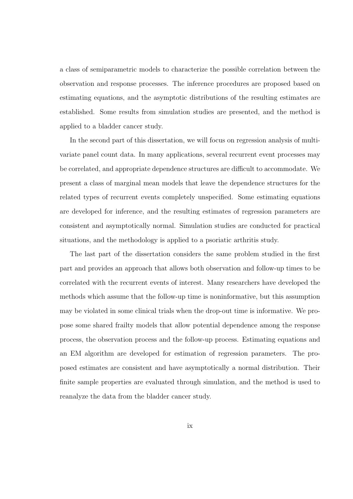a class of semiparametric models to characterize the possible correlation between the observation and response processes. The inference procedures are proposed based on estimating equations, and the asymptotic distributions of the resulting estimates are established. Some results from simulation studies are presented, and the method is applied to a bladder cancer study.

In the second part of this dissertation, we will focus on regression analysis of multivariate panel count data. In many applications, several recurrent event processes may be correlated, and appropriate dependence structures are difficult to accommodate. We present a class of marginal mean models that leave the dependence structures for the related types of recurrent events completely unspecified. Some estimating equations are developed for inference, and the resulting estimates of regression parameters are consistent and asymptotically normal. Simulation studies are conducted for practical situations, and the methodology is applied to a psoriatic arthritis study.

The last part of the dissertation considers the same problem studied in the first part and provides an approach that allows both observation and follow-up times to be correlated with the recurrent events of interest. Many researchers have developed the methods which assume that the follow-up time is noninformative, but this assumption may be violated in some clinical trials when the drop-out time is informative. We propose some shared frailty models that allow potential dependence among the response process, the observation process and the follow-up process. Estimating equations and an EM algorithm are developed for estimation of regression parameters. The proposed estimates are consistent and have asymptotically a normal distribution. Their finite sample properties are evaluated through simulation, and the method is used to reanalyze the data from the bladder cancer study.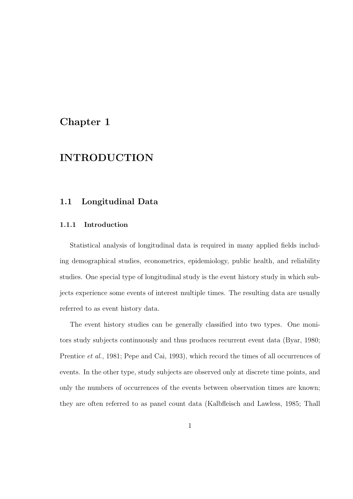### Chapter 1

### INTRODUCTION

#### 1.1 Longitudinal Data

#### 1.1.1 Introduction

Statistical analysis of longitudinal data is required in many applied fields including demographical studies, econometrics, epidemiology, public health, and reliability studies. One special type of longitudinal study is the event history study in which subjects experience some events of interest multiple times. The resulting data are usually referred to as event history data.

The event history studies can be generally classified into two types. One monitors study subjects continuously and thus produces recurrent event data (Byar, 1980; Prentice *et al.*, 1981; Pepe and Cai, 1993), which record the times of all occurrences of events. In the other type, study subjects are observed only at discrete time points, and only the numbers of occurrences of the events between observation times are known; they are often referred to as panel count data (Kalbfleisch and Lawless, 1985; Thall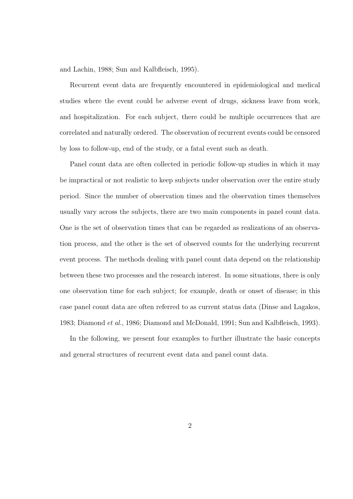and Lachin, 1988; Sun and Kalbfleisch, 1995).

Recurrent event data are frequently encountered in epidemiological and medical studies where the event could be adverse event of drugs, sickness leave from work, and hospitalization. For each subject, there could be multiple occurrences that are correlated and naturally ordered. The observation of recurrent events could be censored by loss to follow-up, end of the study, or a fatal event such as death.

Panel count data are often collected in periodic follow-up studies in which it may be impractical or not realistic to keep subjects under observation over the entire study period. Since the number of observation times and the observation times themselves usually vary across the subjects, there are two main components in panel count data. One is the set of observation times that can be regarded as realizations of an observation process, and the other is the set of observed counts for the underlying recurrent event process. The methods dealing with panel count data depend on the relationship between these two processes and the research interest. In some situations, there is only one observation time for each subject; for example, death or onset of disease; in this case panel count data are often referred to as current status data (Dinse and Lagakos, 1983; Diamond et al., 1986; Diamond and McDonald, 1991; Sun and Kalbfleisch, 1993).

In the following, we present four examples to further illustrate the basic concepts and general structures of recurrent event data and panel count data.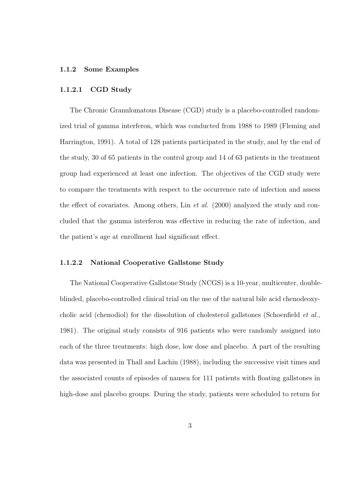#### 1.1.2 Some Examples

#### 1.1.2.1 CGD Study

The Chronic Granulomatous Disease (CGD) study is a placebo-controlled randomized trial of gamma interferon, which was conducted from 1988 to 1989 (Fleming and Harrington, 1991). A total of 128 patients participated in the study, and by the end of the study, 30 of 65 patients in the control group and 14 of 63 patients in the treatment group had experienced at least one infection. The objectives of the CGD study were to compare the treatments with respect to the occurrence rate of infection and assess the effect of covariates. Among others, Lin et al. (2000) analyzed the study and concluded that the gamma interferon was effective in reducing the rate of infection, and the patient's age at enrollment had significant effect.

#### 1.1.2.2 National Cooperative Gallstone Study

The National Cooperative Gallstone Study (NCGS) is a 10-year, multicenter, doubleblinded, placebo-controlled clinical trial on the use of the natural bile acid chenodeoxycholic acid (chenodiol) for the dissolution of cholesterol gallstones (Schoenfield et al., 1981). The original study consists of 916 patients who were randomly assigned into each of the three treatments: high dose, low dose and placebo. A part of the resulting data was presented in Thall and Lachin (1988), including the successive visit times and the associated counts of episodes of nausea for 111 patients with floating gallstones in high-dose and placebo groups. During the study, patients were scheduled to return for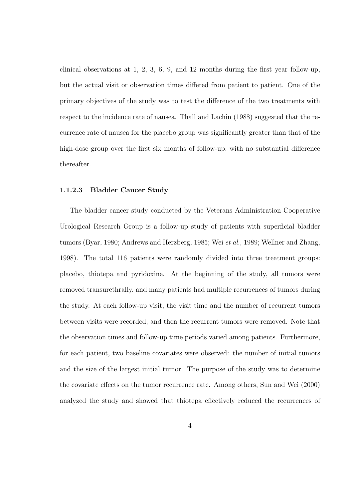clinical observations at 1, 2, 3, 6, 9, and 12 months during the first year follow-up, but the actual visit or observation times differed from patient to patient. One of the primary objectives of the study was to test the difference of the two treatments with respect to the incidence rate of nausea. Thall and Lachin (1988) suggested that the recurrence rate of nausea for the placebo group was significantly greater than that of the high-dose group over the first six months of follow-up, with no substantial difference thereafter.

#### 1.1.2.3 Bladder Cancer Study

The bladder cancer study conducted by the Veterans Administration Cooperative Urological Research Group is a follow-up study of patients with superficial bladder tumors (Byar, 1980; Andrews and Herzberg, 1985; Wei et al., 1989; Wellner and Zhang, 1998). The total 116 patients were randomly divided into three treatment groups: placebo, thiotepa and pyridoxine. At the beginning of the study, all tumors were removed transurethrally, and many patients had multiple recurrences of tumors during the study. At each follow-up visit, the visit time and the number of recurrent tumors between visits were recorded, and then the recurrent tumors were removed. Note that the observation times and follow-up time periods varied among patients. Furthermore, for each patient, two baseline covariates were observed: the number of initial tumors and the size of the largest initial tumor. The purpose of the study was to determine the covariate effects on the tumor recurrence rate. Among others, Sun and Wei (2000) analyzed the study and showed that thiotepa effectively reduced the recurrences of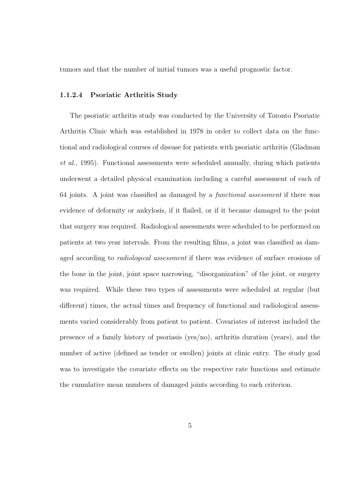tumors and that the number of initial tumors was a useful prognostic factor.

#### 1.1.2.4 Psoriatic Arthritis Study

The psoriatic arthritis study was conducted by the University of Toronto Psoriatic Arthritis Clinic which was established in 1978 in order to collect data on the functional and radiological courses of disease for patients with psoriatic arthritis (Gladman et al., 1995). Functional assessments were scheduled annually, during which patients underwent a detailed physical examination including a careful assessment of each of 64 joints. A joint was classified as damaged by a functional assessment if there was evidence of deformity or ankylosis, if it flailed, or if it became damaged to the point that surgery was required. Radiological assessments were scheduled to be performed on patients at two year intervals. From the resulting films, a joint was classified as damaged according to *radiological assessment* if there was evidence of surface erosions of the bone in the joint, joint space narrowing, "disorganization" of the joint, or surgery was required. While these two types of assessments were scheduled at regular (but different) times, the actual times and frequency of functional and radiological assessments varied considerably from patient to patient. Covariates of interest included the presence of a family history of psoriasis (yes/no), arthritis duration (years), and the number of active (defined as tender or swollen) joints at clinic entry. The study goal was to investigate the covariate effects on the respective rate functions and estimate the cumulative mean numbers of damaged joints according to each criterion.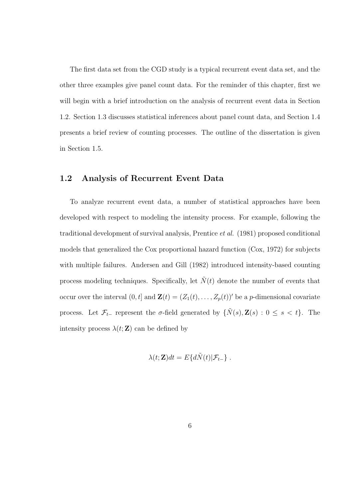The first data set from the CGD study is a typical recurrent event data set, and the other three examples give panel count data. For the reminder of this chapter, first we will begin with a brief introduction on the analysis of recurrent event data in Section 1.2. Section 1.3 discusses statistical inferences about panel count data, and Section 1.4 presents a brief review of counting processes. The outline of the dissertation is given in Section 1.5.

#### 1.2 Analysis of Recurrent Event Data

To analyze recurrent event data, a number of statistical approaches have been developed with respect to modeling the intensity process. For example, following the traditional development of survival analysis, Prentice et al. (1981) proposed conditional models that generalized the Cox proportional hazard function (Cox, 1972) for subjects with multiple failures. Andersen and Gill (1982) introduced intensity-based counting process modeling techniques. Specifically, let  $N(t)$  denote the number of events that occur over the interval  $(0, t]$  and  $\mathbf{Z}(t) = (Z_1(t), \ldots, Z_p(t))'$  be a *p*-dimensional covariate process. Let  $\mathcal{F}_{t-}$  represent the  $\sigma$ -field generated by  $\{\tilde{N}(s), \mathbf{Z}(s) : 0 \le s < t\}$ . The intensity process  $\lambda(t; \mathbf{Z})$  can be defined by

$$
\lambda(t; \mathbf{Z})dt = E\{d\tilde{N}(t)|\mathcal{F}_{t-}\}.
$$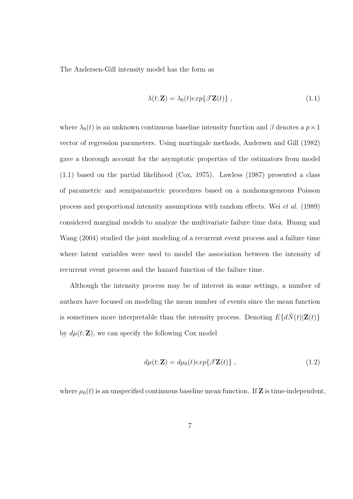The Andersen-Gill intensity model has the form as

$$
\lambda(t; \mathbf{Z}) = \lambda_0(t) exp\{\beta' \mathbf{Z}(t)\}, \qquad (1.1)
$$

where  $\lambda_0(t)$  is an unknown continuous baseline intensity function and  $\beta$  denotes a  $p \times 1$ vector of regression parameters. Using martingale methods, Andersen and Gill (1982) gave a thorough account for the asymptotic properties of the estimators from model (1.1) based on the partial likelihood (Cox, 1975). Lawless (1987) presented a class of parametric and semiparametric procedures based on a nonhomogeneous Poisson process and proportional intensity assumptions with random effects. Wei et al. (1989) considered marginal models to analyze the multivariate failure time data. Huang and Wang (2004) studied the joint modeling of a recurrent event process and a failure time where latent variables were used to model the association between the intensity of recurrent event process and the hazard function of the failure time.

Although the intensity process may be of interest in some settings, a number of authors have focused on modeling the mean number of events since the mean function is sometimes more interpretable than the intensity process. Denoting  $E\{d\tilde{N}(t)|\mathbf{Z}(t)\}$ by  $d\mu(t; \mathbf{Z})$ , we can specify the following Cox model

$$
d\mu(t; \mathbf{Z}) = d\mu_0(t) exp\{\beta' \mathbf{Z}(t)\}, \qquad (1.2)
$$

where  $\mu_0(t)$  is an unspecified continuous baseline mean function. If **Z** is time-independent,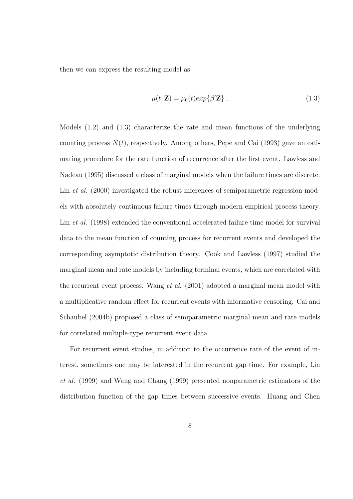then we can express the resulting model as

$$
\mu(t; \mathbf{Z}) = \mu_0(t) exp\{\beta' \mathbf{Z}\} . \qquad (1.3)
$$

Models (1.2) and (1.3) characterize the rate and mean functions of the underlying counting process  $\tilde{N}(t)$ , respectively. Among others, Pepe and Cai (1993) gave an estimating procedure for the rate function of recurrence after the first event. Lawless and Nadeau (1995) discussed a class of marginal models when the failure times are discrete. Lin *et al.* (2000) investigated the robust inferences of semiparametric regression models with absolutely continuous failure times through modern empirical process theory. Lin *et al.* (1998) extended the conventional accelerated failure time model for survival data to the mean function of counting process for recurrent events and developed the corresponding asymptotic distribution theory. Cook and Lawless (1997) studied the marginal mean and rate models by including terminal events, which are correlated with the recurrent event process. Wang *et al.* (2001) adopted a marginal mean model with a multiplicative random effect for recurrent events with informative censoring. Cai and Schaubel (2004b) proposed a class of semiparametric marginal mean and rate models for correlated multiple-type recurrent event data.

For recurrent event studies, in addition to the occurrence rate of the event of interest, sometimes one may be interested in the recurrent gap time. For example, Lin et al. (1999) and Wang and Chang (1999) presented nonparametric estimators of the distribution function of the gap times between successive events. Huang and Chen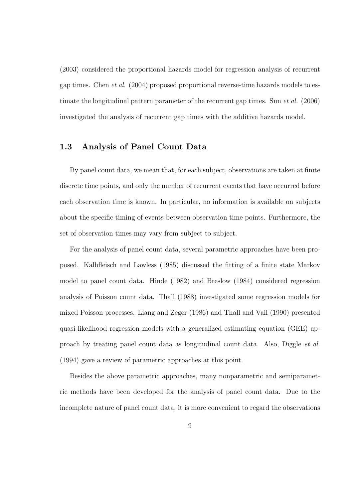(2003) considered the proportional hazards model for regression analysis of recurrent gap times. Chen et al. (2004) proposed proportional reverse-time hazards models to estimate the longitudinal pattern parameter of the recurrent gap times. Sun et al. (2006) investigated the analysis of recurrent gap times with the additive hazards model.

#### 1.3 Analysis of Panel Count Data

By panel count data, we mean that, for each subject, observations are taken at finite discrete time points, and only the number of recurrent events that have occurred before each observation time is known. In particular, no information is available on subjects about the specific timing of events between observation time points. Furthermore, the set of observation times may vary from subject to subject.

For the analysis of panel count data, several parametric approaches have been proposed. Kalbfleisch and Lawless (1985) discussed the fitting of a finite state Markov model to panel count data. Hinde (1982) and Breslow (1984) considered regression analysis of Poisson count data. Thall (1988) investigated some regression models for mixed Poisson processes. Liang and Zeger (1986) and Thall and Vail (1990) presented quasi-likelihood regression models with a generalized estimating equation (GEE) approach by treating panel count data as longitudinal count data. Also, Diggle et al. (1994) gave a review of parametric approaches at this point.

Besides the above parametric approaches, many nonparametric and semiparametric methods have been developed for the analysis of panel count data. Due to the incomplete nature of panel count data, it is more convenient to regard the observations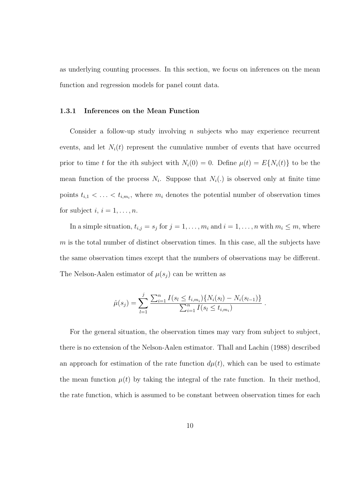as underlying counting processes. In this section, we focus on inferences on the mean function and regression models for panel count data.

#### 1.3.1 Inferences on the Mean Function

Consider a follow-up study involving  $n$  subjects who may experience recurrent events, and let  $N_i(t)$  represent the cumulative number of events that have occurred prior to time t for the ith subject with  $N_i(0) = 0$ . Define  $\mu(t) = E\{N_i(t)\}\)$  to be the mean function of the process  $N_i$ . Suppose that  $N_i(.)$  is observed only at finite time points  $t_{i,1} < \ldots < t_{i,m_i}$ , where  $m_i$  denotes the potential number of observation times for subject  $i, i = 1, \ldots, n$ .

In a simple situation,  $t_{i,j} = s_j$  for  $j = 1, \ldots, m_i$  and  $i = 1, \ldots, n$  with  $m_i \leq m$ , where  $m$  is the total number of distinct observation times. In this case, all the subjects have the same observation times except that the numbers of observations may be different. The Nelson-Aalen estimator of  $\mu(s_j)$  can be written as

$$
\hat{\mu}(s_j) = \sum_{l=1}^j \frac{\sum_{i=1}^n I(s_l \le t_{i,m_i}) \{ N_i(s_l) - N_i(s_{l-1}) \}}{\sum_{i=1}^n I(s_l \le t_{i,m_i})}
$$

.

For the general situation, the observation times may vary from subject to subject, there is no extension of the Nelson-Aalen estimator. Thall and Lachin (1988) described an approach for estimation of the rate function  $d\mu(t)$ , which can be used to estimate the mean function  $\mu(t)$  by taking the integral of the rate function. In their method, the rate function, which is assumed to be constant between observation times for each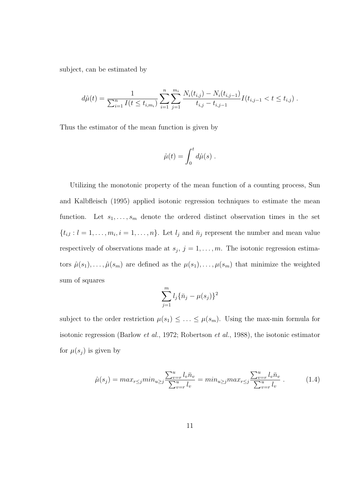subject, can be estimated by

$$
d\hat{\mu}(t) = \frac{1}{\sum_{i=1}^{n} I(t \le t_{i,m_i})} \sum_{i=1}^{n} \sum_{j=1}^{m_i} \frac{N_i(t_{i,j}) - N_i(t_{i,j-1})}{t_{i,j} - t_{i,j-1}} I(t_{i,j-1} < t \le t_{i,j}).
$$

Thus the estimator of the mean function is given by

$$
\hat{\mu}(t) = \int_0^t d\hat{\mu}(s) \; .
$$

Utilizing the monotonic property of the mean function of a counting process, Sun and Kalbfleisch (1995) applied isotonic regression techniques to estimate the mean function. Let  $s_1, \ldots, s_m$  denote the ordered distinct observation times in the set  $\{t_{i,l}: l=1,\ldots,m_i, i=1,\ldots,n\}$ . Let  $l_j$  and  $\bar{n}_j$  represent the number and mean value respectively of observations made at  $s_j$ ,  $j = 1, \ldots, m$ . The isotonic regression estimators  $\hat{\mu}(s_1), \ldots, \hat{\mu}(s_m)$  are defined as the  $\mu(s_1), \ldots, \mu(s_m)$  that minimize the weighted sum of squares

$$
\sum_{j=1}^{m} l_j \{\bar{n}_j - \mu(s_j)\}^2
$$

subject to the order restriction  $\mu(s_1) \leq \ldots \leq \mu(s_m)$ . Using the max-min formula for isotonic regression (Barlow et al., 1972; Robertson et al., 1988), the isotonic estimator for  $\mu(s_j)$  is given by

$$
\hat{\mu}(s_j) = \max_{r \le j} \min_{u \ge j} \frac{\sum_{v=r}^{u} l_v \bar{n}_v}{\sum_{v=r}^{u} l_v} = \min_{u \ge j} \max_{r \le j} \frac{\sum_{v=r}^{u} l_v \bar{n}_v}{\sum_{v=r}^{u} l_v} . \tag{1.4}
$$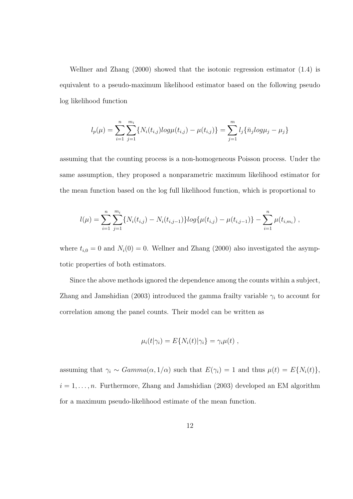Wellner and Zhang (2000) showed that the isotonic regression estimator (1.4) is equivalent to a pseudo-maximum likelihood estimator based on the following pseudo log likelihood function

$$
l_p(\mu) = \sum_{i=1}^n \sum_{j=1}^{m_i} \{ N_i(t_{i,j}) log \mu(t_{i,j}) - \mu(t_{i,j}) \} = \sum_{j=1}^m l_j \{ \bar{n}_j log \mu_j - \mu_j \}
$$

assuming that the counting process is a non-homogeneous Poisson process. Under the same assumption, they proposed a nonparametric maximum likelihood estimator for the mean function based on the log full likelihood function, which is proportional to

$$
l(\mu) = \sum_{i=1}^{n} \sum_{j=1}^{m_i} \{ N_i(t_{i,j}) - N_i(t_{i,j-1}) \} log\{ \mu(t_{i,j}) - \mu(t_{i,j-1}) \} - \sum_{i=1}^{n} \mu(t_{i,m_i}),
$$

where  $t_{i,0} = 0$  and  $N_i(0) = 0$ . Wellner and Zhang (2000) also investigated the asymptotic properties of both estimators.

Since the above methods ignored the dependence among the counts within a subject, Zhang and Jamshidian (2003) introduced the gamma frailty variable  $\gamma_i$  to account for correlation among the panel counts. Their model can be written as

$$
\mu_i(t|\gamma_i) = E\{N_i(t)|\gamma_i\} = \gamma_i \mu(t) ,
$$

assuming that  $\gamma_i \sim Gamma(\alpha, 1/\alpha)$  such that  $E(\gamma_i) = 1$  and thus  $\mu(t) = E\{N_i(t)\},$  $i = 1, \ldots, n$ . Furthermore, Zhang and Jamshidian (2003) developed an EM algorithm for a maximum pseudo-likelihood estimate of the mean function.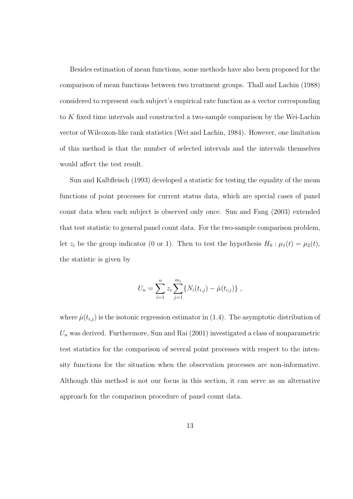Besides estimation of mean functions, some methods have also been proposed for the comparison of mean functions between two treatment groups. Thall and Lachin (1988) considered to represent each subject's empirical rate function as a vector corresponding to K fixed time intervals and constructed a two-sample comparison by the Wei-Lachin vector of Wilcoxon-like rank statistics (Wei and Lachin, 1984). However, one limitation of this method is that the number of selected intervals and the intervals themselves would affect the test result.

Sun and Kalbfleisch (1993) developed a statistic for testing the equality of the mean functions of point processes for current status data, which are special cases of panel count data when each subject is observed only once. Sun and Fang (2003) extended that test statistic to general panel count data. For the two-sample comparison problem, let  $z_i$  be the group indicator (0 or 1). Then to test the hypothesis  $H_0: \mu_1(t) = \mu_2(t)$ , the statistic is given by

$$
U_n = \sum_{i=1}^n z_i \sum_{j=1}^{m_i} \{ N_i(t_{i,j}) - \hat{\mu}(t_{i,j}) \},
$$

where  $\hat{\mu}(t_{i,j})$  is the isotonic regression estimator in (1.4). The asymptotic distribution of  $U_n$  was derived. Furthermore, Sun and Rai  $(2001)$  investigated a class of nonparametric test statistics for the comparison of several point processes with respect to the intensity functions for the situation when the observation processes are non-informative. Although this method is not our focus in this section, it can serve as an alternative approach for the comparison procedure of panel count data.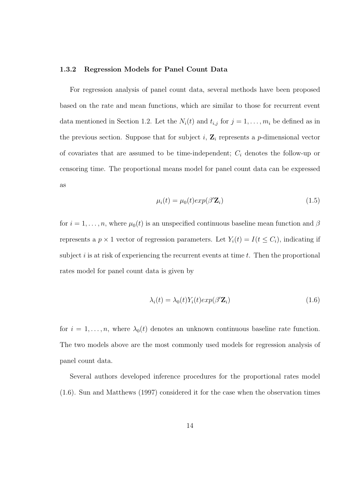#### 1.3.2 Regression Models for Panel Count Data

For regression analysis of panel count data, several methods have been proposed based on the rate and mean functions, which are similar to those for recurrent event data mentioned in Section 1.2. Let the  $N_i(t)$  and  $t_{i,j}$  for  $j = 1, \ldots, m_i$  be defined as in the previous section. Suppose that for subject i,  $\mathbf{Z}_i$  represents a p-dimensional vector of covariates that are assumed to be time-independent;  $C_i$  denotes the follow-up or censoring time. The proportional means model for panel count data can be expressed as

$$
\mu_i(t) = \mu_0(t) exp(\beta' \mathbf{Z}_i)
$$
\n(1.5)

for  $i = 1, \ldots, n$ , where  $\mu_0(t)$  is an unspecified continuous baseline mean function and  $\beta$ represents a  $p \times 1$  vector of regression parameters. Let  $Y_i(t) = I(t \leq C_i)$ , indicating if subject  $i$  is at risk of experiencing the recurrent events at time  $t$ . Then the proportional rates model for panel count data is given by

$$
\lambda_i(t) = \lambda_0(t) Y_i(t) exp(\beta' \mathbf{Z}_i)
$$
\n(1.6)

for  $i = 1, \ldots, n$ , where  $\lambda_0(t)$  denotes an unknown continuous baseline rate function. The two models above are the most commonly used models for regression analysis of panel count data.

Several authors developed inference procedures for the proportional rates model (1.6). Sun and Matthews (1997) considered it for the case when the observation times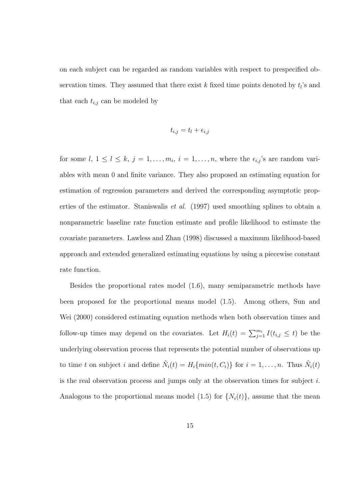on each subject can be regarded as random variables with respect to prespecified observation times. They assumed that there exist  $k$  fixed time points denoted by  $t_i$ 's and that each  $t_{i,j}$  can be modeled by

$$
t_{i,j} = t_l + \epsilon_{i,j}
$$

for some  $l, 1 \leq l \leq k, j = 1, \ldots, m_i, i = 1, \ldots, n$ , where the  $\epsilon_{i,j}$ 's are random variables with mean 0 and finite variance. They also proposed an estimating equation for estimation of regression parameters and derived the corresponding asymptotic properties of the estimator. Staniswalis et al. (1997) used smoothing splines to obtain a nonparametric baseline rate function estimate and profile likelihood to estimate the covariate parameters. Lawless and Zhan (1998) discussed a maximum likelihood-based approach and extended generalized estimating equations by using a piecewise constant rate function.

Besides the proportional rates model (1.6), many semiparametric methods have been proposed for the proportional means model (1.5). Among others, Sun and Wei (2000) considered estimating equation methods when both observation times and follow-up times may depend on the covariates. Let  $H_i(t) = \sum_{j=1}^{m_i} I(t_{i,j} \leq t)$  be the underlying observation process that represents the potential number of observations up to time t on subject i and define  $\tilde{N}_i(t) = H_i\{min(t, C_i)\}\)$  for  $i = 1, \ldots, n$ . Thus  $\tilde{N}_i(t)$ is the real observation process and jumps only at the observation times for subject  $i$ . Analogous to the proportional means model (1.5) for  $\{N_i(t)\}\text{, assume that the mean }$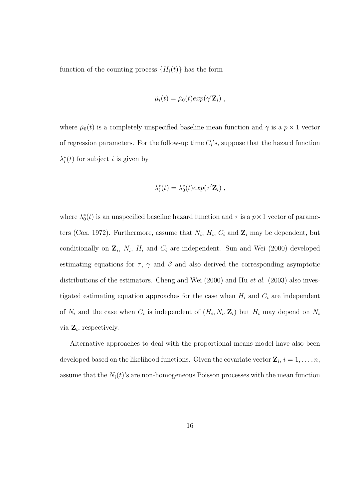function of the counting process  $\{H_i(t)\}\$  has the form

$$
\tilde{\mu}_i(t) = \tilde{\mu}_0(t) exp(\gamma' \mathbf{Z}_i) ,
$$

where  $\tilde{\mu}_0(t)$  is a completely unspecified baseline mean function and  $\gamma$  is a  $p \times 1$  vector of regression parameters. For the follow-up time  $C_i$ 's, suppose that the hazard function  $\lambda_i^*(t)$  for subject *i* is given by

$$
\lambda_i^*(t) = \lambda_0^*(t) exp(\tau' \mathbf{Z}_i) ,
$$

where  $\lambda_0^*(t)$  is an unspecified baseline hazard function and  $\tau$  is a  $p \times 1$  vector of parameters (Cox, 1972). Furthermore, assume that  $N_i$ ,  $H_i$ ,  $C_i$  and  $\mathbf{Z}_i$  may be dependent, but conditionally on  $\mathbf{Z}_i$ ,  $N_i$ ,  $H_i$  and  $C_i$  are independent. Sun and Wei (2000) developed estimating equations for  $\tau$ ,  $\gamma$  and  $\beta$  and also derived the corresponding asymptotic distributions of the estimators. Cheng and Wei  $(2000)$  and Hu *et al.*  $(2003)$  also investigated estimating equation approaches for the case when  $H_i$  and  $C_i$  are independent of  $N_i$  and the case when  $C_i$  is independent of  $(H_i, N_i, \mathbf{Z}_i)$  but  $H_i$  may depend on  $N_i$ via  $\mathbf{Z}_i$ , respectively.

Alternative approaches to deal with the proportional means model have also been developed based on the likelihood functions. Given the covariate vector  $\mathbf{Z}_i$ ,  $i = 1, \ldots, n$ , assume that the  $N_i(t)$ 's are non-homogeneous Poisson processes with the mean function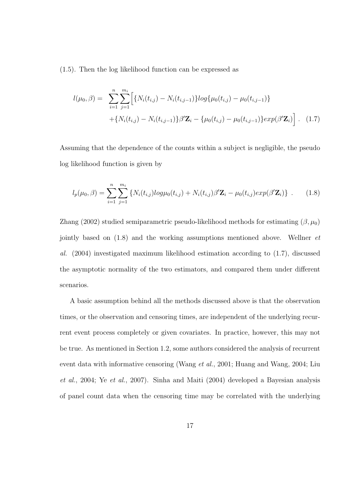(1.5). Then the log likelihood function can be expressed as

$$
l(\mu_0, \beta) = \sum_{i=1}^n \sum_{j=1}^{m_i} \Big[ \{ N_i(t_{i,j}) - N_i(t_{i,j-1}) \} log\{\mu_0(t_{i,j}) - \mu_0(t_{i,j-1}) \} + \{ N_i(t_{i,j}) - N_i(t_{i,j-1}) \} \beta' \mathbf{Z}_i - \{\mu_0(t_{i,j}) - \mu_0(t_{i,j-1}) \} exp(\beta' \mathbf{Z}_i) \Big].
$$
 (1.7)

Assuming that the dependence of the counts within a subject is negligible, the pseudo log likelihood function is given by

$$
l_p(\mu_0, \beta) = \sum_{i=1}^n \sum_{j=1}^{m_i} \left\{ N_i(t_{i,j}) log \mu_0(t_{i,j}) + N_i(t_{i,j}) \beta' \mathbf{Z}_i - \mu_0(t_{i,j}) exp(\beta' \mathbf{Z}_i) \right\} \ . \tag{1.8}
$$

Zhang (2002) studied semiparametric pseudo-likelihood methods for estimating  $(\beta, \mu_0)$ jointly based on (1.8) and the working assumptions mentioned above. Wellner et al. (2004) investigated maximum likelihood estimation according to (1.7), discussed the asymptotic normality of the two estimators, and compared them under different scenarios.

A basic assumption behind all the methods discussed above is that the observation times, or the observation and censoring times, are independent of the underlying recurrent event process completely or given covariates. In practice, however, this may not be true. As mentioned in Section 1.2, some authors considered the analysis of recurrent event data with informative censoring (Wang et al., 2001; Huang and Wang, 2004; Liu et al., 2004; Ye et al., 2007). Sinha and Maiti (2004) developed a Bayesian analysis of panel count data when the censoring time may be correlated with the underlying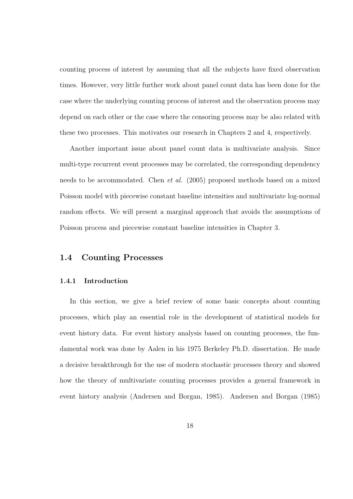counting process of interest by assuming that all the subjects have fixed observation times. However, very little further work about panel count data has been done for the case where the underlying counting process of interest and the observation process may depend on each other or the case where the censoring process may be also related with these two processes. This motivates our research in Chapters 2 and 4, respectively.

Another important issue about panel count data is multivariate analysis. Since multi-type recurrent event processes may be correlated, the corresponding dependency needs to be accommodated. Chen et al. (2005) proposed methods based on a mixed Poisson model with piecewise constant baseline intensities and multivariate log-normal random effects. We will present a marginal approach that avoids the assumptions of Poisson process and piecewise constant baseline intensities in Chapter 3.

#### 1.4 Counting Processes

#### 1.4.1 Introduction

In this section, we give a brief review of some basic concepts about counting processes, which play an essential role in the development of statistical models for event history data. For event history analysis based on counting processes, the fundamental work was done by Aalen in his 1975 Berkeley Ph.D. dissertation. He made a decisive breakthrough for the use of modern stochastic processes theory and showed how the theory of multivariate counting processes provides a general framework in event history analysis (Andersen and Borgan, 1985). Andersen and Borgan (1985)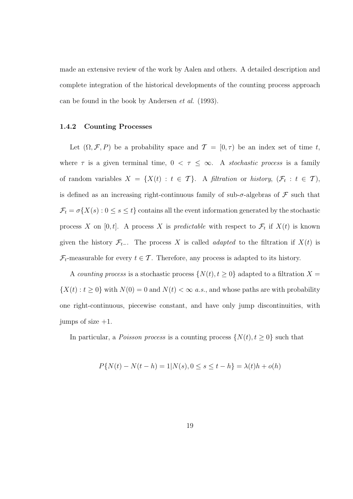made an extensive review of the work by Aalen and others. A detailed description and complete integration of the historical developments of the counting process approach can be found in the book by Andersen et al. (1993).

#### 1.4.2 Counting Processes

Let  $(\Omega, \mathcal{F}, P)$  be a probability space and  $\mathcal{T} = [0, \tau)$  be an index set of time t, where  $\tau$  is a given terminal time,  $0 < \tau \leq \infty$ . A stochastic process is a family of random variables  $X = \{X(t) : t \in \mathcal{T}\}\$ . A filtration or history,  $(\mathcal{F}_t : t \in \mathcal{T})$ , is defined as an increasing right-continuous family of sub- $\sigma$ -algebras of  $\mathcal F$  such that  $\mathcal{F}_t = \sigma\{X(s): 0 \le s \le t\}$  contains all the event information generated by the stochastic process X on [0, t]. A process X is predictable with respect to  $\mathcal{F}_t$  if  $X(t)$  is known given the history  $\mathcal{F}_{t-}$ . The process X is called *adapted* to the filtration if  $X(t)$  is  $\mathcal{F}_t$ -measurable for every  $t \in \mathcal{T}$ . Therefore, any process is adapted to its history.

A counting process is a stochastic process  $\{N(t), t \geq 0\}$  adapted to a filtration  $X =$  $\{X(t): t \geq 0\}$  with  $N(0) = 0$  and  $N(t) < \infty$  a.s., and whose paths are with probability one right-continuous, piecewise constant, and have only jump discontinuities, with jumps of size  $+1$ .

In particular, a *Poisson process* is a counting process  $\{N(t), t \geq 0\}$  such that

$$
P\{N(t) - N(t - h) = 1 | N(s), 0 \le s \le t - h\} = \lambda(t)h + o(h)
$$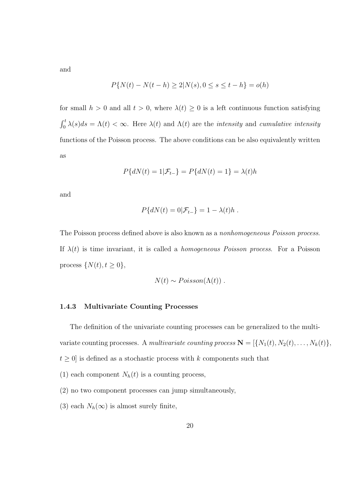and

$$
P\{N(t) - N(t - h) \ge 2 | N(s), 0 \le s \le t - h\} = o(h)
$$

for small  $h > 0$  and all  $t > 0$ , where  $\lambda(t) \geq 0$  is a left continuous function satisfying  $\int_0^t$  $\sum_{0}^{t} \lambda(s) ds = \Lambda(t) < \infty$ . Here  $\lambda(t)$  and  $\Lambda(t)$  are the *intensity* and *cumulative intensity* functions of the Poisson process. The above conditions can be also equivalently written as

$$
P\{dN(t) = 1|\mathcal{F}_{t-}\} = P\{dN(t) = 1\} = \lambda(t)h
$$

and

$$
P\{dN(t) = 0|\mathcal{F}_{t-}\} = 1 - \lambda(t)h.
$$

The Poisson process defined above is also known as a nonhomogeneous Poisson process. If  $\lambda(t)$  is time invariant, it is called a *homogeneous Poisson process*. For a Poisson process  $\{N(t), t \geq 0\},\$ 

$$
N(t) \sim Poisson(\Lambda(t))
$$
.

#### 1.4.3 Multivariate Counting Processes

The definition of the univariate counting processes can be generalized to the multivariate counting processes. A multivariate counting process  $\mathbf{N} = [\{N_1(t), N_2(t), \ldots, N_k(t)\},\$  $t \geq 0$  is defined as a stochastic process with k components such that

- 
- (1) each component  $N_h(t)$  is a counting process,
- (2) no two component processes can jump simultaneously,
- (3) each  $N_h(\infty)$  is almost surely finite,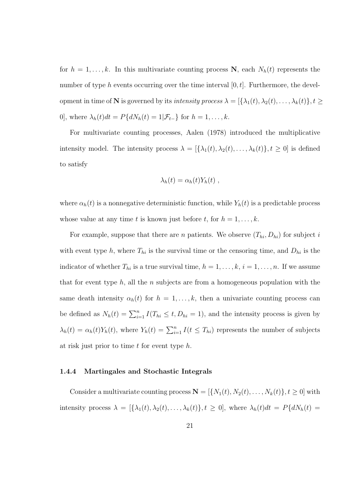for  $h = 1, \ldots, k$ . In this multivariate counting process N, each  $N_h(t)$  represents the number of type h events occurring over the time interval  $[0, t]$ . Furthermore, the development in time of **N** is governed by its *intensity process*  $\lambda = [\{\lambda_1(t), \lambda_2(t), \dots, \lambda_k(t)\}, t \geq 0]$ 0], where  $\lambda_h(t)dt = P\{dN_h(t) = 1|\mathcal{F}_{t-}\}\$  for  $h = 1, \ldots, k$ .

For multivariate counting processes, Aalen (1978) introduced the multiplicative intensity model. The intensity process  $\lambda = [\{\lambda_1(t), \lambda_2(t), \ldots, \lambda_k(t)\}, t \ge 0]$  is defined to satisfy

$$
\lambda_h(t) = \alpha_h(t) Y_h(t) ,
$$

where  $\alpha_h(t)$  is a nonnegative deterministic function, while  $Y_h(t)$  is a predictable process whose value at any time t is known just before t, for  $h = 1, \ldots, k$ .

For example, suppose that there are n patients. We observe  $(T_{hi}, D_{hi})$  for subject i with event type h, where  $T_{hi}$  is the survival time or the censoring time, and  $D_{hi}$  is the indicator of whether  $T_{hi}$  is a true survival time,  $h = 1, \ldots, k, i = 1, \ldots, n$ . If we assume that for event type h, all the n subjects are from a homogeneous population with the same death intensity  $\alpha_h(t)$  for  $h = 1, \ldots, k$ , then a univariate counting process can be defined as  $N_h(t) = \sum_{i=1}^n I(T_{hi} \le t, D_{hi} = 1)$ , and the intensity process is given by  $\lambda_h(t) = \alpha_h(t) Y_h(t)$ , where  $Y_h(t) = \sum_{i=1}^n I(t \leq T_{hi})$  represents the number of subjects at risk just prior to time  $t$  for event type  $h$ .

#### 1.4.4 Martingales and Stochastic Integrals

Consider a multivariate counting process  $\mathbf{N} = [\{N_1(t), N_2(t), \ldots, N_k(t)\}, t \ge 0]$  with intensity process  $\lambda = [\{\lambda_1(t), \lambda_2(t), \ldots, \lambda_k(t)\}, t \ge 0]$ , where  $\lambda_h(t)dt = P\{dN_h(t) =$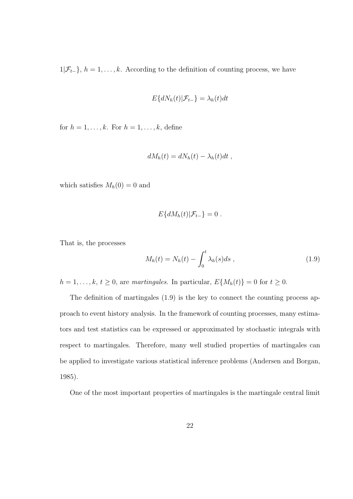$1|\mathcal{F}_{t-}\}, h = 1, \ldots, k.$  According to the definition of counting process, we have

$$
E\{dN_h(t)|\mathcal{F}_{t-}\} = \lambda_h(t)dt
$$

for  $h = 1, \ldots, k$ . For  $h = 1, \ldots, k$ , define

$$
dM_h(t) = dN_h(t) - \lambda_h(t)dt,
$$

which satisfies  $M_h(0) = 0$  and

$$
E\{dM_h(t)|\mathcal{F}_{t-}\}=0.
$$

That is, the processes

$$
M_h(t) = N_h(t) - \int_0^t \lambda_h(s)ds , \qquad (1.9)
$$

 $h = 1, \ldots, k, t \ge 0$ , are martingales. In particular,  $E\{M_h(t)\} = 0$  for  $t \ge 0$ .

The definition of martingales (1.9) is the key to connect the counting process approach to event history analysis. In the framework of counting processes, many estimators and test statistics can be expressed or approximated by stochastic integrals with respect to martingales. Therefore, many well studied properties of martingales can be applied to investigate various statistical inference problems (Andersen and Borgan, 1985).

One of the most important properties of martingales is the martingale central limit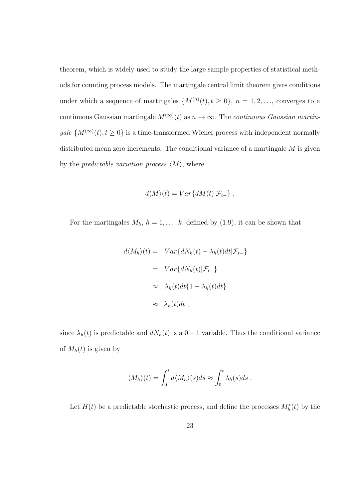theorem, which is widely used to study the large sample properties of statistical methods for counting process models. The martingale central limit theorem gives conditions under which a sequence of martingales  $\{M^{(n)}(t), t \geq 0\}, n = 1, 2, \ldots$ , converges to a continuous Gaussian martingale  $M^{(\infty)}(t)$  as  $n \to \infty$ . The *continuous Gaussian martingale*  $\{M^{(\infty)}(t), t \geq 0\}$  is a time-transformed Wiener process with independent normally distributed mean zero increments. The conditional variance of a martingale  $M$  is given by the *predictable variation process*  $\langle M \rangle$ , where

$$
d\langle M\rangle(t) = Var\{dM(t)|\mathcal{F}_{t-}\} .
$$

For the martingales  $M_h$ ,  $h = 1, ..., k$ , defined by (1.9), it can be shown that

$$
d\langle M_h \rangle(t) = Var\{dN_h(t) - \lambda_h(t)dt | \mathcal{F}_{t-}\}\
$$

$$
= Var\{dN_h(t) | \mathcal{F}_{t-}\}\
$$

$$
\approx \lambda_h(t)dt\{1 - \lambda_h(t)dt\}
$$

$$
\approx \lambda_h(t)dt,
$$

since  $\lambda_h(t)$  is predictable and  $dN_h(t)$  is a 0 − 1 variable. Thus the conditional variance of  $M_h(t)$  is given by

$$
\langle M_h \rangle(t) = \int_0^t d\langle M_h \rangle(s) ds \approx \int_0^t \lambda_h(s) ds.
$$

Let  $H(t)$  be a predictable stochastic process, and define the processes  $M_h^*(t)$  by the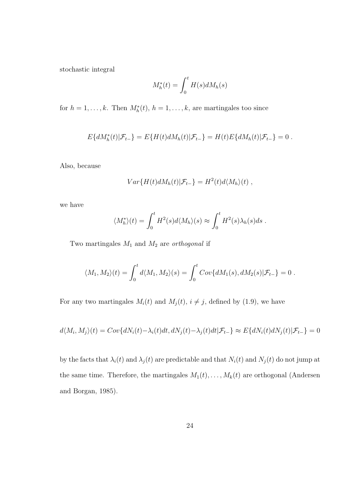stochastic integral

$$
M_h^*(t) = \int_0^t H(s) dM_h(s)
$$

for  $h = 1, ..., k$ . Then  $M_h^*(t)$ ,  $h = 1, ..., k$ , are martingales too since

$$
E\{dM_h^*(t)|\mathcal{F}_{t-}\} = E\{H(t)dM_h(t)|\mathcal{F}_{t-}\} = H(t)E\{dM_h(t)|\mathcal{F}_{t-}\} = 0.
$$

Also, because

$$
Var\{H(t)dM_h(t)|\mathcal{F}_{t-}\} = H^2(t)d\langle M_h\rangle(t) ,
$$

we have

$$
\langle M_h^* \rangle(t) = \int_0^t H^2(s) d\langle M_h \rangle(s) \approx \int_0^t H^2(s) \lambda_h(s) ds.
$$

Two martingales  $M_1$  and  $M_2$  are *orthogonal* if

$$
\langle M_1, M_2\rangle(t) = \int_0^t d\langle M_1, M_2\rangle(s) = \int_0^t Cov\{dM_1(s), dM_2(s)|\mathcal{F}_{t-}\} = 0.
$$

For any two martingales  $M_i(t)$  and  $M_j(t)$ ,  $i \neq j$ , defined by (1.9), we have

$$
d\langle M_i, M_j \rangle(t) = Cov\{dN_i(t) - \lambda_i(t)dt, dN_j(t) - \lambda_j(t)dt | \mathcal{F}_{t-}\} \approx E\{dN_i(t)dN_j(t) | \mathcal{F}_{t-}\} = 0
$$

by the facts that  $\lambda_i(t)$  and  $\lambda_j(t)$  are predictable and that  $N_i(t)$  and  $N_j(t)$  do not jump at the same time. Therefore, the martingales  $M_1(t), \ldots, M_k(t)$  are orthogonal (Andersen and Borgan, 1985).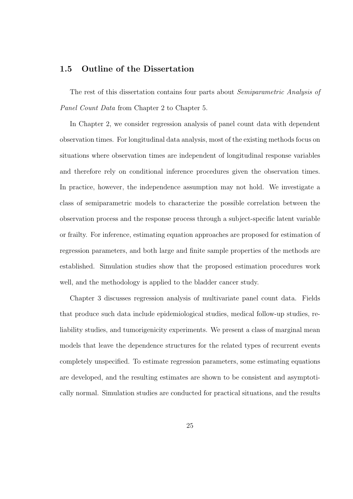#### 1.5 Outline of the Dissertation

The rest of this dissertation contains four parts about *Semiparametric Analysis of* Panel Count Data from Chapter 2 to Chapter 5.

In Chapter 2, we consider regression analysis of panel count data with dependent observation times. For longitudinal data analysis, most of the existing methods focus on situations where observation times are independent of longitudinal response variables and therefore rely on conditional inference procedures given the observation times. In practice, however, the independence assumption may not hold. We investigate a class of semiparametric models to characterize the possible correlation between the observation process and the response process through a subject-specific latent variable or frailty. For inference, estimating equation approaches are proposed for estimation of regression parameters, and both large and finite sample properties of the methods are established. Simulation studies show that the proposed estimation procedures work well, and the methodology is applied to the bladder cancer study.

Chapter 3 discusses regression analysis of multivariate panel count data. Fields that produce such data include epidemiological studies, medical follow-up studies, reliability studies, and tumorigenicity experiments. We present a class of marginal mean models that leave the dependence structures for the related types of recurrent events completely unspecified. To estimate regression parameters, some estimating equations are developed, and the resulting estimates are shown to be consistent and asymptotically normal. Simulation studies are conducted for practical situations, and the results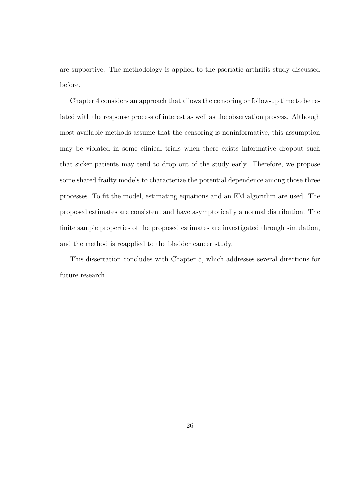are supportive. The methodology is applied to the psoriatic arthritis study discussed before.

Chapter 4 considers an approach that allows the censoring or follow-up time to be related with the response process of interest as well as the observation process. Although most available methods assume that the censoring is noninformative, this assumption may be violated in some clinical trials when there exists informative dropout such that sicker patients may tend to drop out of the study early. Therefore, we propose some shared frailty models to characterize the potential dependence among those three processes. To fit the model, estimating equations and an EM algorithm are used. The proposed estimates are consistent and have asymptotically a normal distribution. The finite sample properties of the proposed estimates are investigated through simulation, and the method is reapplied to the bladder cancer study.

This dissertation concludes with Chapter 5, which addresses several directions for future research.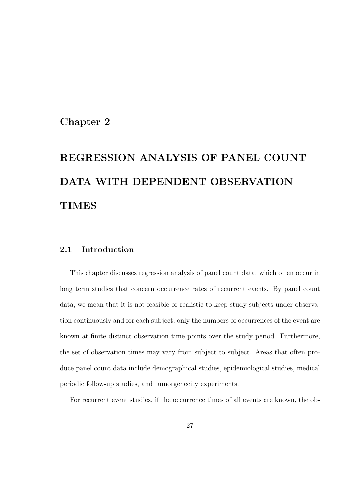## Chapter 2

# REGRESSION ANALYSIS OF PANEL COUNT DATA WITH DEPENDENT OBSERVATION **TIMES**

## 2.1 Introduction

This chapter discusses regression analysis of panel count data, which often occur in long term studies that concern occurrence rates of recurrent events. By panel count data, we mean that it is not feasible or realistic to keep study subjects under observation continuously and for each subject, only the numbers of occurrences of the event are known at finite distinct observation time points over the study period. Furthermore, the set of observation times may vary from subject to subject. Areas that often produce panel count data include demographical studies, epidemiological studies, medical periodic follow-up studies, and tumorgenecity experiments.

For recurrent event studies, if the occurrence times of all events are known, the ob-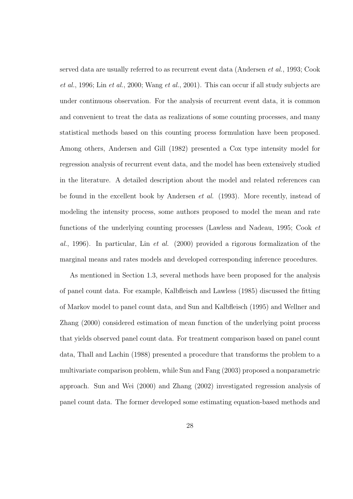served data are usually referred to as recurrent event data (Andersen et al., 1993; Cook et al., 1996; Lin et al., 2000; Wang et al., 2001). This can occur if all study subjects are under continuous observation. For the analysis of recurrent event data, it is common and convenient to treat the data as realizations of some counting processes, and many statistical methods based on this counting process formulation have been proposed. Among others, Andersen and Gill (1982) presented a Cox type intensity model for regression analysis of recurrent event data, and the model has been extensively studied in the literature. A detailed description about the model and related references can be found in the excellent book by Andersen et al. (1993). More recently, instead of modeling the intensity process, some authors proposed to model the mean and rate functions of the underlying counting processes (Lawless and Nadeau, 1995; Cook et al., 1996). In particular, Lin *et al.* (2000) provided a rigorous formalization of the marginal means and rates models and developed corresponding inference procedures.

As mentioned in Section 1.3, several methods have been proposed for the analysis of panel count data. For example, Kalbfleisch and Lawless (1985) discussed the fitting of Markov model to panel count data, and Sun and Kalbfleisch (1995) and Wellner and Zhang (2000) considered estimation of mean function of the underlying point process that yields observed panel count data. For treatment comparison based on panel count data, Thall and Lachin (1988) presented a procedure that transforms the problem to a multivariate comparison problem, while Sun and Fang (2003) proposed a nonparametric approach. Sun and Wei (2000) and Zhang (2002) investigated regression analysis of panel count data. The former developed some estimating equation-based methods and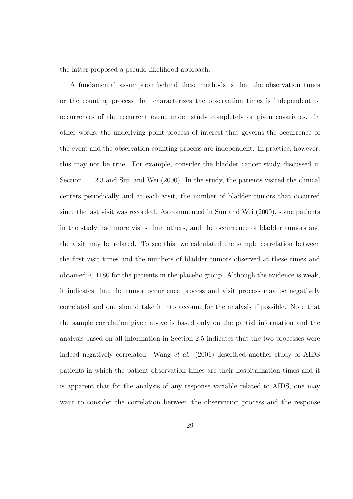the latter proposed a pseudo-likelihood approach.

A fundamental assumption behind these methods is that the observation times or the counting process that characterizes the observation times is independent of occurrences of the recurrent event under study completely or given covariates. In other words, the underlying point process of interest that governs the occurrence of the event and the observation counting process are independent. In practice, however, this may not be true. For example, consider the bladder cancer study discussed in Section 1.1.2.3 and Sun and Wei (2000). In the study, the patients visited the clinical centers periodically and at each visit, the number of bladder tumors that occurred since the last visit was recorded. As commented in Sun and Wei (2000), some patients in the study had more visits than others, and the occurrence of bladder tumors and the visit may be related. To see this, we calculated the sample correlation between the first visit times and the numbers of bladder tumors observed at these times and obtained -0.1180 for the patients in the placebo group. Although the evidence is weak, it indicates that the tumor occurrence process and visit process may be negatively correlated and one should take it into account for the analysis if possible. Note that the sample correlation given above is based only on the partial information and the analysis based on all information in Section 2.5 indicates that the two processes were indeed negatively correlated. Wang et al. (2001) described another study of AIDS patients in which the patient observation times are their hospitalization times and it is apparent that for the analysis of any response variable related to AIDS, one may want to consider the correlation between the observation process and the response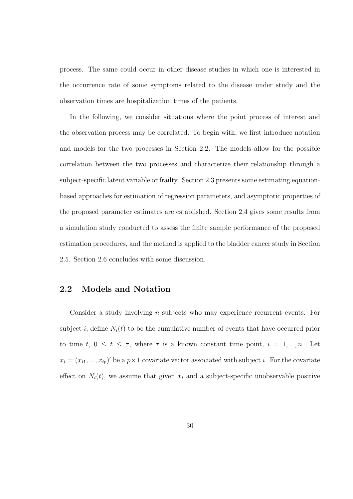process. The same could occur in other disease studies in which one is interested in the occurrence rate of some symptoms related to the disease under study and the observation times are hospitalization times of the patients.

In the following, we consider situations where the point process of interest and the observation process may be correlated. To begin with, we first introduce notation and models for the two processes in Section 2.2. The models allow for the possible correlation between the two processes and characterize their relationship through a subject-specific latent variable or frailty. Section 2.3 presents some estimating equationbased approaches for estimation of regression parameters, and asymptotic properties of the proposed parameter estimates are established. Section 2.4 gives some results from a simulation study conducted to assess the finite sample performance of the proposed estimation procedures, and the method is applied to the bladder cancer study in Section 2.5. Section 2.6 concludes with some discussion.

## 2.2 Models and Notation

Consider a study involving  $n$  subjects who may experience recurrent events. For subject i, define  $N_i(t)$  to be the cumulative number of events that have occurred prior to time t,  $0 \le t \le \tau$ , where  $\tau$  is a known constant time point,  $i = 1, ..., n$ . Let  $x_i = (x_{i1}, ..., x_{ip})'$  be a  $p \times 1$  covariate vector associated with subject i. For the covariate effect on  $N_i(t)$ , we assume that given  $x_i$  and a subject-specific unobservable positive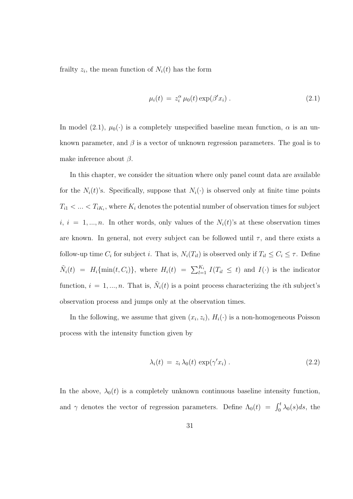frailty  $z_i$ , the mean function of  $N_i(t)$  has the form

$$
\mu_i(t) = z_i^{\alpha} \mu_0(t) \exp(\beta' x_i) . \qquad (2.1)
$$

In model (2.1),  $\mu_0(\cdot)$  is a completely unspecified baseline mean function,  $\alpha$  is an unknown parameter, and  $\beta$  is a vector of unknown regression parameters. The goal is to make inference about  $\beta$ .

In this chapter, we consider the situation where only panel count data are available for the  $N_i(t)$ 's. Specifically, suppose that  $N_i(\cdot)$  is observed only at finite time points  $T_{i1} < ... < T_{iK_i}$ , where  $K_i$  denotes the potential number of observation times for subject  $i, i = 1, ..., n$ . In other words, only values of the  $N_i(t)$ 's at these observation times are known. In general, not every subject can be followed until  $\tau$ , and there exists a follow-up time  $C_i$  for subject i. That is,  $N_i(T_{il})$  is observed only if  $T_{il} \le C_i \le \tau$ . Define  $\tilde{N}_i(t) = H_i\{\min(t, C_i)\}\$ , where  $H_i(t) = \sum_{l=1}^{K_i} I(T_{il} \leq t)$  and  $I(\cdot)$  is the indicator function,  $i = 1, ..., n$ . That is,  $\tilde{N}_i(t)$  is a point process characterizing the *i*th subject's observation process and jumps only at the observation times.

In the following, we assume that given  $(x_i, z_i)$ ,  $H_i(\cdot)$  is a non-homogeneous Poisson process with the intensity function given by

$$
\lambda_i(t) = z_i \lambda_0(t) \exp(\gamma' x_i). \tag{2.2}
$$

In the above,  $\lambda_0(t)$  is a completely unknown continuous baseline intensity function, and  $\gamma$  denotes the vector of regression parameters. Define  $\Lambda_0(t) = \int_0^t \lambda_0(s)ds$ , the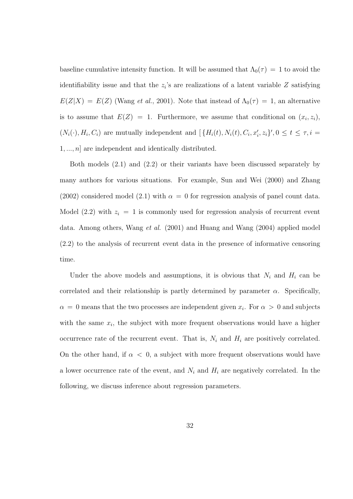baseline cumulative intensity function. It will be assumed that  $\Lambda_0(\tau) = 1$  to avoid the identifiability issue and that the  $z_i$ 's are realizations of a latent variable Z satisfying  $E(Z|X) = E(Z)$  (Wang *et al.*, 2001). Note that instead of  $\Lambda_0(\tau) = 1$ , an alternative is to assume that  $E(Z) = 1$ . Furthermore, we assume that conditional on  $(x_i, z_i)$ ,  $(N_i(\cdot), H_i, C_i)$  are mutually independent and  $\left[ \{ H_i(t), N_i(t), C_i, x'_i, z_i \}', 0 \le t \le \tau, i = \right]$  $1, \ldots, n$  are independent and identically distributed.

Both models (2.1) and (2.2) or their variants have been discussed separately by many authors for various situations. For example, Sun and Wei (2000) and Zhang  $(2002)$  considered model  $(2.1)$  with  $\alpha = 0$  for regression analysis of panel count data. Model (2.2) with  $z_i = 1$  is commonly used for regression analysis of recurrent event data. Among others, Wang et al. (2001) and Huang and Wang (2004) applied model (2.2) to the analysis of recurrent event data in the presence of informative censoring time.

Under the above models and assumptions, it is obvious that  $N_i$  and  $H_i$  can be correlated and their relationship is partly determined by parameter  $\alpha$ . Specifically,  $\alpha = 0$  means that the two processes are independent given  $x_i$ . For  $\alpha > 0$  and subjects with the same  $x_i$ , the subject with more frequent observations would have a higher occurrence rate of the recurrent event. That is,  $N_i$  and  $H_i$  are positively correlated. On the other hand, if  $\alpha < 0$ , a subject with more frequent observations would have a lower occurrence rate of the event, and  $N_i$  and  $H_i$  are negatively correlated. In the following, we discuss inference about regression parameters.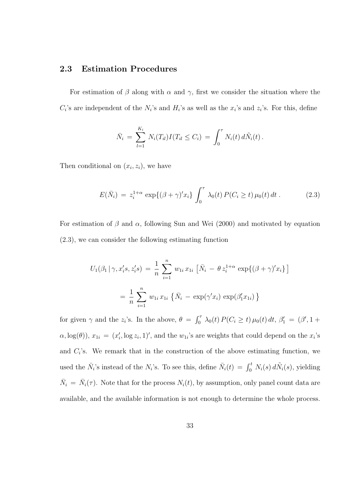## 2.3 Estimation Procedures

For estimation of  $\beta$  along with  $\alpha$  and  $\gamma$ , first we consider the situation where the  $C_i$ 's are independent of the  $N_i$ 's and  $H_i$ 's as well as the  $x_i$ 's and  $z_i$ 's. For this, define

$$
\bar{N}_i = \sum_{l=1}^{K_i} N_i(T_{il}) I(T_{il} \leq C_i) = \int_0^{\tau} N_i(t) d\tilde{N}_i(t).
$$

Then conditional on  $(x_i, z_i)$ , we have

$$
E(\bar{N}_i) = z_i^{1+\alpha} \exp\{(\beta + \gamma)' x_i\} \int_0^{\tau} \lambda_0(t) P(C_i \ge t) \mu_0(t) dt.
$$
 (2.3)

For estimation of  $\beta$  and  $\alpha$ , following Sun and Wei (2000) and motivated by equation (2.3), we can consider the following estimating function

$$
U_1(\beta_1 | \gamma, x_i's, z_i's) = \frac{1}{n} \sum_{i=1}^n w_{1i} x_{1i} \left[ \bar{N}_i - \theta z_i^{1+\alpha} \exp\{(\beta + \gamma)' x_i\} \right]
$$

$$
= \frac{1}{n} \sum_{i=1}^n w_{1i} x_{1i} \left\{ \bar{N}_i - \exp(\gamma' x_i) \exp(\beta'_1 x_{1i}) \right\}
$$

for given  $\gamma$  and the  $z_i$ 's. In the above,  $\theta = \int_0^{\tau}$  $\int_0^{\tau} \lambda_0(t) P(C_i \ge t) \mu_0(t) dt, \beta'_1 = (\beta', 1 +$  $\alpha, \log(\theta)$ ,  $x_{1i} = (x'_i, \log z_i, 1)'$ , and the  $w_{1i}$ 's are weights that could depend on the  $x_i$ 's and  $C_i$ 's. We remark that in the construction of the above estimating function, we used the  $\bar{N}_i$ 's instead of the  $N_i$ 's. To see this, define  $\bar{N}_i(t) = \int_0^t N_i(s) d\tilde{N}_i(s)$ , yielding  $\bar{N}_i = \bar{N}_i(\tau)$ . Note that for the process  $N_i(t)$ , by assumption, only panel count data are available, and the available information is not enough to determine the whole process.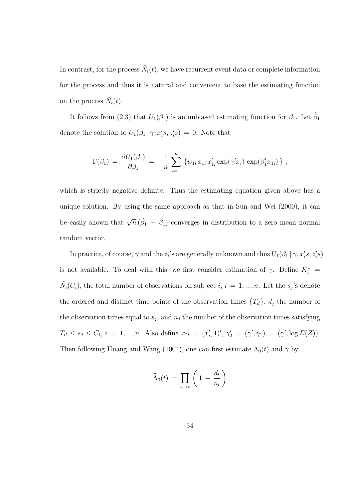In contrast, for the process  $\bar{N}_i(t)$ , we have recurrent event data or complete information for the process and thus it is natural and convenient to base the estimating function on the process  $\bar{N}_i(t)$ .

It follows from (2.3) that  $U_1(\beta_1)$  is an unbiased estimating function for  $\beta_1$ . Let  $\tilde{\beta}_1$ denote the solution to  $U_1(\beta_1 | \gamma, x_i's, z_i's) = 0$ . Note that

$$
\Gamma(\beta_1) = \frac{\partial U_1(\beta_1)}{\partial \beta_1} = -\frac{1}{n} \sum_{i=1}^n \{w_{1i} x_{1i} x'_{1i} \exp(\gamma' x_i) \exp(\beta'_1 x_{1i})\},
$$

which is strictly negative definite. Thus the estimating equation given above has a unique solution. By using the same approach as that in Sun and Wei (2000), it can be easily shown that  $\sqrt{n} (\tilde{\beta}_1 - \beta_1)$  converges in distribution to a zero mean normal random vector.

In practice, of course,  $\gamma$  and the  $z_i$ 's are generally unknown and thus  $U_1(\beta_1 | \gamma, x_i's, z_i's)$ is not available. To deal with this, we first consider estimation of  $\gamma$ . Define  $K_i^*$  =  $\tilde{N}_i(C_i)$ , the total number of observations on subject  $i, i = 1, ..., n$ . Let the  $s_j$ 's denote the ordered and distinct time points of the observation times  ${T<sub>il</sub>}$ ,  $d<sub>j</sub>$  the number of the observation times equal to  $s_j$ , and  $n_j$  the number of the observation times satisfying  $T_{il} \leq s_j \leq C_i$ ,  $i = 1, ..., n$ . Also define  $x_{2i} = (x'_i, 1)', \gamma'_2 = (\gamma', \gamma_1) = (\gamma', \log E(Z)).$ Then following Huang and Wang (2004), one can first estimate  $\Lambda_0(t)$  and  $\gamma$  by

$$
\widehat{\Lambda}_0(t) = \prod_{s_l > t} \left( 1 - \frac{d_l}{n_l} \right)
$$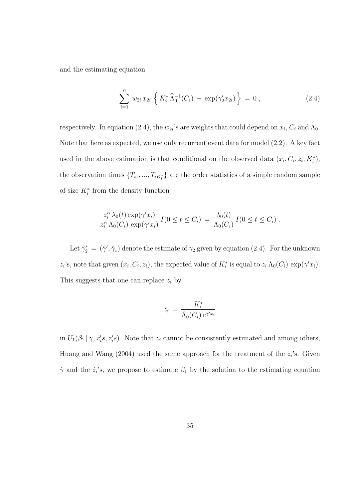and the estimating equation

$$
\sum_{i=1}^{n} w_{2i} x_{2i} \left\{ K_i^* \widehat{\Lambda}_0^{-1}(C_i) - \exp(\gamma_2' x_{2i}) \right\} = 0 , \qquad (2.4)
$$

respectively. In equation (2.4), the  $w_{2i}$ 's are weights that could depend on  $x_i$ ,  $C_i$  and  $\Lambda_0$ . Note that here as expected, we use only recurrent event data for model (2.2). A key fact used in the above estimation is that conditional on the observed data  $(x_i, C_i, z_i, K_i^*)$ , the observation times  $\{T_{i1},...,T_{iK_i^*}\}\$  are the order statistics of a simple random sample of size  $K_i^*$  from the density function

$$
\frac{z_i^{\alpha} \lambda_0(t) \exp(\gamma' x_i)}{z_i^{\alpha} \Lambda_0(C_i) \exp(\gamma' x_i)} I(0 \le t \le C_i) = \frac{\lambda_0(t)}{\Lambda_0(C_i)} I(0 \le t \le C_i).
$$

Let  $\hat{\gamma}'_2 = (\hat{\gamma}', \hat{\gamma}_1)$  denote the estimate of  $\gamma_2$  given by equation (2.4). For the unknown  $z_i$ 's, note that given  $(x_i, C_i, z_i)$ , the expected value of  $K_i^*$  is equal to  $z_i \Lambda_0(C_i) \exp(\gamma' x_i)$ . This suggests that one can replace  $z_i$  by

$$
\hat{z}_i = \frac{K_i^*}{\hat{\Lambda}_0(C_i) e^{\hat{\gamma}' x_i}}
$$

in  $U_1(\beta_1 | \gamma, x_i's, z_i's)$ . Note that  $z_i$  cannot be consistently estimated and among others, Huang and Wang  $(2004)$  used the same approach for the treatment of the  $z_i$ 's. Given  $\hat{\gamma}$  and the  $\hat{z}_i$ 's, we propose to estimate  $\beta_1$  by the solution to the estimating equation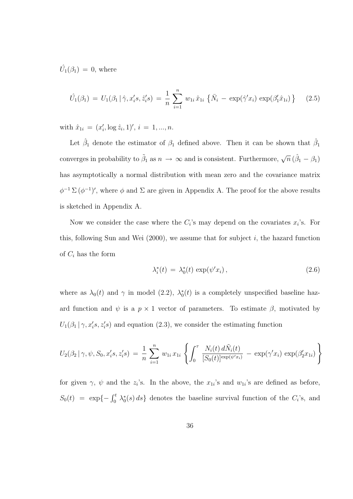$\hat{U}_1(\beta_1) = 0$ , where

$$
\hat{U}_1(\beta_1) = U_1(\beta_1 | \hat{\gamma}, x_i's, \hat{z}_i's) = \frac{1}{n} \sum_{i=1}^n w_{1i} \hat{x}_{1i} \{ \bar{N}_i - \exp(\hat{\gamma}' x_i) \exp(\beta_1' \hat{x}_{1i}) \} \qquad (2.5)
$$

with  $\hat{x}_{1i} = (x'_i, \log \hat{z}_i, 1)', i = 1, ..., n.$ 

Let  $\hat{\beta}_1$  denote the estimator of  $\beta_1$  defined above. Then it can be shown that  $\hat{\beta}_1$ converges in probability to  $\tilde{\beta}_1$  as  $n \to \infty$  and is consistent. Furthermore,  $\sqrt{n} (\hat{\beta}_1 - \beta_1)$ has asymptotically a normal distribution with mean zero and the covariance matrix  $\phi^{-1} \Sigma (\phi^{-1})'$ , where  $\phi$  and  $\Sigma$  are given in Appendix A. The proof for the above results is sketched in Appendix A.

Now we consider the case where the  $C_i$ 's may depend on the covariates  $x_i$ 's. For this, following Sun and Wei  $(2000)$ , we assume that for subject i, the hazard function of  $C_i$  has the form

$$
\lambda_i^*(t) = \lambda_0^*(t) \exp(\psi' x_i), \qquad (2.6)
$$

where as  $\lambda_0(t)$  and  $\gamma$  in model (2.2),  $\lambda_0^*(t)$  is a completely unspecified baseline hazard function and  $\psi$  is a  $p \times 1$  vector of parameters. To estimate  $\beta$ , motivated by  $U_1(\beta_1 | \gamma, x_i's, z_i's)$  and equation (2.3), we consider the estimating function

$$
U_2(\beta_2 | \gamma, \psi, S_0, x_i's, z_i's) = \frac{1}{n} \sum_{i=1}^n w_{1i} x_{1i} \left\{ \int_0^{\tau} \frac{N_i(t) d\tilde{N}_i(t)}{[S_0(t)]^{\exp(\psi' x_i)}} - \exp(\gamma' x_i) \exp(\beta'_2 x_{1i}) \right\}
$$

for given  $\gamma$ ,  $\psi$  and the  $z_i$ 's. In the above, the  $x_{1i}$ 's and  $w_{1i}$ 's are defined as before,  $S_0(t) = \exp\{-\int_0^t \lambda_0^*(s) ds\}$  denotes the baseline survival function of the  $C_i$ 's, and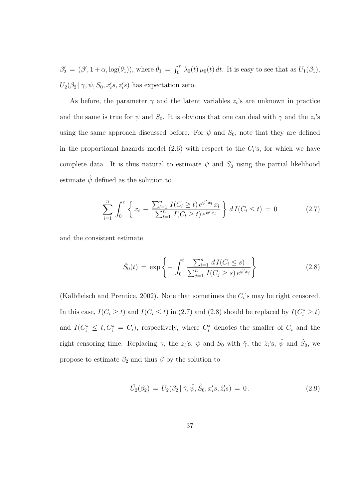$\beta_2' = (\beta', 1 + \alpha, \log(\theta_1)),$  where  $\theta_1$  =  $\int_0^{\tau}$  $\int_0^{\tau} \lambda_0(t) \mu_0(t) dt$ . It is easy to see that as  $U_1(\beta_1)$ ,  $U_2(\beta_2 | \gamma, \psi, S_0, x_i's, z_i's)$  has expectation zero.

As before, the parameter  $\gamma$  and the latent variables  $z_i$ 's are unknown in practice and the same is true for  $\psi$  and  $S_0$ . It is obvious that one can deal with  $\gamma$  and the  $z_i$ 's using the same approach discussed before. For  $\psi$  and  $S_0$ , note that they are defined in the proportional hazards model  $(2.6)$  with respect to the  $C_i$ 's, for which we have complete data. It is thus natural to estimate  $\psi$  and  $S_0$  using the partial likelihood estimate  $\hat{\psi}$  defined as the solution to

$$
\sum_{i=1}^{n} \int_{0}^{\tau} \left\{ x_{i} - \frac{\sum_{l=1}^{n} I(C_{l} \geq t) e^{\psi' x_{l}} x_{l}}{\sum_{l=1}^{n} I(C_{l} \geq t) e^{\psi' x_{l}}} \right\} dI(C_{i} \leq t) = 0 \qquad (2.7)
$$

and the consistent estimate

$$
\hat{S}_0(t) = \exp\left\{-\int_0^t \frac{\sum_{i=1}^n dI(C_i \le s)}{\sum_{j=1}^n I(C_j \ge s) e^{\hat{\psi}'x_j}}\right\}
$$
\n(2.8)

(Kalbfleisch and Prentice, 2002). Note that sometimes the  $C_i$ 's may be right censored. In this case,  $I(C_i \geq t)$  and  $I(C_i \leq t)$  in (2.7) and (2.8) should be replaced by  $I(C_i^* \geq t)$ and  $I(C_i^* \leq t, C_i^* = C_i)$ , respectively, where  $C_i^*$  denotes the smaller of  $C_i$  and the right-censoring time. Replacing  $\gamma$ , the  $z_i$ 's,  $\psi$  and  $S_0$  with  $\hat{\gamma}$ , the  $\hat{z}_i$ 's,  $\hat{\psi}$  and  $\hat{S}_0$ , we propose to estimate  $\beta_2$  and thus  $\beta$  by the solution to

$$
\hat{U}_2(\beta_2) = U_2(\beta_2 | \hat{\gamma}, \hat{\psi}, \hat{S}_0, x_i's, \hat{z}_i's) = 0.
$$
\n(2.9)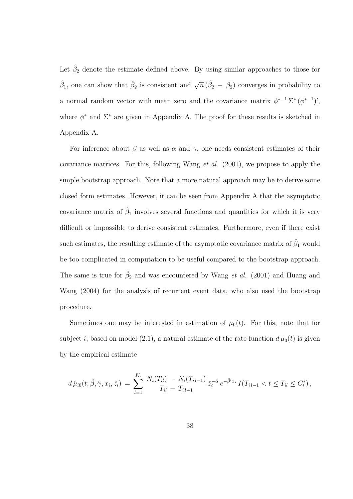Let  $\hat{\beta}_2$  denote the estimate defined above. By using similar approaches to those for  $\hat{\beta}_1$ , one can show that  $\hat{\beta}_2$  is consistent and  $\sqrt{n}(\hat{\beta}_2 - \beta_2)$  converges in probability to a normal random vector with mean zero and the covariance matrix  $\phi^{*-1} \Sigma^* (\phi^{*-1})'$ , where  $\phi^*$  and  $\Sigma^*$  are given in Appendix A. The proof for these results is sketched in Appendix A.

For inference about  $\beta$  as well as  $\alpha$  and  $\gamma$ , one needs consistent estimates of their covariance matrices. For this, following Wang *et al.*  $(2001)$ , we propose to apply the simple bootstrap approach. Note that a more natural approach may be to derive some closed form estimates. However, it can be seen from Appendix A that the asymptotic covariance matrix of  $\hat{\beta}_1$  involves several functions and quantities for which it is very difficult or impossible to derive consistent estimates. Furthermore, even if there exist such estimates, the resulting estimate of the asymptotic covariance matrix of  $\hat{\beta}_1$  would be too complicated in computation to be useful compared to the bootstrap approach. The same is true for  $\hat{\beta}_2$  and was encountered by Wang *et al.* (2001) and Huang and Wang (2004) for the analysis of recurrent event data, who also used the bootstrap procedure.

Sometimes one may be interested in estimation of  $\mu_0(t)$ . For this, note that for subject i, based on model (2.1), a natural estimate of the rate function  $d\mu_0(t)$  is given by the empirical estimate

$$
d\,\hat{\mu}_{i0}(t; \hat{\beta}, \hat{\gamma}, x_i, \hat{z}_i) = \sum_{l=1}^{K_i} \frac{N_i(T_{il}) - N_i(T_{il-1})}{T_{il} - T_{il-1}} \,\hat{z}_i^{-\hat{\alpha}} \, e^{-\hat{\beta}' x_i} \, I(T_{il-1} < t \leq T_{il} \leq C_i^*)\,,
$$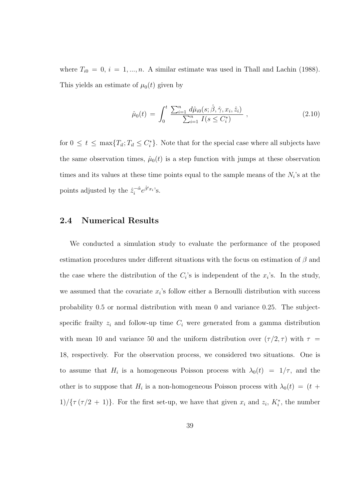where  $T_{i0} = 0, i = 1, ..., n$ . A similar estimate was used in Thall and Lachin (1988). This yields an estimate of  $\mu_0(t)$  given by

$$
\hat{\mu}_0(t) = \int_0^t \frac{\sum_{i=1}^n d\hat{\mu}_{i0}(s; \hat{\beta}, \hat{\gamma}, x_i, \hat{z}_i)}{\sum_{i=1}^n I(s \le C_i^*)}, \qquad (2.10)
$$

for  $0 \leq t \leq \max\{T_{il}; T_{il} \leq C_i^*\}$ . Note that for the special case where all subjects have the same observation times,  $\hat{\mu}_0(t)$  is a step function with jumps at these observation times and its values at these time points equal to the sample means of the  $N_i$ 's at the points adjusted by the  $\hat{z}_i^{-\hat{\alpha}}$  $e^{-\hat{\alpha}}e^{\hat{\beta}'x_i}$ 's.

### 2.4 Numerical Results

We conducted a simulation study to evaluate the performance of the proposed estimation procedures under different situations with the focus on estimation of  $\beta$  and the case where the distribution of the  $C_i$ 's is independent of the  $x_i$ 's. In the study, we assumed that the covariate  $x_i$ 's follow either a Bernoulli distribution with success probability 0.5 or normal distribution with mean 0 and variance 0.25. The subjectspecific frailty  $z_i$  and follow-up time  $C_i$  were generated from a gamma distribution with mean 10 and variance 50 and the uniform distribution over  $(\tau/2, \tau)$  with  $\tau =$ 18, respectively. For the observation process, we considered two situations. One is to assume that  $H_i$  is a homogeneous Poisson process with  $\lambda_0(t) = 1/\tau$ , and the other is to suppose that  $H_i$  is a non-homogeneous Poisson process with  $\lambda_0(t) = (t +$  $1/\{\tau(\tau/2+1)\}.$  For the first set-up, we have that given  $x_i$  and  $z_i$ ,  $K_i^*$ , the number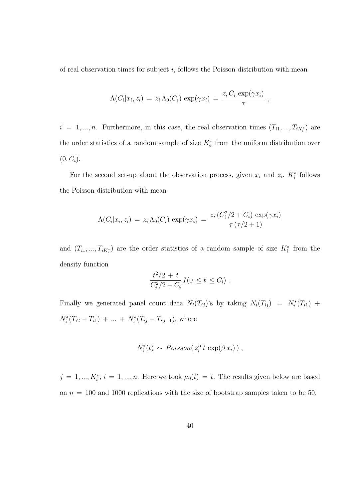of real observation times for subject  $i$ , follows the Poisson distribution with mean

$$
\Lambda(C_i|x_i, z_i) = z_i \Lambda_0(C_i) \exp(\gamma x_i) = \frac{z_i C_i \exp(\gamma x_i)}{\tau} ,
$$

 $i = 1, ..., n$ . Furthermore, in this case, the real observation times  $(T_{i1}, ..., T_{iK_i^*})$  are the order statistics of a random sample of size  $K_i^*$  from the uniform distribution over  $(0, C_i).$ 

For the second set-up about the observation process, given  $x_i$  and  $z_i$ ,  $K_i^*$  follows the Poisson distribution with mean

$$
\Lambda(C_i|x_i, z_i) = z_i \Lambda_0(C_i) \exp(\gamma x_i) = \frac{z_i (C_i^2/2 + C_i) \exp(\gamma x_i)}{\tau (\tau/2 + 1)}
$$

and  $(T_{i1},...,T_{iK_i^*})$  are the order statistics of a random sample of size  $K_i^*$  from the density function

$$
\frac{t^2/2 + t}{C_i^2/2 + C_i} I(0 \le t \le C_i).
$$

Finally we generated panel count data  $N_i(T_{ij})$ 's by taking  $N_i(T_{ij}) = N_i^*(T_{i1}) +$  $N_i^*(T_{i2} - T_{i1}) + \dots + N_i^*(T_{ij} - T_{i j-1}),$  where

$$
N_i^*(t) \sim Poisson(z_i^{\alpha} t \exp(\beta x_i)),
$$

 $j = 1, ..., K_i^*, i = 1, ..., n.$  Here we took  $\mu_0(t) = t$ . The results given below are based on  $n = 100$  and 1000 replications with the size of bootstrap samples taken to be 50.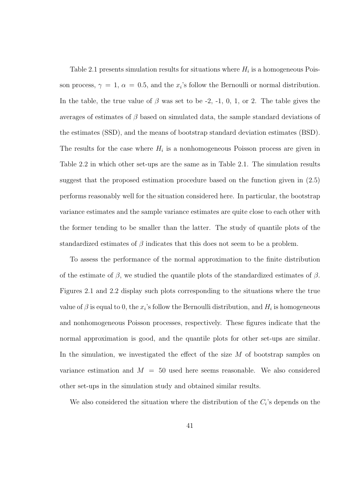Table 2.1 presents simulation results for situations where  $H_i$  is a homogeneous Poisson process,  $\gamma = 1$ ,  $\alpha = 0.5$ , and the  $x_i$ 's follow the Bernoulli or normal distribution. In the table, the true value of  $\beta$  was set to be -2, -1, 0, 1, or 2. The table gives the averages of estimates of  $\beta$  based on simulated data, the sample standard deviations of the estimates (SSD), and the means of bootstrap standard deviation estimates (BSD). The results for the case where  $H_i$  is a nonhomogeneous Poisson process are given in Table 2.2 in which other set-ups are the same as in Table 2.1. The simulation results suggest that the proposed estimation procedure based on the function given in (2.5) performs reasonably well for the situation considered here. In particular, the bootstrap variance estimates and the sample variance estimates are quite close to each other with the former tending to be smaller than the latter. The study of quantile plots of the standardized estimates of  $\beta$  indicates that this does not seem to be a problem.

To assess the performance of the normal approximation to the finite distribution of the estimate of  $\beta$ , we studied the quantile plots of the standardized estimates of  $\beta$ . Figures 2.1 and 2.2 display such plots corresponding to the situations where the true value of  $\beta$  is equal to 0, the  $x_i$ 's follow the Bernoulli distribution, and  $H_i$  is homogeneous and nonhomogeneous Poisson processes, respectively. These figures indicate that the normal approximation is good, and the quantile plots for other set-ups are similar. In the simulation, we investigated the effect of the size  $M$  of bootstrap samples on variance estimation and  $M = 50$  used here seems reasonable. We also considered other set-ups in the simulation study and obtained similar results.

We also considered the situation where the distribution of the  $C_i$ 's depends on the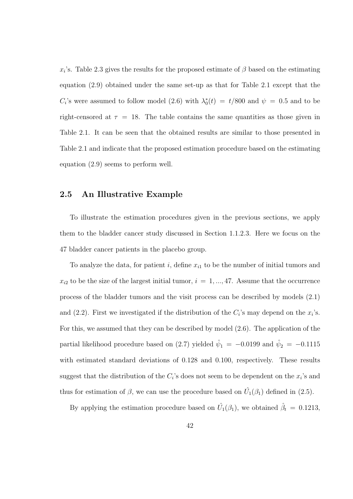$x_i$ 's. Table 2.3 gives the results for the proposed estimate of  $\beta$  based on the estimating equation (2.9) obtained under the same set-up as that for Table 2.1 except that the  $C_i$ 's were assumed to follow model (2.6) with  $\lambda_0^*(t) = t/800$  and  $\psi = 0.5$  and to be right-censored at  $\tau = 18$ . The table contains the same quantities as those given in Table 2.1. It can be seen that the obtained results are similar to those presented in Table 2.1 and indicate that the proposed estimation procedure based on the estimating equation (2.9) seems to perform well.

## 2.5 An Illustrative Example

To illustrate the estimation procedures given in the previous sections, we apply them to the bladder cancer study discussed in Section 1.1.2.3. Here we focus on the 47 bladder cancer patients in the placebo group.

To analyze the data, for patient i, define  $x_{i1}$  to be the number of initial tumors and  $x_{i2}$  to be the size of the largest initial tumor,  $i = 1, ..., 47$ . Assume that the occurrence process of the bladder tumors and the visit process can be described by models (2.1) and (2.2). First we investigated if the distribution of the  $C_i$ 's may depend on the  $x_i$ 's. For this, we assumed that they can be described by model (2.6). The application of the partial likelihood procedure based on (2.7) yielded  $\hat{\psi}_1 = -0.0199$  and  $\hat{\psi}_2 = -0.1115$ with estimated standard deviations of 0.128 and 0.100, respectively. These results suggest that the distribution of the  $C_i$ 's does not seem to be dependent on the  $x_i$ 's and thus for estimation of  $\beta$ , we can use the procedure based on  $\hat{U}_1(\beta_1)$  defined in (2.5).

By applying the estimation procedure based on  $\hat{U}_1(\beta_1)$ , we obtained  $\hat{\beta}_t = 0.1213$ ,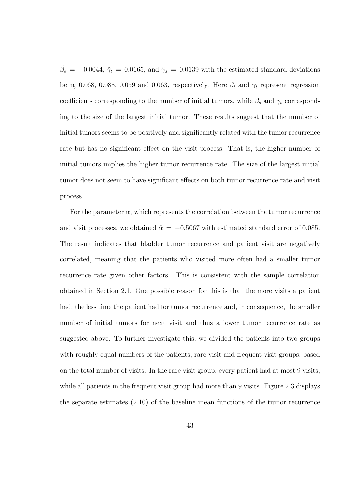$\hat{\beta}_s = -0.0044, \hat{\gamma}_t = 0.0165$ , and  $\hat{\gamma}_s = 0.0139$  with the estimated standard deviations being 0.068, 0.088, 0.059 and 0.063, respectively. Here  $\beta_t$  and  $\gamma_t$  represent regression coefficients corresponding to the number of initial tumors, while  $\beta_s$  and  $\gamma_s$  corresponding to the size of the largest initial tumor. These results suggest that the number of initial tumors seems to be positively and significantly related with the tumor recurrence rate but has no significant effect on the visit process. That is, the higher number of initial tumors implies the higher tumor recurrence rate. The size of the largest initial tumor does not seem to have significant effects on both tumor recurrence rate and visit process.

For the parameter  $\alpha$ , which represents the correlation between the tumor recurrence and visit processes, we obtained  $\hat{\alpha} = -0.5067$  with estimated standard error of 0.085. The result indicates that bladder tumor recurrence and patient visit are negatively correlated, meaning that the patients who visited more often had a smaller tumor recurrence rate given other factors. This is consistent with the sample correlation obtained in Section 2.1. One possible reason for this is that the more visits a patient had, the less time the patient had for tumor recurrence and, in consequence, the smaller number of initial tumors for next visit and thus a lower tumor recurrence rate as suggested above. To further investigate this, we divided the patients into two groups with roughly equal numbers of the patients, rare visit and frequent visit groups, based on the total number of visits. In the rare visit group, every patient had at most 9 visits, while all patients in the frequent visit group had more than 9 visits. Figure 2.3 displays the separate estimates (2.10) of the baseline mean functions of the tumor recurrence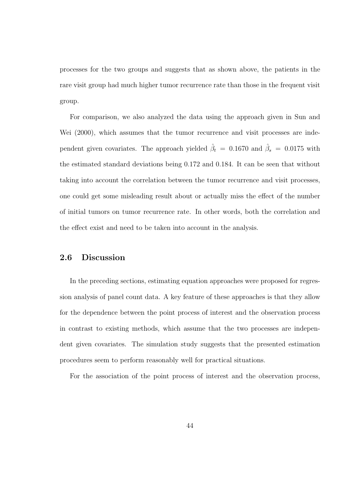processes for the two groups and suggests that as shown above, the patients in the rare visit group had much higher tumor recurrence rate than those in the frequent visit group.

For comparison, we also analyzed the data using the approach given in Sun and Wei (2000), which assumes that the tumor recurrence and visit processes are independent given covariates. The approach yielded  $\hat{\beta}_t = 0.1670$  and  $\hat{\beta}_s = 0.0175$  with the estimated standard deviations being 0.172 and 0.184. It can be seen that without taking into account the correlation between the tumor recurrence and visit processes, one could get some misleading result about or actually miss the effect of the number of initial tumors on tumor recurrence rate. In other words, both the correlation and the effect exist and need to be taken into account in the analysis.

## 2.6 Discussion

In the preceding sections, estimating equation approaches were proposed for regression analysis of panel count data. A key feature of these approaches is that they allow for the dependence between the point process of interest and the observation process in contrast to existing methods, which assume that the two processes are independent given covariates. The simulation study suggests that the presented estimation procedures seem to perform reasonably well for practical situations.

For the association of the point process of interest and the observation process,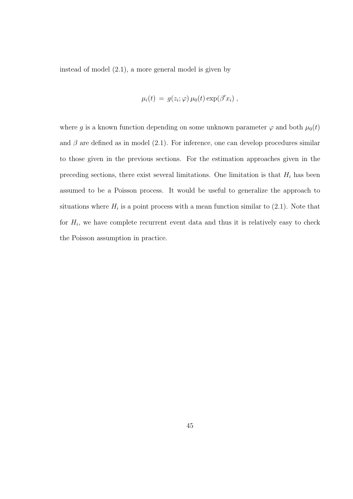instead of model (2.1), a more general model is given by

$$
\mu_i(t) = g(z_i; \varphi) \mu_0(t) \exp(\beta' x_i) ,
$$

where g is a known function depending on some unknown parameter  $\varphi$  and both  $\mu_0(t)$ and  $\beta$  are defined as in model (2.1). For inference, one can develop procedures similar to those given in the previous sections. For the estimation approaches given in the preceding sections, there exist several limitations. One limitation is that  $H_i$  has been assumed to be a Poisson process. It would be useful to generalize the approach to situations where  $H_i$  is a point process with a mean function similar to  $(2.1)$ . Note that for  $H_i$ , we have complete recurrent event data and thus it is relatively easy to check the Poisson assumption in practice.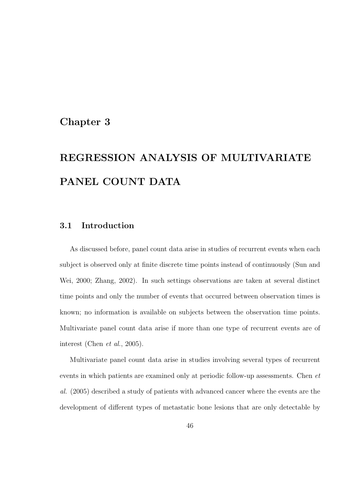## Chapter 3

## REGRESSION ANALYSIS OF MULTIVARIATE PANEL COUNT DATA

## 3.1 Introduction

As discussed before, panel count data arise in studies of recurrent events when each subject is observed only at finite discrete time points instead of continuously (Sun and Wei, 2000; Zhang, 2002). In such settings observations are taken at several distinct time points and only the number of events that occurred between observation times is known; no information is available on subjects between the observation time points. Multivariate panel count data arise if more than one type of recurrent events are of interest (Chen et al., 2005).

Multivariate panel count data arise in studies involving several types of recurrent events in which patients are examined only at periodic follow-up assessments. Chen et al. (2005) described a study of patients with advanced cancer where the events are the development of different types of metastatic bone lesions that are only detectable by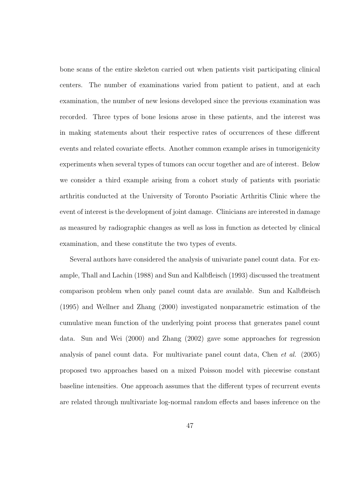bone scans of the entire skeleton carried out when patients visit participating clinical centers. The number of examinations varied from patient to patient, and at each examination, the number of new lesions developed since the previous examination was recorded. Three types of bone lesions arose in these patients, and the interest was in making statements about their respective rates of occurrences of these different events and related covariate effects. Another common example arises in tumorigenicity experiments when several types of tumors can occur together and are of interest. Below we consider a third example arising from a cohort study of patients with psoriatic arthritis conducted at the University of Toronto Psoriatic Arthritis Clinic where the event of interest is the development of joint damage. Clinicians are interested in damage as measured by radiographic changes as well as loss in function as detected by clinical examination, and these constitute the two types of events.

Several authors have considered the analysis of univariate panel count data. For example, Thall and Lachin (1988) and Sun and Kalbfleisch (1993) discussed the treatment comparison problem when only panel count data are available. Sun and Kalbfleisch (1995) and Wellner and Zhang (2000) investigated nonparametric estimation of the cumulative mean function of the underlying point process that generates panel count data. Sun and Wei (2000) and Zhang (2002) gave some approaches for regression analysis of panel count data. For multivariate panel count data, Chen et al. (2005) proposed two approaches based on a mixed Poisson model with piecewise constant baseline intensities. One approach assumes that the different types of recurrent events are related through multivariate log-normal random effects and bases inference on the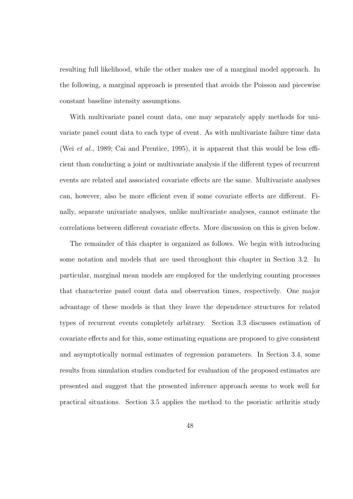resulting full likelihood, while the other makes use of a marginal model approach. In the following, a marginal approach is presented that avoids the Poisson and piecewise constant baseline intensity assumptions.

With multivariate panel count data, one may separately apply methods for univariate panel count data to each type of event. As with multivariate failure time data (Wei et al., 1989; Cai and Prentice, 1995), it is apparent that this would be less efficient than conducting a joint or multivariate analysis if the different types of recurrent events are related and associated covariate effects are the same. Multivariate analyses can, however, also be more efficient even if some covariate effects are different. Finally, separate univariate analyses, unlike multivariate analyses, cannot estimate the correlations between different covariate effects. More discussion on this is given below.

The remainder of this chapter is organized as follows. We begin with introducing some notation and models that are used throughout this chapter in Section 3.2. In particular, marginal mean models are employed for the underlying counting processes that characterize panel count data and observation times, respectively. One major advantage of these models is that they leave the dependence structures for related types of recurrent events completely arbitrary. Section 3.3 discusses estimation of covariate effects and for this, some estimating equations are proposed to give consistent and asymptotically normal estimates of regression parameters. In Section 3.4, some results from simulation studies conducted for evaluation of the proposed estimates are presented and suggest that the presented inference approach seems to work well for practical situations. Section 3.5 applies the method to the psoriatic arthritis study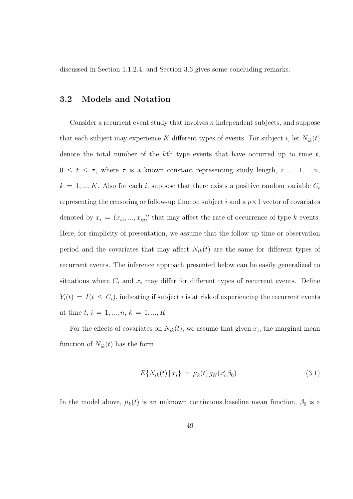discussed in Section 1.1.2.4, and Section 3.6 gives some concluding remarks.

### 3.2 Models and Notation

Consider a recurrent event study that involves  $n$  independent subjects, and suppose that each subject may experience K different types of events. For subject i, let  $N_{ik}(t)$ denote the total number of the  $k$ <sup>th</sup> type events that have occurred up to time  $t$ ,  $0 \leq t \leq \tau$ , where  $\tau$  is a known constant representing study length,  $i = 1, ..., n$ ,  $k = 1, ..., K$ . Also for each i, suppose that there exists a positive random variable  $C_i$ representing the censoring or follow-up time on subject i and a  $p \times 1$  vector of covariates denoted by  $x_i = (x_{i1},...,x_{ip})'$  that may affect the rate of occurrence of type k events. Here, for simplicity of presentation, we assume that the follow-up time or observation period and the covariates that may affect  $N_{ik}(t)$  are the same for different types of recurrent events. The inference approach presented below can be easily generalized to situations where  $C_i$  and  $x_i$  may differ for different types of recurrent events. Define  $Y_i(t) = I(t \leq C_i)$ , indicating if subject i is at risk of experiencing the recurrent events at time  $t, i = 1, ..., n, k = 1, ..., K$ .

For the effects of covariates on  $N_{ik}(t)$ , we assume that given  $x_i$ , the marginal mean function of  $N_{ik}(t)$  has the form

$$
E\{N_{ik}(t) \,|\, x_i\} \,=\, \mu_k(t) \,g_N(x_i' \,\beta_0) \,. \tag{3.1}
$$

In the model above,  $\mu_k(t)$  is an unknown continuous baseline mean function,  $\beta_0$  is a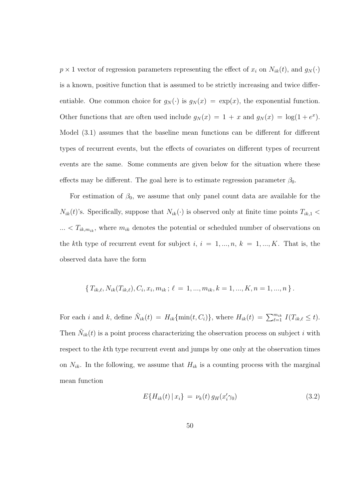$p \times 1$  vector of regression parameters representing the effect of  $x_i$  on  $N_{ik}(t)$ , and  $g_N(\cdot)$ is a known, positive function that is assumed to be strictly increasing and twice differentiable. One common choice for  $g_N(\cdot)$  is  $g_N(x) = \exp(x)$ , the exponential function. Other functions that are often used include  $g_N(x) = 1 + x$  and  $g_N(x) = \log(1 + e^x)$ . Model (3.1) assumes that the baseline mean functions can be different for different types of recurrent events, but the effects of covariates on different types of recurrent events are the same. Some comments are given below for the situation where these effects may be different. The goal here is to estimate regression parameter  $\beta_0$ .

For estimation of  $\beta_0$ , we assume that only panel count data are available for the  $N_{ik}(t)$ 's. Specifically, suppose that  $N_{ik}(\cdot)$  is observed only at finite time points  $T_{ik,1}$  <  $\ldots$  <  $T_{ik,m_{ik}}$ , where  $m_{ik}$  denotes the potential or scheduled number of observations on the kth type of recurrent event for subject  $i, i = 1, ..., n, k = 1, ..., K$ . That is, the observed data have the form

$$
\{T_{ik,\ell}, N_{ik}(T_{ik,\ell}), C_i, x_i, m_{ik}; \ell = 1, ..., m_{ik}, k = 1, ..., K, n = 1, ..., n\}.
$$

For each *i* and *k*, define  $\tilde{N}_{ik}(t) = H_{ik} \{\min(t, C_i)\}\$ , where  $H_{ik}(t) = \sum_{\ell=1}^{m_{ik}} I(T_{ik,\ell} \leq t)$ . Then  $\tilde{N}_{ik}(t)$  is a point process characterizing the observation process on subject i with respect to the kth type recurrent event and jumps by one only at the observation times on  $N_{ik}$ . In the following, we assume that  $H_{ik}$  is a counting process with the marginal mean function

$$
E\{H_{ik}(t) \,|\, x_i\} \,=\, \nu_k(t) \,g_H(x_i' \gamma_0) \tag{3.2}
$$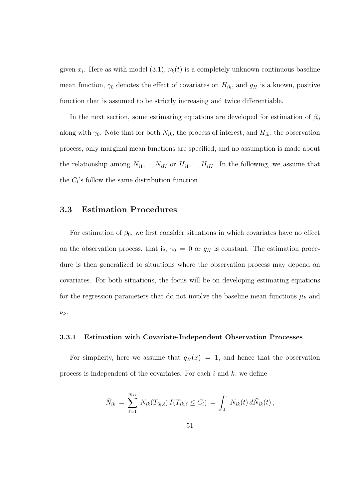given  $x_i$ . Here as with model (3.1),  $\nu_k(t)$  is a completely unknown continuous baseline mean function,  $\gamma_0$  denotes the effect of covariates on  $H_{ik}$ , and  $g_H$  is a known, positive function that is assumed to be strictly increasing and twice differentiable.

In the next section, some estimating equations are developed for estimation of  $\beta_0$ along with  $\gamma_0$ . Note that for both  $N_{ik}$ , the process of interest, and  $H_{ik}$ , the observation process, only marginal mean functions are specified, and no assumption is made about the relationship among  $N_{i1},...,N_{iK}$  or  $H_{i1},...,H_{iK}$ . In the following, we assume that the  $C_i$ 's follow the same distribution function.

### 3.3 Estimation Procedures

For estimation of  $\beta_0$ , we first consider situations in which covariates have no effect on the observation process, that is,  $\gamma_0 = 0$  or  $g_H$  is constant. The estimation procedure is then generalized to situations where the observation process may depend on covariates. For both situations, the focus will be on developing estimating equations for the regression parameters that do not involve the baseline mean functions  $\mu_k$  and  $\nu_k.$ 

#### 3.3.1 Estimation with Covariate-Independent Observation Processes

For simplicity, here we assume that  $g_H(x) = 1$ , and hence that the observation process is independent of the covariates. For each  $i$  and  $k$ , we define

$$
\bar{N}_{ik} = \sum_{\ell=1}^{m_{ik}} N_{ik}(T_{ik,\ell}) I(T_{ik,\ell} \leq C_i) = \int_0^{\tau} N_{ik}(t) d\tilde{N}_{ik}(t),
$$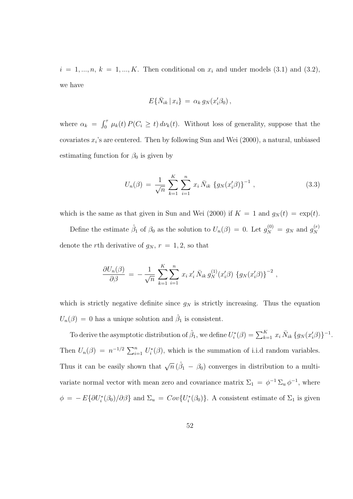$i = 1, \ldots, n, k = 1, \ldots, K$ . Then conditional on  $x_i$  and under models (3.1) and (3.2), we have

$$
E\{\bar{N}_{ik} \,|\, x_i\} \,=\, \alpha_k \,g_N(x_i'\beta_0)\,,
$$

where  $\alpha_k =$  $\int$   $\int$   $\frac{1}{\sqrt{2}}$  $\int_0^{\tau} \mu_k(t) P(C_i \geq t) d\nu_k(t)$ . Without loss of generality, suppose that the covariates  $x_i$ 's are centered. Then by following Sun and Wei  $(2000)$ , a natural, unbiased estimating function for  $\beta_0$  is given by

$$
U_n(\beta) = \frac{1}{\sqrt{n}} \sum_{k=1}^K \sum_{i=1}^n x_i \bar{N}_{ik} \{g_N(x_i'\beta)\}^{-1} , \qquad (3.3)
$$

which is the same as that given in Sun and Wei (2000) if  $K = 1$  and  $g_N(t) = \exp(t)$ .

Define the estimate  $\hat{\beta}_1$  of  $\beta_0$  as the solution to  $U_n(\beta) = 0$ . Let  $g_N^{(0)} = g_N$  and  $g_N^{(r)}$ N denote the rth derivative of  $g_N$ ,  $r = 1, 2$ , so that

$$
\frac{\partial U_n(\beta)}{\partial \beta} = -\frac{1}{\sqrt{n}} \sum_{k=1}^K \sum_{i=1}^n x_i x_i' \bar{N}_{ik} g_N^{(1)}(x_i'\beta) \{g_N(x_i'\beta)\}^{-2},
$$

which is strictly negative definite since  $g_N$  is strictly increasing. Thus the equation  $U_n(\beta) = 0$  has a unique solution and  $\hat{\beta}_1$  is consistent.

To derive the asymptotic distribution of  $\hat{\beta}_1$ , we define  $U_i^*(\beta) = \sum_{k=1}^K x_i \bar{N}_{ik} \{g_N(x'_i\beta)\}^{-1}$ . Then  $U_n(\beta) = n^{-1/2} \sum_{i=1}^n U_i^*(\beta)$ , which is the summation of i.i.d random variables. Thus it can be easily shown that  $\sqrt{n} (\hat{\beta}_1 - \beta_0)$  converges in distribution to a multivariate normal vector with mean zero and covariance matrix  $\Sigma_1 = \phi^{-1} \Sigma_u \phi^{-1}$ , where  $\phi = -E\{\partial U_i^*(\beta_0)/\partial \beta\}$  and  $\Sigma_u = Cov\{U_i^*(\beta_0)\}\$ . A consistent estimate of  $\Sigma_1$  is given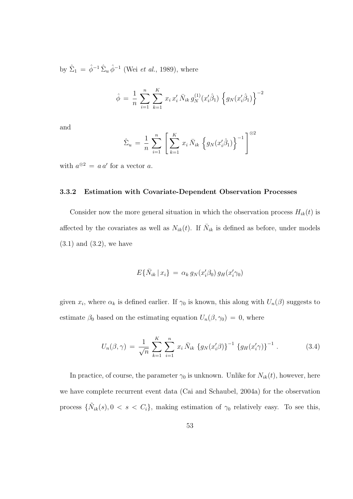by  $\hat{\Sigma}_1 = \hat{\phi}^{-1} \hat{\Sigma}_u \hat{\phi}^{-1}$  (Wei *et al.*, 1989), where

$$
\hat{\phi} = \frac{1}{n} \sum_{i=1}^{n} \sum_{k=1}^{K} x_i x_i' \bar{N}_{ik} g_N^{(1)}(x_i' \hat{\beta}_1) \left\{ g_N(x_i' \hat{\beta}_1) \right\}^{-2}
$$

and

$$
\hat{\Sigma}_u = \frac{1}{n} \sum_{i=1}^n \left[ \sum_{k=1}^K x_i \, \bar{N}_{ik} \, \left\{ g_N(x'_i \hat{\beta}_1) \right\}^{-1} \right]^{\otimes 2}
$$

with  $a^{\otimes 2} = a a'$  for a vector a.

### 3.3.2 Estimation with Covariate-Dependent Observation Processes

Consider now the more general situation in which the observation process  $H_{ik}(t)$  is affected by the covariates as well as  $N_{ik}(t)$ . If  $\bar{N}_{ik}$  is defined as before, under models  $(3.1)$  and  $(3.2)$ , we have

$$
E\{\bar{N}_{ik} \,|\, x_i\} \,=\, \alpha_k \,g_N(x_i'\beta_0)\,g_H(x_i'\gamma_0)
$$

given  $x_i$ , where  $\alpha_k$  is defined earlier. If  $\gamma_0$  is known, this along with  $U_n(\beta)$  suggests to estimate  $\beta_0$  based on the estimating equation  $U_n(\beta, \gamma_0) = 0$ , where

$$
U_n(\beta, \gamma) = \frac{1}{\sqrt{n}} \sum_{k=1}^K \sum_{i=1}^n x_i \bar{N}_{ik} \left\{ g_N(x_i' \beta) \right\}^{-1} \left\{ g_H(x_i' \gamma) \right\}^{-1}.
$$
 (3.4)

In practice, of course, the parameter  $\gamma_0$  is unknown. Unlike for  $N_{ik}(t)$ , however, here we have complete recurrent event data (Cai and Schaubel, 2004a) for the observation process  $\{\tilde{N}_{ik}(s), 0 \le s \le C_i\}$ , making estimation of  $\gamma_0$  relatively easy. To see this,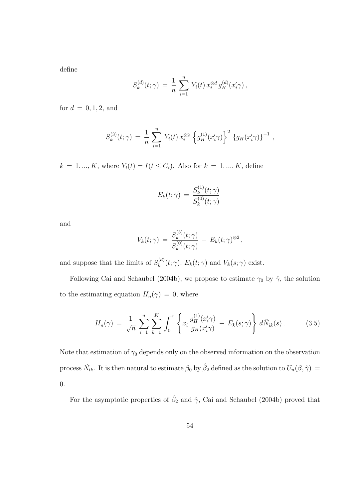define

$$
S_k^{(d)}(t; \gamma) = \frac{1}{n} \sum_{i=1}^n Y_i(t) x_i^{\otimes d} g_H^{(d)}(x_i' \gamma),
$$

for  $d = 0, 1, 2,$  and

$$
S_k^{(3)}(t; \gamma) = \frac{1}{n} \sum_{i=1}^n Y_i(t) x_i^{\otimes 2} \left\{ g_H^{(1)}(x_i' \gamma) \right\}^2 \left\{ g_H(x_i' \gamma) \right\}^{-1},
$$

 $k = 1, ..., K$ , where  $Y_i(t) = I(t \leq C_i)$ . Also for  $k = 1, ..., K$ , define

$$
E_k(t; \gamma) = \frac{S_k^{(1)}(t; \gamma)}{S_k^{(0)}(t; \gamma)}
$$

and

$$
V_k(t; \gamma) = \frac{S_k^{(3)}(t; \gamma)}{S_k^{(0)}(t; \gamma)} - E_k(t; \gamma)^{\otimes 2},
$$

and suppose that the limits of  $S_k^{(d)}$  $k_k^{(a)}(t; \gamma)$ ,  $E_k(t; \gamma)$  and  $V_k(s; \gamma)$  exist.

Following Cai and Schaubel (2004b), we propose to estimate  $\gamma_0$  by  $\hat{\gamma}$ , the solution to the estimating equation  $H_n(\gamma) = 0$ , where

$$
H_n(\gamma) = \frac{1}{\sqrt{n}} \sum_{i=1}^n \sum_{k=1}^K \int_0^{\tau} \left\{ x_i \frac{g_H^{(1)}(x_i' \gamma)}{g_H(x_i' \gamma)} - E_k(s; \gamma) \right\} d\tilde{N}_{ik}(s).
$$
 (3.5)

Note that estimation of  $\gamma_0$  depends only on the observed information on the observation process  $\tilde{N}_{ik}$ . It is then natural to estimate  $\beta_0$  by  $\hat{\beta}_2$  defined as the solution to  $U_n(\beta, \hat{\gamma}) =$ 0.

For the asymptotic properties of  $\hat{\beta}_2$  and  $\hat{\gamma}$ , Cai and Schaubel (2004b) proved that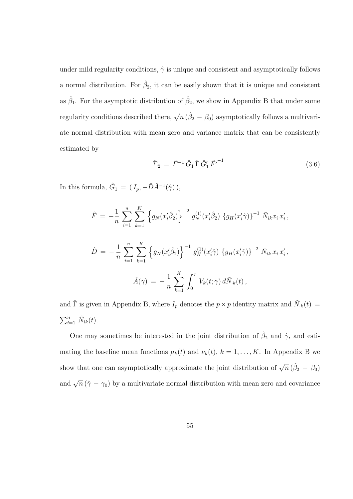under mild regularity conditions,  $\hat{\gamma}$  is unique and consistent and asymptotically follows a normal distribution. For  $\hat{\beta}_2$ , it can be easily shown that it is unique and consistent as  $\hat{\beta}_1$ . For the asymptotic distribution of  $\hat{\beta}_2$ , we show in Appendix B that under some regularity conditions described there,  $\sqrt{n}$  ( $\hat{\beta}_2 - \beta_0$ ) asymptotically follows a multivariate normal distribution with mean zero and variance matrix that can be consistently estimated by

$$
\hat{\Sigma}_2 = \hat{F}^{-1} \hat{G}_1 \hat{\Gamma} \hat{G}'_1 \hat{F'}^{-1}.
$$
\n(3.6)

In this formula,  $\hat{G}_1 = (I_p, -\hat{D}\hat{A}^{-1}(\hat{\gamma})),$ 

$$
\hat{F} = -\frac{1}{n} \sum_{i=1}^{n} \sum_{k=1}^{K} \left\{ g_N(x_i'\hat{\beta}_2) \right\}^{-2} g_N^{(1)}(x_i'\hat{\beta}_2) \left\{ g_H(x_i'\hat{\gamma}) \right\}^{-1} \bar{N}_{ik} x_i x_i',
$$
  

$$
\hat{D} = -\frac{1}{n} \sum_{i=1}^{n} \sum_{k=1}^{K} \left\{ g_N(x_i'\hat{\beta}_2) \right\}^{-1} g_H^{(1)}(x_i'\hat{\gamma}) \left\{ g_H(x_i'\hat{\gamma}) \right\}^{-2} \bar{N}_{ik} x_i x_i',
$$
  

$$
\hat{A}(\gamma) = -\frac{1}{n} \sum_{k=1}^{K} \int_0^{\tau} V_k(t;\gamma) d\tilde{N}_{ik}(t),
$$

and  $\hat{\Gamma}$  is given in Appendix B, where  $I_p$  denotes the  $p \times p$  identity matrix and  $\tilde{N}_{k}(t) =$  $\sum_{i=1}^n \tilde{N}_{ik}(t)$ .

One may sometimes be interested in the joint distribution of  $\hat{\beta}_2$  and  $\hat{\gamma}$ , and estimating the baseline mean functions  $\mu_k(t)$  and  $\nu_k(t)$ ,  $k = 1, ..., K$ . In Appendix B we show that one can asymptotically approximate the joint distribution of  $\sqrt{n} (\hat{\beta}_2 - \beta_0)$ and  $\sqrt{n}(\hat{\gamma} - \gamma_0)$  by a multivariate normal distribution with mean zero and covariance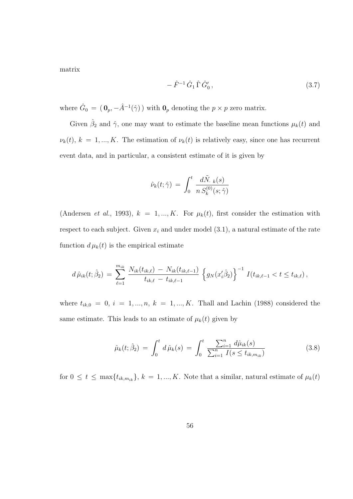matrix

$$
-\hat{F}^{-1}\hat{G}_1\,\hat{\Gamma}\,\hat{G}'_0\,,\tag{3.7}
$$

where  $\hat{G}_0 = (\mathbf{0}_p, -\hat{A}^{-1}(\hat{\gamma}))$  with  $\mathbf{0}_p$  denoting the  $p \times p$  zero matrix.

Given  $\hat{\beta}_2$  and  $\hat{\gamma}$ , one may want to estimate the baseline mean functions  $\mu_k(t)$  and  $\nu_k(t)$ ,  $k = 1, ..., K$ . The estimation of  $\nu_k(t)$  is relatively easy, since one has recurrent event data, and in particular, a consistent estimate of it is given by

$$
\hat{\nu}_k(t; \hat{\gamma}) \, = \, \int_0^t \, \frac{d\tilde{N}_{\cdot \, k}(s)}{n \, S_k^{(0)}(s; \hat{\gamma})}
$$

(Andersen *et al.*, 1993),  $k = 1, ..., K$ . For  $\mu_k(t)$ , first consider the estimation with respect to each subject. Given  $x_i$  and under model  $(3.1)$ , a natural estimate of the rate function  $d \mu_k(t)$  is the empirical estimate

$$
d\,\hat{\mu}_{ik}(t; \hat{\beta}_2) = \sum_{\ell=1}^{m_{ik}} \frac{N_{ik}(t_{ik,\ell}) - N_{ik}(t_{ik,\ell-1})}{t_{ik,\ell} - t_{ik,\ell-1}} \left\{ g_N(x_i'\hat{\beta}_2) \right\}^{-1} I(t_{ik,\ell-1} < t \leq t_{ik,\ell}),
$$

where  $t_{ik,0} = 0, i = 1, ..., n, k = 1, ..., K$ . Thall and Lachin (1988) considered the same estimate. This leads to an estimate of  $\mu_k(t)$  given by

$$
\hat{\mu}_k(t; \hat{\beta}_2) = \int_0^t d\,\hat{\mu}_k(s) = \int_0^t \frac{\sum_{i=1}^n d\hat{\mu}_{ik}(s)}{\sum_{i=1}^n I(s \le t_{ik,m_{ik}})}\tag{3.8}
$$

for  $0 \le t \le \max\{t_{ik,m_{ik}}\}, k = 1, ..., K$ . Note that a similar, natural estimate of  $\mu_k(t)$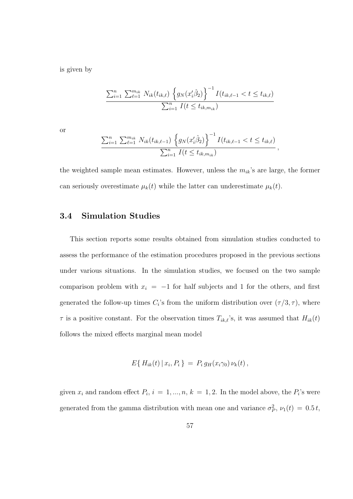is given by

$$
\frac{\sum_{i=1}^{n} \sum_{\ell=1}^{m_{ik}} N_{ik}(t_{ik,\ell}) \left\{ g_N(x_i' \hat{\beta}_2) \right\}^{-1} I(t_{ik,\ell-1} < t \le t_{ik,\ell})}{\sum_{i=1}^{n} I(t \le t_{ik,m_{ik}})}
$$

or

$$
\frac{\sum_{i=1}^{n} \sum_{\ell=1}^{m_{ik}} N_{ik}(t_{ik,\ell-1}) \left\{ g_N(x_i'\hat{\beta}_2) \right\}^{-1} I(t_{ik,\ell-1} < t \le t_{ik,\ell})}{\sum_{i=1}^{n} I(t \le t_{ik,m_{ik}})},
$$

the weighted sample mean estimates. However, unless the  $m_{ik}$ 's are large, the former can seriously overestimate  $\mu_k(t)$  while the latter can underestimate  $\mu_k(t)$ .

## 3.4 Simulation Studies

This section reports some results obtained from simulation studies conducted to assess the performance of the estimation procedures proposed in the previous sections under various situations. In the simulation studies, we focused on the two sample comparison problem with  $x_i = -1$  for half subjects and 1 for the others, and first generated the follow-up times  $C_i$ 's from the uniform distribution over  $(\tau/3, \tau)$ , where  $\tau$  is a positive constant. For the observation times  $T_{ik,\ell}$ 's, it was assumed that  $H_{ik}(t)$ follows the mixed effects marginal mean model

$$
E\{H_{ik}(t) | x_i, P_i\} = P_i g_H(x_i\gamma_0) \nu_k(t),
$$

given  $x_i$  and random effect  $P_i$ ,  $i = 1, ..., n$ ,  $k = 1, 2$ . In the model above, the  $P_i$ 's were generated from the gamma distribution with mean one and variance  $\sigma_P^2$ ,  $\nu_1(t) = 0.5 t$ ,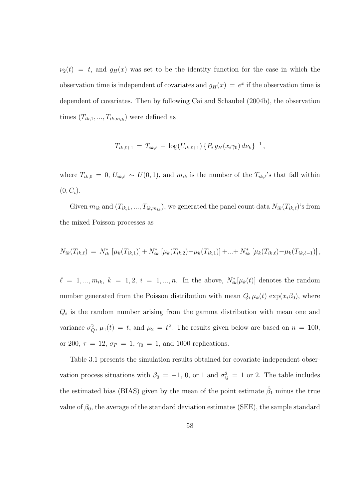$\nu_2(t) = t$ , and  $g_H(x)$  was set to be the identity function for the case in which the observation time is independent of covariates and  $g_H(x) = e^x$  if the observation time is dependent of covariates. Then by following Cai and Schaubel (2004b), the observation times  $(T_{ik,1},...,T_{ik,m_{ik}})$  were defined as

$$
T_{ik,\ell+1} = T_{ik,\ell} - \log(U_{ik,\ell+1}) \{ P_i g_H(x_i \gamma_0) d\nu_k \}^{-1},
$$

where  $T_{ik,0} = 0, U_{ik,\ell} \sim U(0, 1)$ , and  $m_{ik}$  is the number of the  $T_{ik,\ell}$ 's that fall within  $(0, C_i).$ 

Given  $m_{ik}$  and  $(T_{ik,1}, ..., T_{ik,m_{ik}})$ , we generated the panel count data  $N_{ik}(T_{ik,\ell})$ 's from the mixed Poisson processes as

$$
N_{ik}(T_{ik,\ell}) = N_{ik}^* \left[ \mu_k(T_{ik,1}) \right] + N_{ik}^* \left[ \mu_k(T_{ik,2}) - \mu_k(T_{ik,1}) \right] + \ldots + N_{ik}^* \left[ \mu_k(T_{ik,\ell}) - \mu_k(T_{ik,\ell-1}) \right],
$$

 $\ell = 1, ..., m_{ik}, k = 1, 2, i = 1, ..., n.$  In the above,  $N_{ik}^*[\mu_k(t)]$  denotes the random number generated from the Poisson distribution with mean  $Q_i \mu_k(t) \exp(x_i \beta_0)$ , where  $Q_i$  is the random number arising from the gamma distribution with mean one and variance  $\sigma_Q^2$ ,  $\mu_1(t) = t$ , and  $\mu_2 = t^2$ . The results given below are based on  $n = 100$ , or 200,  $\tau = 12$ ,  $\sigma_P = 1$ ,  $\gamma_0 = 1$ , and 1000 replications.

Table 3.1 presents the simulation results obtained for covariate-independent observation process situations with  $\beta_0 = -1$ , 0, or 1 and  $\sigma_Q^2 = 1$  or 2. The table includes the estimated bias (BIAS) given by the mean of the point estimate  $\hat{\beta}_1$  minus the true value of  $\beta_0$ , the average of the standard deviation estimates (SEE), the sample standard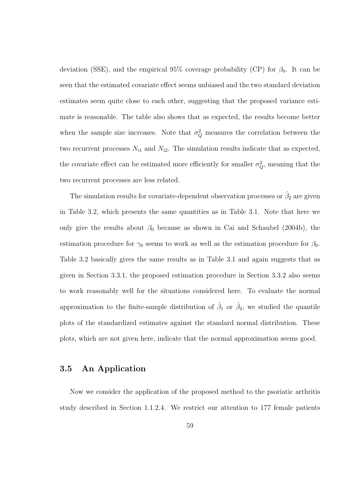deviation (SSE), and the empirical 95% coverage probability (CP) for  $\beta_0$ . It can be seen that the estimated covariate effect seems unbiased and the two standard deviation estimates seem quite close to each other, suggesting that the proposed variance estimate is reasonable. The table also shows that as expected, the results become better when the sample size increases. Note that  $\sigma_Q^2$  measures the correlation between the two recurrent processes  $N_{i1}$  and  $N_{i2}$ . The simulation results indicate that as expected, the covariate effect can be estimated more efficiently for smaller  $\sigma_Q^2$ , meaning that the two recurrent processes are less related.

The simulation results for covariate-dependent observation processes or  $\hat{\beta}_2$  are given in Table 3.2, which presents the same quantities as in Table 3.1. Note that here we only give the results about  $\beta_0$  because as shown in Cai and Schaubel (2004b), the estimation procedure for  $\gamma_0$  seems to work as well as the estimation procedure for  $\beta_0$ . Table 3.2 basically gives the same results as in Table 3.1 and again suggests that as given in Section 3.3.1, the proposed estimation procedure in Section 3.3.2 also seems to work reasonably well for the situations considered here. To evaluate the normal approximation to the finite-sample distribution of  $\hat{\beta}_1$  or  $\hat{\beta}_2$ , we studied the quantile plots of the standardized estimates against the standard normal distribution. These plots, which are not given here, indicate that the normal approximation seems good.

## 3.5 An Application

Now we consider the application of the proposed method to the psoriatic arthritis study described in Section 1.1.2.4. We restrict our attention to 177 female patients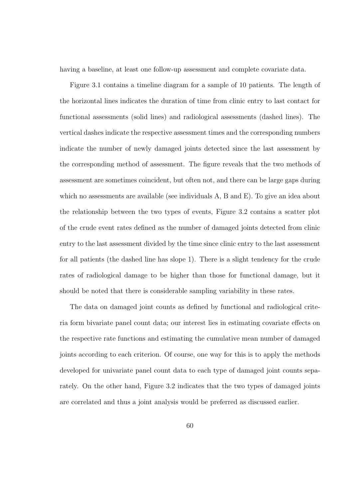having a baseline, at least one follow-up assessment and complete covariate data.

Figure 3.1 contains a timeline diagram for a sample of 10 patients. The length of the horizontal lines indicates the duration of time from clinic entry to last contact for functional assessments (solid lines) and radiological assessments (dashed lines). The vertical dashes indicate the respective assessment times and the corresponding numbers indicate the number of newly damaged joints detected since the last assessment by the corresponding method of assessment. The figure reveals that the two methods of assessment are sometimes coincident, but often not, and there can be large gaps during which no assessments are available (see individuals A, B and E). To give an idea about the relationship between the two types of events, Figure 3.2 contains a scatter plot of the crude event rates defined as the number of damaged joints detected from clinic entry to the last assessment divided by the time since clinic entry to the last assessment for all patients (the dashed line has slope 1). There is a slight tendency for the crude rates of radiological damage to be higher than those for functional damage, but it should be noted that there is considerable sampling variability in these rates.

The data on damaged joint counts as defined by functional and radiological criteria form bivariate panel count data; our interest lies in estimating covariate effects on the respective rate functions and estimating the cumulative mean number of damaged joints according to each criterion. Of course, one way for this is to apply the methods developed for univariate panel count data to each type of damaged joint counts separately. On the other hand, Figure 3.2 indicates that the two types of damaged joints are correlated and thus a joint analysis would be preferred as discussed earlier.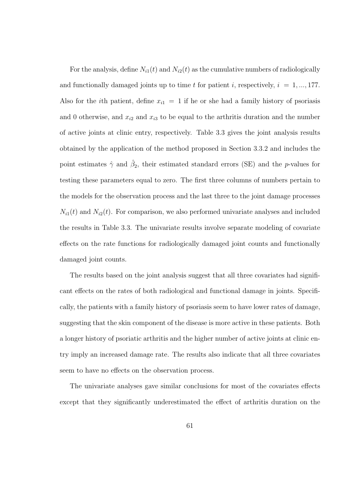For the analysis, define  $N_{i1}(t)$  and  $N_{i2}(t)$  as the cumulative numbers of radiologically and functionally damaged joints up to time t for patient i, respectively,  $i = 1, ..., 177$ . Also for the *i*th patient, define  $x_{i1} = 1$  if he or she had a family history of psoriasis and 0 otherwise, and  $x_{i2}$  and  $x_{i3}$  to be equal to the arthritis duration and the number of active joints at clinic entry, respectively. Table 3.3 gives the joint analysis results obtained by the application of the method proposed in Section 3.3.2 and includes the point estimates  $\hat{\gamma}$  and  $\hat{\beta}_2$ , their estimated standard errors (SE) and the *p*-values for testing these parameters equal to zero. The first three columns of numbers pertain to the models for the observation process and the last three to the joint damage processes  $N_{i1}(t)$  and  $N_{i2}(t)$ . For comparison, we also performed univariate analyses and included the results in Table 3.3. The univariate results involve separate modeling of covariate effects on the rate functions for radiologically damaged joint counts and functionally damaged joint counts.

The results based on the joint analysis suggest that all three covariates had significant effects on the rates of both radiological and functional damage in joints. Specifically, the patients with a family history of psoriasis seem to have lower rates of damage, suggesting that the skin component of the disease is more active in these patients. Both a longer history of psoriatic arthritis and the higher number of active joints at clinic entry imply an increased damage rate. The results also indicate that all three covariates seem to have no effects on the observation process.

The univariate analyses gave similar conclusions for most of the covariates effects except that they significantly underestimated the effect of arthritis duration on the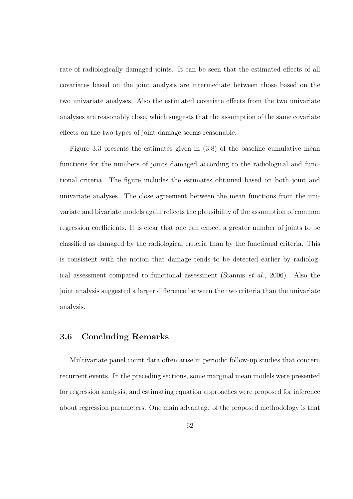rate of radiologically damaged joints. It can be seen that the estimated effects of all covariates based on the joint analysis are intermediate between those based on the two univariate analyses. Also the estimated covariate effects from the two univariate analyses are reasonably close, which suggests that the assumption of the same covariate effects on the two types of joint damage seems reasonable.

Figure 3.3 presents the estimates given in (3.8) of the baseline cumulative mean functions for the numbers of joints damaged according to the radiological and functional criteria. The figure includes the estimates obtained based on both joint and univariate analyses. The close agreement between the mean functions from the univariate and bivariate models again reflects the plausibility of the assumption of common regression coefficients. It is clear that one can expect a greater number of joints to be classified as damaged by the radiological criteria than by the functional criteria. This is consistent with the notion that damage tends to be detected earlier by radiological assessment compared to functional assessment (Siannis et al., 2006). Also the joint analysis suggested a larger difference between the two criteria than the univariate analysis.

### 3.6 Concluding Remarks

Multivariate panel count data often arise in periodic follow-up studies that concern recurrent events. In the preceding sections, some marginal mean models were presented for regression analysis, and estimating equation approaches were proposed for inference about regression parameters. One main advantage of the proposed methodology is that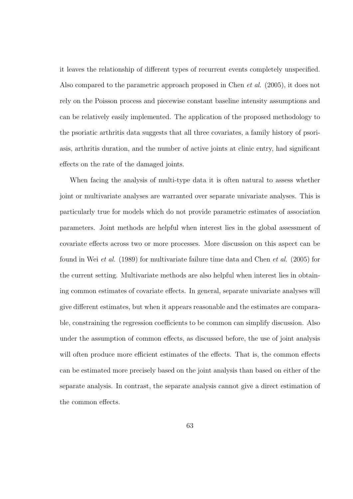it leaves the relationship of different types of recurrent events completely unspecified. Also compared to the parametric approach proposed in Chen et al. (2005), it does not rely on the Poisson process and piecewise constant baseline intensity assumptions and can be relatively easily implemented. The application of the proposed methodology to the psoriatic arthritis data suggests that all three covariates, a family history of psoriasis, arthritis duration, and the number of active joints at clinic entry, had significant effects on the rate of the damaged joints.

When facing the analysis of multi-type data it is often natural to assess whether joint or multivariate analyses are warranted over separate univariate analyses. This is particularly true for models which do not provide parametric estimates of association parameters. Joint methods are helpful when interest lies in the global assessment of covariate effects across two or more processes. More discussion on this aspect can be found in Wei et al. (1989) for multivariate failure time data and Chen et al. (2005) for the current setting. Multivariate methods are also helpful when interest lies in obtaining common estimates of covariate effects. In general, separate univariate analyses will give different estimates, but when it appears reasonable and the estimates are comparable, constraining the regression coefficients to be common can simplify discussion. Also under the assumption of common effects, as discussed before, the use of joint analysis will often produce more efficient estimates of the effects. That is, the common effects can be estimated more precisely based on the joint analysis than based on either of the separate analysis. In contrast, the separate analysis cannot give a direct estimation of the common effects.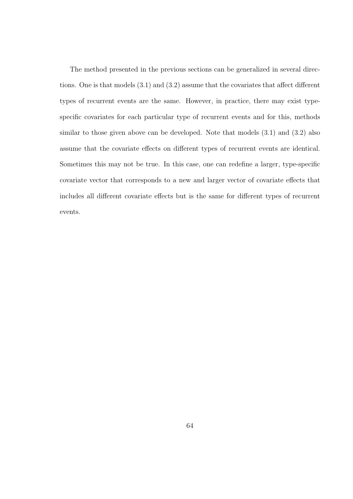The method presented in the previous sections can be generalized in several directions. One is that models (3.1) and (3.2) assume that the covariates that affect different types of recurrent events are the same. However, in practice, there may exist typespecific covariates for each particular type of recurrent events and for this, methods similar to those given above can be developed. Note that models (3.1) and (3.2) also assume that the covariate effects on different types of recurrent events are identical. Sometimes this may not be true. In this case, one can redefine a larger, type-specific covariate vector that corresponds to a new and larger vector of covariate effects that includes all different covariate effects but is the same for different types of recurrent events.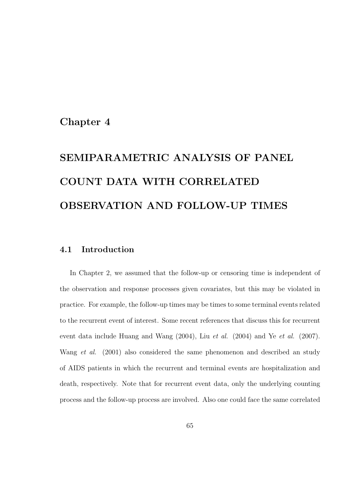## Chapter 4

# SEMIPARAMETRIC ANALYSIS OF PANEL COUNT DATA WITH CORRELATED OBSERVATION AND FOLLOW-UP TIMES

## 4.1 Introduction

In Chapter 2, we assumed that the follow-up or censoring time is independent of the observation and response processes given covariates, but this may be violated in practice. For example, the follow-up times may be times to some terminal events related to the recurrent event of interest. Some recent references that discuss this for recurrent event data include Huang and Wang (2004), Liu et al. (2004) and Ye et al. (2007). Wang *et al.* (2001) also considered the same phenomenon and described an study of AIDS patients in which the recurrent and terminal events are hospitalization and death, respectively. Note that for recurrent event data, only the underlying counting process and the follow-up process are involved. Also one could face the same correlated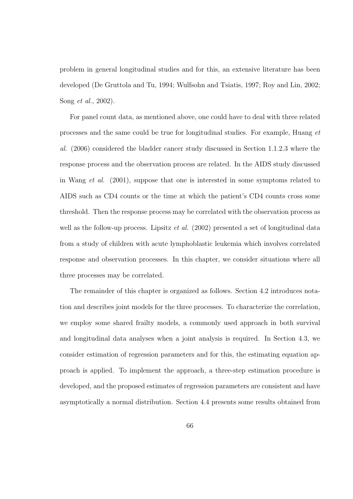problem in general longitudinal studies and for this, an extensive literature has been developed (De Gruttola and Tu, 1994; Wulfsohn and Tsiatis, 1997; Roy and Lin, 2002; Song et al., 2002).

For panel count data, as mentioned above, one could have to deal with three related processes and the same could be true for longitudinal studies. For example, Huang et al. (2006) considered the bladder cancer study discussed in Section 1.1.2.3 where the response process and the observation process are related. In the AIDS study discussed in Wang et al. (2001), suppose that one is interested in some symptoms related to AIDS such as CD4 counts or the time at which the patient's CD4 counts cross some threshold. Then the response process may be correlated with the observation process as well as the follow-up process. Lipsitz *et al.* (2002) presented a set of longitudinal data from a study of children with acute lymphoblastic leukemia which involves correlated response and observation processes. In this chapter, we consider situations where all three processes may be correlated.

The remainder of this chapter is organized as follows. Section 4.2 introduces notation and describes joint models for the three processes. To characterize the correlation, we employ some shared frailty models, a commonly used approach in both survival and longitudinal data analyses when a joint analysis is required. In Section 4.3, we consider estimation of regression parameters and for this, the estimating equation approach is applied. To implement the approach, a three-step estimation procedure is developed, and the proposed estimates of regression parameters are consistent and have asymptotically a normal distribution. Section 4.4 presents some results obtained from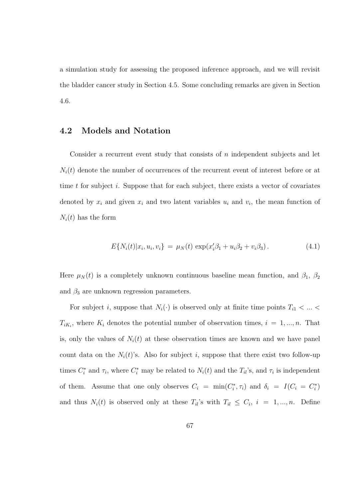a simulation study for assessing the proposed inference approach, and we will revisit the bladder cancer study in Section 4.5. Some concluding remarks are given in Section 4.6.

## 4.2 Models and Notation

Consider a recurrent event study that consists of n independent subjects and let  $N_i(t)$  denote the number of occurrences of the recurrent event of interest before or at time t for subject i. Suppose that for each subject, there exists a vector of covariates denoted by  $x_i$  and given  $x_i$  and two latent variables  $u_i$  and  $v_i$ , the mean function of  $N_i(t)$  has the form

$$
E\{N_i(t)|x_i, u_i, v_i\} = \mu_N(t) \exp(x_i'\beta_1 + u_i\beta_2 + v_i\beta_3). \tag{4.1}
$$

Here  $\mu_N(t)$  is a completely unknown continuous baseline mean function, and  $\beta_1$ ,  $\beta_2$ and  $\beta_3$  are unknown regression parameters.

For subject i, suppose that  $N_i(\cdot)$  is observed only at finite time points  $T_{i1} < ... <$  $T_{iK_i}$ , where  $K_i$  denotes the potential number of observation times,  $i = 1, ..., n$ . That is, only the values of  $N_i(t)$  at these observation times are known and we have panel count data on the  $N_i(t)$ 's. Also for subject i, suppose that there exist two follow-up times  $C_i^*$  and  $\tau_i$ , where  $C_i^*$  may be related to  $N_i(t)$  and the  $T_{il}$ 's, and  $\tau_i$  is independent of them. Assume that one only observes  $C_i = \min(C_i^*, \tau_i)$  and  $\delta_i = I(C_i = C_i^*)$ and thus  $N_i(t)$  is observed only at these  $T_{il}$ 's with  $T_{il} \leq C_i$ ,  $i = 1, ..., n$ . Define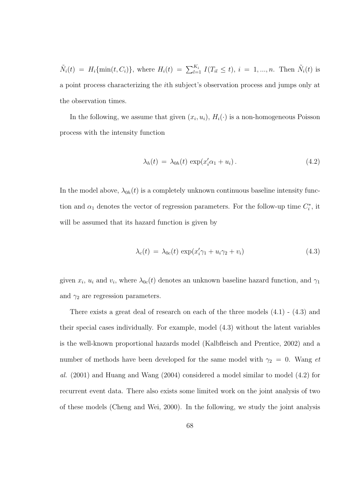$\tilde{N}_i(t) = H_i\{\min(t, C_i)\}\$ , where  $H_i(t) = \sum_{l=1}^{K_i} I(T_{il} \leq t)$ ,  $i = 1, ..., n$ . Then  $\tilde{N}_i(t)$  is a point process characterizing the ith subject's observation process and jumps only at the observation times.

In the following, we assume that given  $(x_i, u_i)$ ,  $H_i(\cdot)$  is a non-homogeneous Poisson process with the intensity function

$$
\lambda_h(t) = \lambda_{0h}(t) \exp(x_i' \alpha_1 + u_i). \tag{4.2}
$$

In the model above,  $\lambda_{0h}(t)$  is a completely unknown continuous baseline intensity function and  $\alpha_1$  denotes the vector of regression parameters. For the follow-up time  $C_i^*$ , it will be assumed that its hazard function is given by

$$
\lambda_c(t) = \lambda_{0c}(t) \exp(x'_i \gamma_1 + u_i \gamma_2 + v_i)
$$
\n(4.3)

given  $x_i$ ,  $u_i$  and  $v_i$ , where  $\lambda_{0c}(t)$  denotes an unknown baseline hazard function, and  $\gamma_1$ and  $\gamma_2$  are regression parameters.

There exists a great deal of research on each of the three models (4.1) - (4.3) and their special cases individually. For example, model (4.3) without the latent variables is the well-known proportional hazards model (Kalbfleisch and Prentice, 2002) and a number of methods have been developed for the same model with  $\gamma_2 = 0$ . Wang et al. (2001) and Huang and Wang (2004) considered a model similar to model (4.2) for recurrent event data. There also exists some limited work on the joint analysis of two of these models (Cheng and Wei, 2000). In the following, we study the joint analysis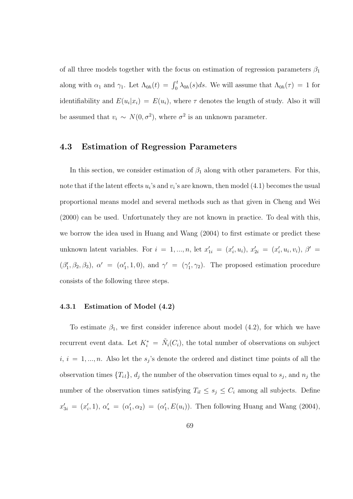of all three models together with the focus on estimation of regression parameters  $\beta_1$ along with  $\alpha_1$  and  $\gamma_1$ . Let  $\Lambda_{0h}(t) = \int_0^t \lambda_{0h}(s)ds$ . We will assume that  $\Lambda_{0h}(\tau) = 1$  for identifiability and  $E(u_i|x_i) = E(u_i)$ , where  $\tau$  denotes the length of study. Also it will be assumed that  $v_i \sim N(0, \sigma^2)$ , where  $\sigma^2$  is an unknown parameter.

### 4.3 Estimation of Regression Parameters

In this section, we consider estimation of  $\beta_1$  along with other parameters. For this, note that if the latent effects  $u_i$ 's and  $v_i$ 's are known, then model  $(4.1)$  becomes the usual proportional means model and several methods such as that given in Cheng and Wei (2000) can be used. Unfortunately they are not known in practice. To deal with this, we borrow the idea used in Huang and Wang (2004) to first estimate or predict these unknown latent variables. For  $i = 1, ..., n$ , let  $x'_{1i} = (x'_i, u_i), x'_{2i} = (x'_i, u_i, v_i), \beta' =$  $(\beta'_1, \beta_2, \beta_3), \alpha' = (\alpha'_1, 1, 0), \text{ and } \gamma' = (\gamma'_1, \gamma_2).$  The proposed estimation procedure consists of the following three steps.

#### 4.3.1 Estimation of Model (4.2)

To estimate  $\beta_1$ , we first consider inference about model (4.2), for which we have recurrent event data. Let  $K_i^* = \tilde{N}_i(C_i)$ , the total number of observations on subject  $i, i = 1, ..., n$ . Also let the  $s_j$ 's denote the ordered and distinct time points of all the observation times  ${T_{il}}$ ,  $d_j$  the number of the observation times equal to  $s_j$ , and  $n_j$  the number of the observation times satisfying  $T_{il} \leq s_j \leq C_i$  among all subjects. Define  $x'_{3i} = (x'_i, 1), \alpha'_* = (\alpha'_1, \alpha_2) = (\alpha'_1, E(u_i)).$  Then following Huang and Wang (2004),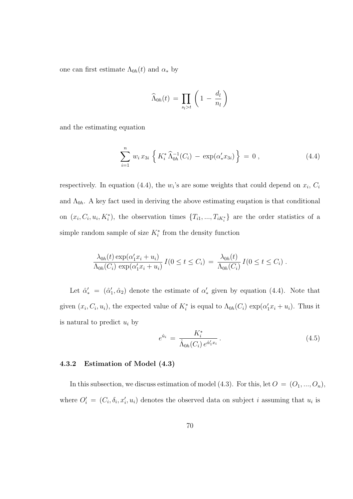one can first estimate  $\Lambda_{0h}(t)$  and  $\alpha_*$  by

$$
\widehat{\Lambda}_{0h}(t) = \prod_{s_l > t} \left( 1 - \frac{d_l}{n_l} \right)
$$

and the estimating equation

$$
\sum_{i=1}^{n} w_i x_{3i} \left\{ K_i^* \widehat{\Lambda}_{0h}^{-1}(C_i) - \exp(\alpha'_* x_{3i}) \right\} = 0 , \qquad (4.4)
$$

respectively. In equation (4.4), the  $w_i$ 's are some weights that could depend on  $x_i$ ,  $C_i$ and  $\Lambda_{0h}$ . A key fact used in deriving the above estimating eugation is that conditional on  $(x_i, C_i, u_i, K_i^*)$ , the observation times  $\{T_{i1},...,T_{iK_i^*}\}\$  are the order statistics of a simple random sample of size  $K_i^*$  from the density function

$$
\frac{\lambda_{0h}(t)\exp(\alpha'_1x_i+u_i)}{\Lambda_{0h}(C_i)\exp(\alpha'_1x_i+u_i)}\,I(0\leq t\leq C_i)\,=\,\frac{\lambda_{0h}(t)}{\Lambda_{0h}(C_i)}\,I(0\leq t\leq C_i)\,.
$$

Let  $\hat{\alpha}'_* = (\hat{\alpha}'_1, \hat{\alpha}_2)$  denote the estimate of  $\alpha'_*$  given by equation (4.4). Note that given  $(x_i, C_i, u_i)$ , the expected value of  $K_i^*$  is equal to  $\Lambda_{0h}(C_i) \exp(\alpha'_1 x_i + u_i)$ . Thus it is natural to predict  $u_i$  by

$$
e^{\hat{u}_i} = \frac{K_i^*}{\hat{\Lambda}_{0h}(C_i) e^{\hat{\alpha}'_1 x_i}}.
$$
\n(4.5)

#### 4.3.2 Estimation of Model (4.3)

In this subsection, we discuss estimation of model (4.3). For this, let  $O = (O_1, ..., O_n)$ , where  $O_i' = (C_i, \delta_i, x_i', u_i)$  denotes the observed data on subject i assuming that  $u_i$  is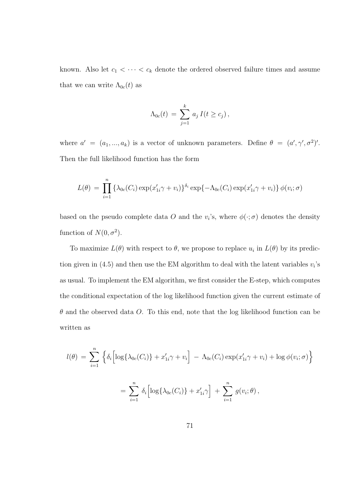known. Also let  $c_1 < \cdots < c_k$  denote the ordered observed failure times and assume that we can write  $\Lambda_{0c}(t)$  as

$$
\Lambda_{0c}(t) = \sum_{j=1}^k a_j I(t \geq c_j),
$$

where  $a' = (a_1, ..., a_k)$  is a vector of unknown parameters. Define  $\theta = (a', \gamma', \sigma^2)'$ . Then the full likelihood function has the form

$$
L(\theta) = \prod_{i=1}^n \left\{ \lambda_{0c}(C_i) \exp(x'_{1i}\gamma + v_i) \right\}^{\delta_i} \exp\{-\Lambda_{0c}(C_i) \exp(x'_{1i}\gamma + v_i) \} \phi(v_i; \sigma)
$$

based on the pseudo complete data O and the  $v_i$ 's, where  $\phi(\cdot;\sigma)$  denotes the density function of  $N(0, \sigma^2)$ .

To maximize  $L(\theta)$  with respect to  $\theta$ , we propose to replace  $u_i$  in  $L(\theta)$  by its prediction given in (4.5) and then use the EM algorithm to deal with the latent variables  $v_i$ 's as usual. To implement the EM algorithm, we first consider the E-step, which computes the conditional expectation of the log likelihood function given the current estimate of  $\theta$  and the observed data O. To this end, note that the log likelihood function can be written as

$$
l(\theta) = \sum_{i=1}^{n} \left\{ \delta_i \left[ \log \{ \lambda_{0c}(C_i) \} + x'_{1i} \gamma + v_i \right] - \Lambda_{0c}(C_i) \exp(x'_{1i} \gamma + v_i) + \log \phi(v_i; \sigma) \right\}
$$

$$
= \sum_{i=1}^{n} \delta_i \left[ \log \{ \lambda_{0c}(C_i) \} + x'_{1i} \gamma \right] + \sum_{i=1}^{n} g(v_i; \theta),
$$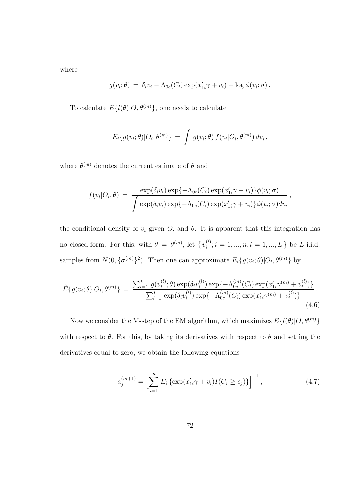where

$$
g(v_i; \theta) = \delta_i v_i - \Lambda_{0c}(C_i) \exp(x'_{1i}\gamma + v_i) + \log \phi(v_i; \sigma).
$$

To calculate  $E\{l(\theta)|O,\theta^{(m)}\}$ , one needs to calculate

$$
E_i\{g(v_i;\theta)|O_i,\theta^{(m)}\} = \int g(v_i;\theta) f(v_i|O_i,\theta^{(m)}) dv_i,
$$

where  $\theta^{(m)}$  denotes the current estimate of  $\theta$  and

$$
f(v_i|O_i, \theta) = \frac{\exp(\delta_i v_i) \exp\{-\Lambda_{0c}(C_i) \exp(x'_{1i}\gamma + v_i)\}\phi(v_i; \sigma)}{\int \exp(\delta_i v_i) \exp\{-\Lambda_{0c}(C_i) \exp(x'_{1i}\gamma + v_i)\}\phi(v_i; \sigma) dv_i},
$$

the conditional density of  $v_i$  given  $O_i$  and  $\theta$ . It is apparent that this integration has no closed form. For this, with  $\theta = \theta^{(m)}$ , let  $\{v_i^{(l)}\}$  $i_i^{(l)}$ ;  $i = 1, ..., n, l = 1, ..., L$  } be L i.i.d. samples from  $N(0, {\{\sigma^{(m)}\}}^2)$ . Then one can approximate  $E_i\{g(v_i; \theta)|O_i, \theta^{(m)}\}$  by

$$
\hat{E}\{g(v_i;\theta)|O_i,\theta^{(m)}\} = \frac{\sum_{l=1}^{L} g(v_i^{(l)};\theta) \exp(\delta_i v_i^{(l)}) \exp\{-\Lambda_{0c}^{(m)}(C_i) \exp(x_{1i}'\gamma^{(m)} + v_i^{(l)})\}}{\sum_{l=1}^{L} \exp(\delta_i v_i^{(l)}) \exp\{-\Lambda_{0c}^{(m)}(C_i) \exp(x_{1i}'\gamma^{(m)} + v_i^{(l)})\}}.
$$
\n(4.6)

Now we consider the M-step of the EM algorithm, which maximizes  $E\{l(\theta)|O,\theta^{(m)}\}$ with respect to  $\theta$ . For this, by taking its derivatives with respect to  $\theta$  and setting the derivatives equal to zero, we obtain the following equations

$$
a_j^{(m+1)} = \left[\sum_{i=1}^n E_i \left\{ \exp(x_{1i}'\gamma + v_i)I(C_i \ge c_j) \right\} \right]^{-1},\tag{4.7}
$$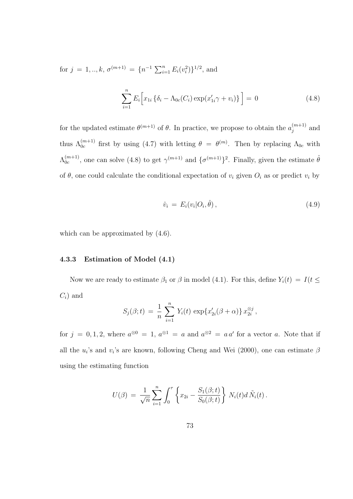for  $j = 1, ..., k, \sigma^{(m+1)} = \{n^{-1} \sum_{i=1}^{n} E_i(v_i^2)\}^{1/2}$ , and

$$
\sum_{i=1}^{n} E_i \Big[ x_{1i} \left\{ \delta_i - \Lambda_{0c}(C_i) \exp(x'_{1i} \gamma + v_i) \right\} \Big] = 0 \tag{4.8}
$$

for the updated estimate  $\theta^{(m+1)}$  of  $\theta$ . In practice, we propose to obtain the  $a_i^{(m+1)}$  $j^{(m+1)}$  and thus  $\Lambda_{0c}^{(m+1)}$  first by using (4.7) with letting  $\theta = \theta^{(m)}$ . Then by replacing  $\Lambda_{0c}$  with  $\Lambda_{0c}^{(m+1)}$  $_{0c}^{(m+1)}$ , one can solve (4.8) to get  $\gamma^{(m+1)}$  and  $\{\sigma^{(m+1)}\}^2$ . Finally, given the estimate  $\hat{\theta}$ of  $\theta$ , one could calculate the conditional expectation of  $v_i$  given  $O_i$  as or predict  $v_i$  by

$$
\hat{v}_i = E_i(v_i|O_i, \hat{\theta}), \qquad (4.9)
$$

which can be approximated by  $(4.6)$ .

#### 4.3.3 Estimation of Model (4.1)

Now we are ready to estimate  $\beta_1$  or  $\beta$  in model (4.1). For this, define  $Y_i(t) = I(t \leq$  $C_i$ ) and

$$
S_j(\beta; t) = \frac{1}{n} \sum_{i=1}^n Y_i(t) \exp\{x'_{2i}(\beta + \alpha)\} x_{2i}^{\otimes j},
$$

for  $j = 0, 1, 2$ , where  $a^{\otimes 0} = 1$ ,  $a^{\otimes 1} = a$  and  $a^{\otimes 2} = a a'$  for a vector a. Note that if all the  $u_i$ 's and  $v_i$ 's are known, following Cheng and Wei (2000), one can estimate  $\beta$ using the estimating function

$$
U(\beta) = \frac{1}{\sqrt{n}} \sum_{i=1}^{n} \int_0^{\tau} \left\{ x_{2i} - \frac{S_1(\beta; t)}{S_0(\beta; t)} \right\} N_i(t) d\tilde{N}_i(t).
$$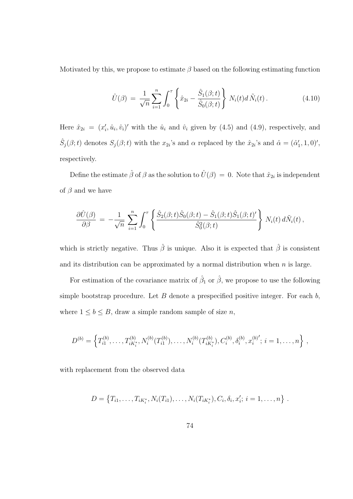Motivated by this, we propose to estimate  $\beta$  based on the following estimating function

$$
\hat{U}(\beta) = \frac{1}{\sqrt{n}} \sum_{i=1}^{n} \int_{0}^{\tau} \left\{ \hat{x}_{2i} - \frac{\hat{S}_{1}(\beta; t)}{\hat{S}_{0}(\beta; t)} \right\} N_{i}(t) d \tilde{N}_{i}(t).
$$
\n(4.10)

Here  $\hat{x}_{2i} = (x'_i, \hat{u}_i, \hat{v}_i)'$  with the  $\hat{u}_i$  and  $\hat{v}_i$  given by (4.5) and (4.9), respectively, and  $\hat{S}_j(\beta; t)$  denotes  $S_j(\beta; t)$  with the  $x_{2i}$ 's and  $\alpha$  replaced by the  $\hat{x}_{2i}$ 's and  $\hat{\alpha} = (\hat{\alpha}'_1, 1, 0)'$ , respectively.

Define the estimate  $\hat{\beta}$  of  $\beta$  as the solution to  $\hat{U}(\beta) = 0$ . Note that  $\hat{x}_{2i}$  is independent of  $\beta$  and we have

$$
\frac{\partial \hat{U}(\beta)}{\partial \beta} = -\frac{1}{\sqrt{n}} \sum_{i=1}^n \int_0^\tau \left\{ \frac{\hat{S}_2(\beta; t) \hat{S}_0(\beta; t) - \hat{S}_1(\beta; t) \hat{S}_1(\beta; t)'}{\hat{S}_0^2(\beta; t)} \right\} N_i(t) d\tilde{N}_i(t),
$$

which is strictly negative. Thus  $\hat{\beta}$  is unique. Also it is expected that  $\hat{\beta}$  is consistent and its distribution can be approximated by a normal distribution when  $n$  is large.

For estimation of the covariance matrix of  $\hat{\beta}_1$  or  $\hat{\beta}$ , we propose to use the following simple bootstrap procedure. Let B denote a prespecified positive integer. For each  $b$ , where  $1 \leq b \leq B$ , draw a simple random sample of size n,

$$
D^{(b)} = \left\{ T_{i1}^{(b)}, \ldots, T_{iK_i^*}^{(b)}, N_i^{(b)}(T_{i1}^{(b)}), \ldots, N_i^{(b)}(T_{iK_i^*}^{(b)}), C_i^{(b)}, \delta_i^{(b)}, x_i^{(b)'}; i = 1, \ldots, n \right\},
$$

with replacement from the observed data

$$
D = \{T_{i1}, \ldots, T_{iK_i^*}, N_i(T_{i1}), \ldots, N_i(T_{iK_i^*}), C_i, \delta_i, x_i'; i = 1, \ldots, n\}.
$$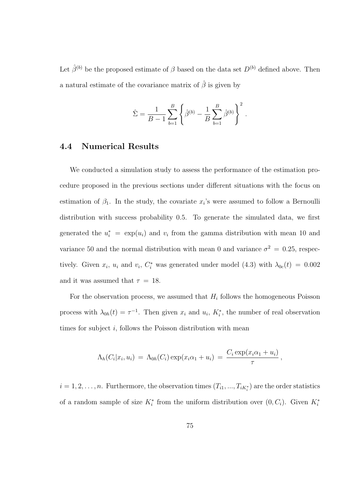Let  $\hat{\beta}^{(b)}$  be the proposed estimate of  $\beta$  based on the data set  $D^{(b)}$  defined above. Then a natural estimate of the covariance matrix of  $\hat{\beta}$  is given by

$$
\hat{\Sigma} = \frac{1}{B-1} \sum_{b=1}^{B} \left\{ \hat{\beta}^{(b)} - \frac{1}{B} \sum_{b=1}^{B} \hat{\beta}^{(b)} \right\}^{2}.
$$

## 4.4 Numerical Results

We conducted a simulation study to assess the performance of the estimation procedure proposed in the previous sections under different situations with the focus on estimation of  $\beta_1$ . In the study, the covariate  $x_i$ 's were assumed to follow a Bernoulli distribution with success probability 0.5. To generate the simulated data, we first generated the  $u_i^* = \exp(u_i)$  and  $v_i$  from the gamma distribution with mean 10 and variance 50 and the normal distribution with mean 0 and variance  $\sigma^2 = 0.25$ , respectively. Given  $x_i$ ,  $u_i$  and  $v_i$ ,  $C_i^*$  was generated under model (4.3) with  $\lambda_{0c}(t) = 0.002$ and it was assumed that  $\tau = 18$ .

For the observation process, we assumed that  $H_i$  follows the homogeneous Poisson process with  $\lambda_{0h}(t) = \tau^{-1}$ . Then given  $x_i$  and  $u_i$ ,  $K_i^*$ , the number of real observation times for subject  $i$ , follows the Poisson distribution with mean

$$
\Lambda_h(C_i|x_i, u_i) = \Lambda_{0h}(C_i) \exp(x_i \alpha_1 + u_i) = \frac{C_i \exp(x_i \alpha_1 + u_i)}{\tau},
$$

 $i = 1, 2, \ldots, n$ . Furthermore, the observation times  $(T_{i1}, ..., T_{iK_i^*})$  are the order statistics of a random sample of size  $K_i^*$  from the uniform distribution over  $(0, C_i)$ . Given  $K_i^*$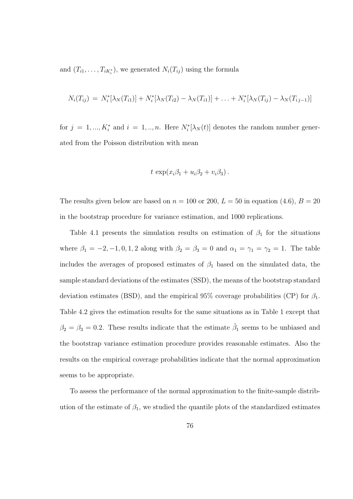and  $(T_{i1},...,T_{iK_i^*})$ , we generated  $N_i(T_{ij})$  using the formula

$$
N_i(T_{ij}) = N_i^*[\lambda_N(T_{i1})] + N_i^*[\lambda_N(T_{i2}) - \lambda_N(T_{i1})] + \ldots + N_i^*[\lambda_N(T_{ij}) - \lambda_N(T_{ij-1})]
$$

for  $j = 1, ..., K_i^*$  and  $i = 1, ..., n$ . Here  $N_i^*[\lambda_N(t)]$  denotes the random number generated from the Poisson distribution with mean

$$
t \exp(x_i\beta_1 + u_i\beta_2 + v_i\beta_3).
$$

The results given below are based on  $n = 100$  or 200,  $L = 50$  in equation (4.6),  $B = 20$ in the bootstrap procedure for variance estimation, and 1000 replications.

Table 4.1 presents the simulation results on estimation of  $\beta_1$  for the situations where  $\beta_1 = -2, -1, 0, 1, 2$  along with  $\beta_2 = \beta_3 = 0$  and  $\alpha_1 = \gamma_1 = \gamma_2 = 1$ . The table includes the averages of proposed estimates of  $\beta_1$  based on the simulated data, the sample standard deviations of the estimates (SSD), the means of the bootstrap standard deviation estimates (BSD), and the empirical 95% coverage probabilities (CP) for  $\beta_1$ . Table 4.2 gives the estimation results for the same situations as in Table 1 except that  $\beta_2 = \beta_3 = 0.2$ . These results indicate that the estimate  $\hat{\beta}_1$  seems to be unbiased and the bootstrap variance estimation procedure provides reasonable estimates. Also the results on the empirical coverage probabilities indicate that the normal approximation seems to be appropriate.

To assess the performance of the normal approximation to the finite-sample distribution of the estimate of  $\beta_1$ , we studied the quantile plots of the standardized estimates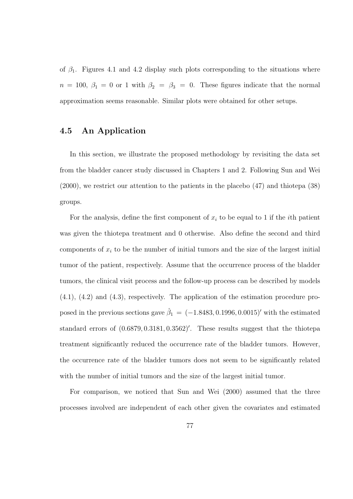of  $\beta_1$ . Figures 4.1 and 4.2 display such plots corresponding to the situations where  $n = 100, \beta_1 = 0$  or 1 with  $\beta_2 = \beta_3 = 0$ . These figures indicate that the normal approximation seems reasonable. Similar plots were obtained for other setups.

## 4.5 An Application

In this section, we illustrate the proposed methodology by revisiting the data set from the bladder cancer study discussed in Chapters 1 and 2. Following Sun and Wei (2000), we restrict our attention to the patients in the placebo (47) and thiotepa (38) groups.

For the analysis, define the first component of  $x_i$  to be equal to 1 if the *i*th patient was given the thiotepa treatment and 0 otherwise. Also define the second and third components of  $x_i$  to be the number of initial tumors and the size of the largest initial tumor of the patient, respectively. Assume that the occurrence process of the bladder tumors, the clinical visit process and the follow-up process can be described by models (4.1), (4.2) and (4.3), respectively. The application of the estimation procedure proposed in the previous sections gave  $\hat{\beta}_1 = (-1.8483, 0.1996, 0.0015)'$  with the estimated standard errors of  $(0.6879, 0.3181, 0.3562)'$ . These results suggest that the thiotepa treatment significantly reduced the occurrence rate of the bladder tumors. However, the occurrence rate of the bladder tumors does not seem to be significantly related with the number of initial tumors and the size of the largest initial tumor.

For comparison, we noticed that Sun and Wei (2000) assumed that the three processes involved are independent of each other given the covariates and estimated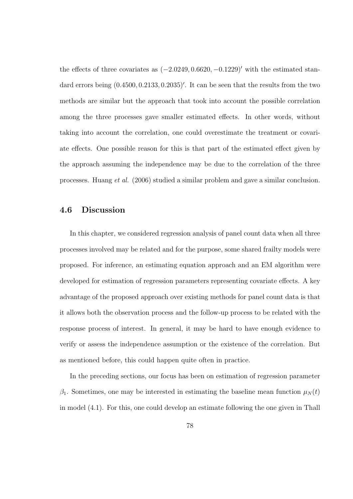the effects of three covariates as  $(-2.0249, 0.6620, -0.1229)'$  with the estimated standard errors being  $(0.4500, 0.2133, 0.2035)'$ . It can be seen that the results from the two methods are similar but the approach that took into account the possible correlation among the three processes gave smaller estimated effects. In other words, without taking into account the correlation, one could overestimate the treatment or covariate effects. One possible reason for this is that part of the estimated effect given by the approach assuming the independence may be due to the correlation of the three processes. Huang et al. (2006) studied a similar problem and gave a similar conclusion.

### 4.6 Discussion

In this chapter, we considered regression analysis of panel count data when all three processes involved may be related and for the purpose, some shared frailty models were proposed. For inference, an estimating equation approach and an EM algorithm were developed for estimation of regression parameters representing covariate effects. A key advantage of the proposed approach over existing methods for panel count data is that it allows both the observation process and the follow-up process to be related with the response process of interest. In general, it may be hard to have enough evidence to verify or assess the independence assumption or the existence of the correlation. But as mentioned before, this could happen quite often in practice.

In the preceding sections, our focus has been on estimation of regression parameter  $β_1$ . Sometimes, one may be interested in estimating the baseline mean function  $μ_N(t)$ in model (4.1). For this, one could develop an estimate following the one given in Thall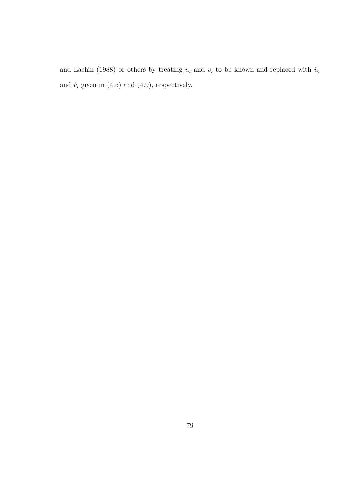and Lachin (1988) or others by treating  $u_i$  and  $v_i$  to be known and replaced with  $\hat{u}_i$ and  $\hat{v}_i$  given in (4.5) and (4.9), respectively.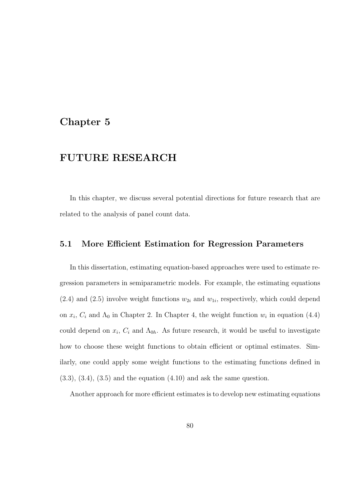## Chapter 5

## FUTURE RESEARCH

In this chapter, we discuss several potential directions for future research that are related to the analysis of panel count data.

#### 5.1 More Efficient Estimation for Regression Parameters

In this dissertation, estimating equation-based approaches were used to estimate regression parameters in semiparametric models. For example, the estimating equations  $(2.4)$  and  $(2.5)$  involve weight functions  $w_{2i}$  and  $w_{1i}$ , respectively, which could depend on  $x_i$ ,  $C_i$  and  $\Lambda_0$  in Chapter 2. In Chapter 4, the weight function  $w_i$  in equation (4.4) could depend on  $x_i$ ,  $C_i$  and  $\Lambda_{0h}$ . As future research, it would be useful to investigate how to choose these weight functions to obtain efficient or optimal estimates. Similarly, one could apply some weight functions to the estimating functions defined in  $(3.3), (3.4), (3.5)$  and the equation  $(4.10)$  and ask the same question.

Another approach for more efficient estimates is to develop new estimating equations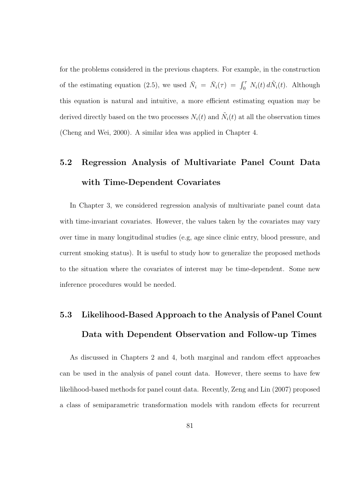for the problems considered in the previous chapters. For example, in the construction of the estimating equation (2.5), we used  $\bar{N}_i = \bar{N}_i(\tau) = \int_0^{\tau} N_i(t) d\tilde{N}_i(t)$ . Although this equation is natural and intuitive, a more efficient estimating equation may be derived directly based on the two processes  $N_i(t)$  and  $\tilde{N}_i(t)$  at all the observation times (Cheng and Wei, 2000). A similar idea was applied in Chapter 4.

## 5.2 Regression Analysis of Multivariate Panel Count Data with Time-Dependent Covariates

In Chapter 3, we considered regression analysis of multivariate panel count data with time-invariant covariates. However, the values taken by the covariates may vary over time in many longitudinal studies (e.g, age since clinic entry, blood pressure, and current smoking status). It is useful to study how to generalize the proposed methods to the situation where the covariates of interest may be time-dependent. Some new inference procedures would be needed.

# 5.3 Likelihood-Based Approach to the Analysis of Panel Count Data with Dependent Observation and Follow-up Times

As discussed in Chapters 2 and 4, both marginal and random effect approaches can be used in the analysis of panel count data. However, there seems to have few likelihood-based methods for panel count data. Recently, Zeng and Lin (2007) proposed a class of semiparametric transformation models with random effects for recurrent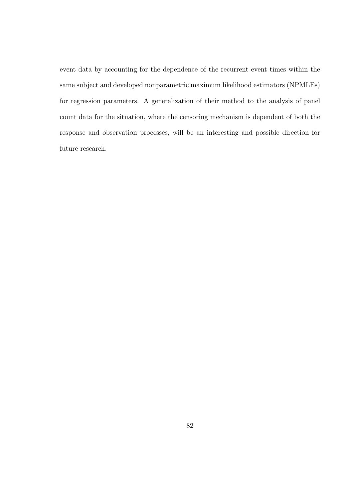event data by accounting for the dependence of the recurrent event times within the same subject and developed nonparametric maximum likelihood estimators (NPMLEs) for regression parameters. A generalization of their method to the analysis of panel count data for the situation, where the censoring mechanism is dependent of both the response and observation processes, will be an interesting and possible direction for future research.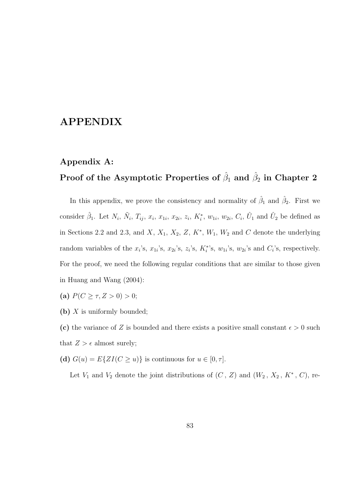## APPENDIX

### Appendix A:

## Proof of the Asymptotic Properties of  $\hat{\beta}_1$  and  $\hat{\beta}_2$  in Chapter 2

In this appendix, we prove the consistency and normality of  $\hat{\beta}_1$  and  $\hat{\beta}_2$ . First we consider  $\hat{\beta}_1$ . Let  $N_i$ ,  $\tilde{N}_i$ ,  $T_{ij}$ ,  $x_i$ ,  $x_{1i}$ ,  $x_{2i}$ ,  $z_i$ ,  $K_i^*$ ,  $w_{1i}$ ,  $w_{2i}$ ,  $C_i$ ,  $\hat{U}_1$  and  $\hat{U}_2$  be defined as in Sections 2.2 and 2.3, and  $X, X_1, X_2, Z, K^*, W_1, W_2$  and  $C$  denote the underlying random variables of the  $x_i$ 's,  $x_{1i}$ 's,  $x_{2i}$ 's,  $z_i$ 's,  $K_i^*$ 's,  $w_{1i}$ 's,  $w_{2i}$ 's and  $C_i$ 's, respectively. For the proof, we need the following regular conditions that are similar to those given in Huang and Wang (2004):

(a)  $P(C \geq \tau, Z > 0) > 0;$ 

(b) X is uniformly bounded;

(c) the variance of Z is bounded and there exists a positive small constant  $\epsilon > 0$  such that  $Z > \epsilon$  almost surely;

(d)  $G(u) = E\{ZI(C \ge u)\}\$ is continuous for  $u \in [0, \tau]$ .

Let  $V_1$  and  $V_2$  denote the joint distributions of  $(C, Z)$  and  $(W_2, X_2, K^*, C)$ , re-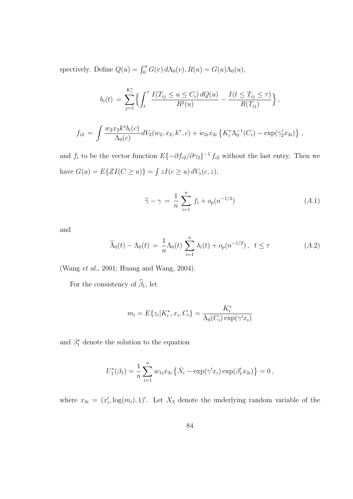spectively. Define  $Q(u) = \int_0^u G(v) d\Lambda_0(v)$ ,  $R(u) = G(u)\Lambda_0(u)$ ,

$$
b_i(t) = \sum_{j=1}^{K_i^*} \left\{ \int_t^\tau \frac{I(T_{ij} \le u \le C_i) dQ(u)}{R^2(u)} - \frac{I(t \le T_{ij} \le \tau)}{R(T_{ij})} \right\},
$$
  

$$
f_{i2} = \int \frac{w_2 x_2 k^* b_i(c)}{\Lambda_0(c)} dV_2(w_2, x_2, k^*, c) + w_{2i} x_{2i} \left\{ K_i^* \Lambda_0^{-1}(C_i) - \exp(\gamma_2' x_{2i}) \right\},
$$

and  $f_i$  to be the vector function  $E\{-\partial f_{i2}/\partial \gamma_2\}^{-1} f_{i2}$  without the last entry. Then we have  $G(u) = E\{ZI(C \ge u)\}$  = R  $zI(c \geq u) dV_1(c, z),$ 

$$
\widehat{\gamma} - \gamma = \frac{1}{n} \sum_{i=1}^{n} f_i + o_p(n^{-1/2})
$$
 (A.1)

and

$$
\widehat{\Lambda}_0(t) - \Lambda_0(t) = \frac{1}{n} \Lambda_0(t) \sum_{i=1}^n b_i(t) + o_p(n^{-1/2}), \quad t \le \tau
$$
\n(A.2)

(Wang et al., 2001; Huang and Wang, 2004).

For the consistency of  $\widehat{\beta}_1$ , let

$$
m_i = E\{z_i | K_i^*, x_i, C_i\} = \frac{K_i^*}{\Lambda_0(C_i) \exp(\gamma' x_i)}
$$

and  $\beta_1^*$  denote the solution to the equation

$$
U_1^*(\beta_1) = \frac{1}{n} \sum_{i=1}^n w_{1i} x_{3i} \{\bar{N}_i - \exp(\gamma' x_i) \exp(\beta'_1 x_{3i})\} = 0,
$$

where  $x_{3i} = (x'_i, \log(m_i), 1)'$ . Let  $X_3$  denote the underlying random variable of the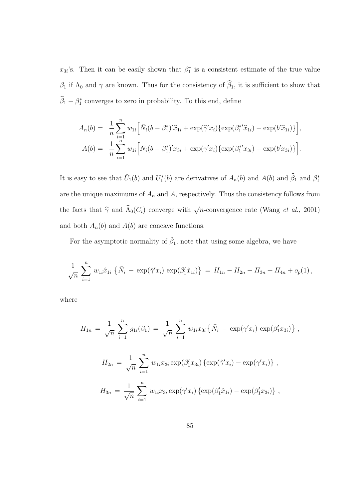$x_{3i}$ 's. Then it can be easily shown that  $\beta_1^*$  is a consistent estimate of the true value  $\beta_1$  if  $\Lambda_0$  and  $\gamma$  are known. Thus for the consistency of  $\widehat{\beta}_1$ , it is sufficient to show that  $\widehat{\beta}_1 - \beta_1^*$  converges to zero in probability. To this end, define

$$
A_n(b) = \frac{1}{n} \sum_{i=1}^n w_{1i} \Big[ \bar{N}_i (b - \beta_1^*)' \hat{x}_{1i} + \exp(\hat{\gamma}' x_i) \{ \exp(\beta_1^* \hat{x}_{1i}) - \exp(b' \hat{x}_{1i}) \} \Big],
$$
  

$$
A(b) = \frac{1}{n} \sum_{i=1}^n w_{1i} \Big[ \bar{N}_i (b - \beta_1^*)' x_{3i} + \exp(\gamma' x_i) \{ \exp(\beta_1^* x_{3i}) - \exp(b' x_{3i}) \} \Big].
$$

It is easy to see that  $\hat{U}_1(b)$  and  $U_1^*(b)$  are derivatives of  $A_n(b)$  and  $A(b)$  and  $\hat{\beta}_1$  and  $\beta_1^*$ are the unique maximums of  $A_n$  and  $A$ , respectively. Thus the consistency follows from the facts that  $\hat{\gamma}$  and  $\hat{\Lambda}_0(C_i)$  converge with  $\sqrt{n}$ -convergence rate (Wang *et al.*, 2001) and both  $A_n(b)$  and  $A(b)$  are concave functions.

For the asymptotic normality of  $\hat{\beta}_1$ , note that using some algebra, we have

$$
\frac{1}{\sqrt{n}} \sum_{i=1}^{n} w_{1i} \hat{x}_{1i} \left\{ \bar{N}_i - \exp(\hat{\gamma}' x_i) \exp(\beta'_1 \hat{x}_{1i}) \right\} = H_{1n} - H_{2n} - H_{3n} + H_{4n} + o_p(1),
$$

where

$$
H_{1n} = \frac{1}{\sqrt{n}} \sum_{i=1}^{n} g_{1i}(\beta_1) = \frac{1}{\sqrt{n}} \sum_{i=1}^{n} w_{1i} x_{3i} \{ \bar{N}_i - \exp(\gamma' x_i) \exp(\beta'_1 x_{3i}) \},
$$
  
\n
$$
H_{2n} = \frac{1}{\sqrt{n}} \sum_{i=1}^{n} w_{1i} x_{3i} \exp(\beta'_1 x_{3i}) \{ \exp(\hat{\gamma}' x_i) - \exp(\gamma' x_i) \},
$$
  
\n
$$
H_{3n} = \frac{1}{\sqrt{n}} \sum_{i=1}^{n} w_{1i} x_{3i} \exp(\gamma' x_i) \{ \exp(\beta'_1 x_{1i}) - \exp(\beta'_1 x_{3i}) \},
$$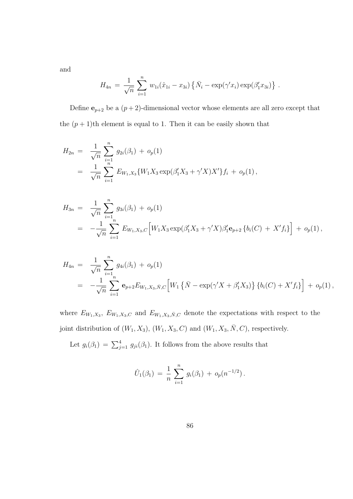and

$$
H_{4n} = \frac{1}{\sqrt{n}} \sum_{i=1}^{n} w_{1i} (\hat{x}_{1i} - x_{3i}) \{ \bar{N}_i - \exp(\gamma' x_i) \exp(\beta'_1 x_{3i}) \}.
$$

Define  $e_{p+2}$  be a  $(p+2)$ -dimensional vector whose elements are all zero except that the  $(p+1)$ th element is equal to 1. Then it can be easily shown that

$$
H_{2n} = \frac{1}{\sqrt{n}} \sum_{i=1}^{n} g_{2i}(\beta_1) + o_p(1)
$$
  
= 
$$
\frac{1}{\sqrt{n}} \sum_{i=1}^{n} E_{W_1,X_3}\{W_1X_3 \exp(\beta_1'X_3 + \gamma'X)X'\}f_i + o_p(1),
$$

$$
H_{3n} = \frac{1}{\sqrt{n}} \sum_{i=1}^{n} g_{3i}(\beta_1) + o_p(1)
$$
  
= 
$$
-\frac{1}{\sqrt{n}} \sum_{i=1}^{n} E_{W_1, X_3, C} \Big[ W_1 X_3 \exp(\beta_1' X_3 + \gamma' X) \beta_1' \mathbf{e}_{p+2} \{b_i(C) + X' f_i\} \Big] + o_p(1),
$$

$$
H_{4n} = \frac{1}{\sqrt{n}} \sum_{i=1}^{n} g_{4i}(\beta_1) + o_p(1)
$$
  
= 
$$
-\frac{1}{\sqrt{n}} \sum_{i=1}^{n} \mathbf{e}_{p+2} E_{W_1, X_3, \bar{N}, C} \Big[ W_1 \left\{ \bar{N} - \exp(\gamma' X + \beta'_1 X_3) \right\} \left\{ b_i(C) + X' f_i \right\} \Big] + o_p(1),
$$

where  $E_{W_1,X_3}$ ,  $E_{W_1,X_3,C}$  and  $E_{W_1,X_3,\bar{N},C}$  denote the expectations with respect to the joint distribution of  $(W_1, X_3)$ ,  $(W_1, X_3, C)$  and  $(W_1, X_3, \overline{N}, C)$ , respectively.

Let  $g_i(\beta_1) = \sum_{j=1}^4 g_{ji}(\beta_1)$ . It follows from the above results that

$$
\hat{U}_1(\beta_1) = \frac{1}{n} \sum_{i=1}^n g_i(\beta_1) + o_p(n^{-1/2}).
$$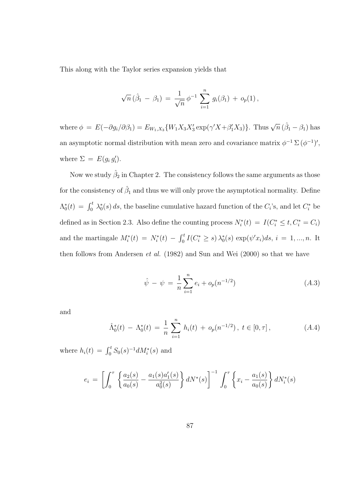This along with the Taylor series expansion yields that

$$
\sqrt{n}(\hat{\beta}_1 - \beta_1) = \frac{1}{\sqrt{n}} \phi^{-1} \sum_{i=1}^n g_i(\beta_1) + o_p(1),
$$

where  $\phi = E(-\partial g_i/\partial \beta_1) = E_{W_1,X_3}\{W_1X_3X_3'\exp(\gamma'X+\beta_1'X_3)\}\.$  Thus  $\sqrt{n}(\hat{\beta}_1 - \beta_1)$  has an asymptotic normal distribution with mean zero and covariance matrix  $\phi^{-1} \Sigma (\phi^{-1})'$ , where  $\Sigma = E(g_i g'_i)$ .

Now we study  $\hat{\beta}_2$  in Chapter 2. The consistency follows the same arguments as those for the consistency of  $\hat{\beta}_1$  and thus we will only prove the asymptotical normality. Define  $\Lambda_0^*(t) = \int_0^t \lambda_0^*(s) ds$ , the baseline cumulative hazard function of the  $C_i$ 's, and let  $C_i^*$  be defined as in Section 2.3. Also define the counting process  $N_i^*(t) = I(C_i^* \leq t, C_i^* = C_i)$ and the martingale  $M_i^*(t) = N_i^*(t) - \int_0^t$  $\sum_{i=0}^{t} I(C_i^* \geq s) \lambda_0^*(s) \exp(\psi' x_i) ds, i = 1, ..., n$ . It then follows from Andersen et al. (1982) and Sun and Wei (2000) so that we have

$$
\hat{\psi} - \psi = \frac{1}{n} \sum_{i=1}^{n} e_i + o_p(n^{-1/2})
$$
\n(A.3)

and

$$
\hat{\Lambda}_0^*(t) - \Lambda_0^*(t) = \frac{1}{n} \sum_{i=1}^n h_i(t) + o_p(n^{-1/2}), \ t \in [0, \tau], \tag{A.4}
$$

where  $h_i(t) = \int_0^t S_0(s)^{-1} dM_i^*(s)$  and

$$
e_i = \left[ \int_0^{\tau} \left\{ \frac{a_2(s)}{a_0(s)} - \frac{a_1(s)a_1'(s)}{a_0^2(s)} \right\} dN^*(s) \right]^{-1} \int_0^{\tau} \left\{ x_i - \frac{a_1(s)}{a_0(s)} \right\} dN_i^*(s)
$$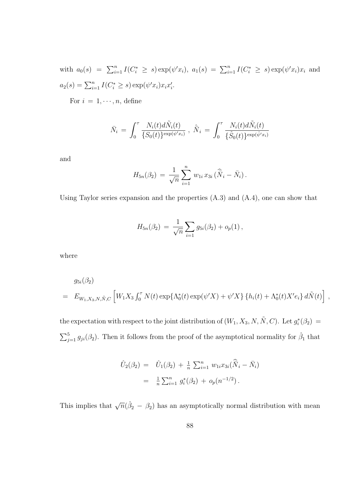with  $a_0(s) = \sum_{i=1}^n I(C_i^* \geq s) \exp(\psi' x_i), a_1(s) = \sum_{i=1}^n I(C_i^* \geq s) \exp(\psi' x_i) x_i$  and  $a_2(s) = \sum_{i=1}^n I(C_i^* \geq s) \exp(\psi' x_i) x_i x_i'.$ 

For  $i = 1, \dots, n$ , define

$$
\bar{N}_i = \int_0^{\tau} \frac{N_i(t) d\tilde{N}_i(t)}{\{S_0(t)\}^{\exp(\psi' x_i)}} , \ \hat{\bar{N}}_i = \int_0^{\tau} \frac{N_i(t) d\tilde{N}_i(t)}{\{\hat{S}_0(t)\}^{\exp(\hat{\psi}' x_i)}}
$$

and

$$
H_{5n}(\beta_2) = \frac{1}{\sqrt{n}} \sum_{i=1}^n w_{1i} x_{3i} (\hat{\bar{N}}_i - \bar{N}_i).
$$

Using Taylor series expansion and the properties (A.3) and (A.4), one can show that

$$
H_{5n}(\beta_2) = \frac{1}{\sqrt{n}} \sum_{i=1} g_{5i}(\beta_2) + o_p(1),
$$

where

$$
g_{5i}(\beta_2)
$$
  
=  $E_{W_1, X_3, N, \tilde{N}, C} \left[ W_1 X_3 \int_0^{\tau} N(t) \exp\{\Lambda_0^*(t) \exp(\psi' X) + \psi' X\} \{h_i(t) + \Lambda_0^*(t) X' e_i\} d\tilde{N}(t) \right],$ 

the expectation with respect to the joint distribution of  $(W_1, X_3, N, \tilde{N}, C)$ . Let  $g_i^*(\beta_2)$  $\sum_{j=1}^{5} g_{ji}(\beta_2)$ . Then it follows from the proof of the asymptotical normality for  $\hat{\beta}_1$  that

$$
\hat{U}_2(\beta_2) = \hat{U}_1(\beta_2) + \frac{1}{n} \sum_{i=1}^n w_{1i} x_{3i} (\hat{\overline{N}}_i - \overline{N}_i)
$$
  
= 
$$
\frac{1}{n} \sum_{i=1}^n g_i^*(\beta_2) + o_p(n^{-1/2}).
$$

This implies that  $\sqrt{n}(\hat{\beta}_2 - \beta_2)$  has an asymptotically normal distribution with mean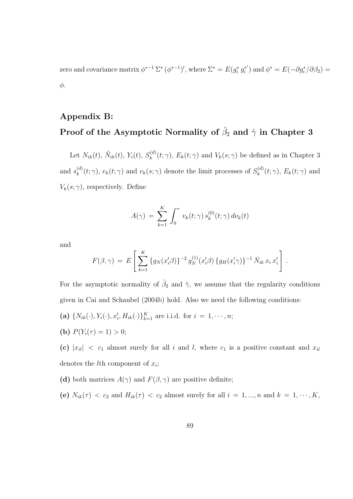zero and covariance matrix  $\phi^{*-1} \Sigma^* (\phi^{*-1})'$ , where  $\Sigma^* = E(g_i^* g_i^{*})$  $i^*$ ) and  $\phi^* = E(-\partial g_i^*/\partial \beta_2)$  = φ.

## Appendix B:

## Proof of the Asymptotic Normality of  $\hat{\beta}_2$  and  $\hat{\gamma}$  in Chapter 3

Let  $N_{ik}(t)$ ,  $\tilde{N}_{ik}(t)$ ,  $Y_i(t)$ ,  $S_k^{(d)}$  $k_k^{(a)}(t; \gamma)$ ,  $E_k(t; \gamma)$  and  $V_k(s; \gamma)$  be defined as in Chapter 3 and  $s_k^{(d)}$  $k_k^{(d)}(t; \gamma)$ ,  $e_k(t; \gamma)$  and  $v_k(s; \gamma)$  denote the limit processes of  $S_k^{(d)}$  $k^{(a)}(t; \gamma)$ ,  $E_k(t; \gamma)$  and  $V_k(s; \gamma)$ , respectively. Define

$$
A(\gamma) = \sum_{k=1}^{K} \int_0^{\tau} v_k(t; \gamma) s_k^{(0)}(t; \gamma) d\nu_k(t)
$$

and

$$
F(\beta, \gamma) = E\left[\sum_{k=1}^K \{g_N(x_i'\beta)\}^{-2} g_N^{(1)}(x_i'\beta) \{g_H(x_i'\gamma)\}^{-1} \bar{N}_{ik} x_i x_i'\right].
$$

For the asymptotic normality of  $\hat{\beta}_2$  and  $\hat{\gamma}$ , we assume that the regularity conditions given in Cai and Schaubel (2004b) hold. Also we need the following conditions:

- (a)  $\{N_{ik}(\cdot), Y_i(\cdot), x'_i, H_{ik}(\cdot)\}_{k=1}^K$  are i.i.d. for  $i = 1, \dots, n$ ;
- (**b**)  $P(Y_i(\tau) = 1) > 0;$

(c)  $|x_{ii}|$  <  $c_1$  almost surely for all i and l, where  $c_1$  is a positive constant and  $x_{ii}$ denotes the *l*<sup>th</sup> component of  $x_i$ ;

- (d) both matrices  $A(\gamma)$  and  $F(\beta, \gamma)$  are positive definite;
- (e)  $N_{ik}(\tau) < c_2$  and  $H_{ik}(\tau) < c_2$  almost surely for all  $i = 1, ..., n$  and  $k = 1, ..., K$ ,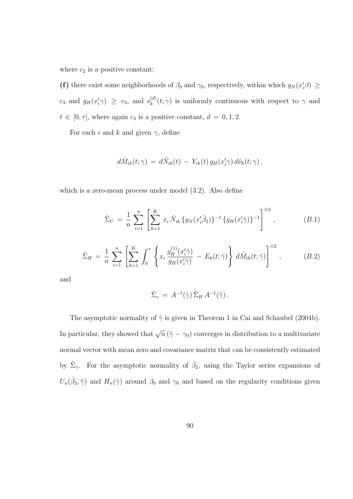where  $c_2$  is a positive constant;

(f) there exist some neighborhoods of  $\beta_0$  and  $\gamma_0$ , respectively, within which  $g_N(x_i'\beta) \geq$  $c_3$  and  $g_H(x'_i \gamma) \geq c_3$ , and  $s_k^{(d)}$  $\binom{a}{k}(t; \gamma)$  is uniformly continuous with respect to  $\gamma$  and  $t \in [0, \tau]$ , where again  $c_3$  is a positive constant,  $d = 0, 1, 2$ .

For each i and k and given  $\gamma$ , define

$$
d\hat{M}_{ik}(t;\gamma) = d\tilde{N}_{ik}(t) - Y_{ik}(t) g_H(x'_i\gamma) d\hat{\nu}_k(t;\gamma) ,
$$

which is a zero-mean process under model (3.2). Also define

$$
\hat{\Sigma}_U = \frac{1}{n} \sum_{i=1}^n \left[ \sum_{k=1}^K x_i \bar{N}_{ik} \{ g_N(x_i' \hat{\beta}_2) \}^{-1} \{ g_H(x_i' \hat{\gamma}) \}^{-1} \right]^{\otimes 2}, \qquad (B.1)
$$

$$
\hat{\Sigma}_H = \frac{1}{n} \sum_{i=1}^n \left[ \sum_{k=1}^K \int_0^\tau \left\{ x_i \frac{g_H^{(1)}(x_i' \hat{\gamma})}{g_H(x_i' \hat{\gamma})} - E_k(t; \hat{\gamma}) \right\} d\hat{M}_{ik}(t; \hat{\gamma}) \right]^{\otimes 2}, \quad (B.2)
$$

and

$$
\hat{\Sigma}_{\gamma} = A^{-1}(\hat{\gamma}) \,\hat{\Sigma}_H \, A^{-1}(\hat{\gamma})\,.
$$

The asymptotic normality of  $\hat{\gamma}$  is given in Theorem 1 in Cai and Schaubel (2004b). In particular, they showed that  $\sqrt{n}(\hat{\gamma} - \gamma_0)$  converges in distribution to a multivariate normal vector with mean zero and covariance matrix that can be consistently estimated by  $\hat{\Sigma}_{\gamma}$ . For the asymptotic normality of  $\hat{\beta}_2$ , using the Taylor series expansions of  $U_n(\hat{\beta}_2, \hat{\gamma})$  and  $H_n(\hat{\gamma})$  around  $\beta_0$  and  $\gamma_0$  and based on the regularity conditions given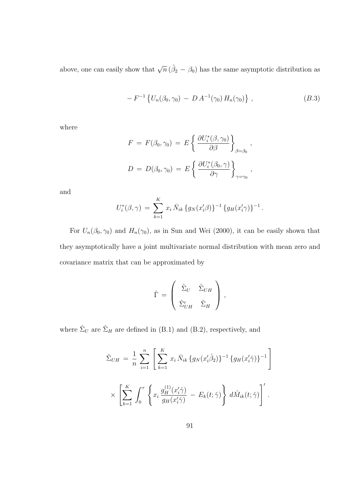above, one can easily show that  $\sqrt{n} (\hat{\beta}_2 - \beta_0)$  has the same asymptotic distribution as

$$
- F^{-1} \left\{ U_n(\beta_0, \gamma_0) - D A^{-1}(\gamma_0) H_n(\gamma_0) \right\}, \qquad (B.3)
$$

where

$$
F = F(\beta_0, \gamma_0) = E \left\{ \frac{\partial U_i^*(\beta, \gamma_0)}{\partial \beta} \right\}_{\beta = \beta_0},
$$
  

$$
D = D(\beta_0, \gamma_0) = E \left\{ \frac{\partial U_i^*(\beta_0, \gamma)}{\partial \gamma} \right\}_{\gamma = \gamma_0},
$$

and

$$
U_i^*(\beta, \gamma) = \sum_{k=1}^K x_i \bar{N}_{ik} \{g_N(x_i'\beta)\}^{-1} \{g_H(x_i'\gamma)\}^{-1}.
$$

For  $U_n(\beta_0, \gamma_0)$  and  $H_n(\gamma_0)$ , as in Sun and Wei (2000), it can be easily shown that they asymptotically have a joint multivariate normal distribution with mean zero and covariance matrix that can be approximated by

$$
\hat{\Gamma} = \left( \begin{array}{cc} \hat{\Sigma}_U & \hat{\Sigma}_{UH} \\ \hat{\Sigma}'_{UH} & \hat{\Sigma}_H \end{array} \right),
$$

where  $\hat{\Sigma}_U$  are  $\hat{\Sigma}_H$  are defined in (B.1) and (B.2), respectively, and

$$
\hat{\Sigma}_{UH} = \frac{1}{n} \sum_{i=1}^{n} \left[ \sum_{k=1}^{K} x_i \bar{N}_{ik} \{ g_N(x_i'\hat{\beta}_2) \}^{-1} \{ g_H(x_i'\hat{\gamma}) \}^{-1} \right]
$$
\n
$$
\times \left[ \sum_{k=1}^{K} \int_0^{\tau} \left\{ x_i \frac{g_H^{(1)}(x_i'\hat{\gamma})}{g_H(x_i'\hat{\gamma})} - E_k(t;\hat{\gamma}) \right\} d\hat{M}_{ik}(t;\hat{\gamma}) \right]^{\prime}.
$$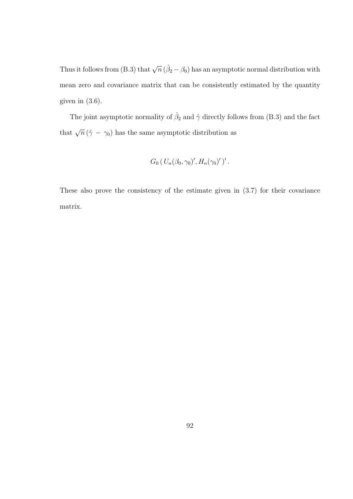Thus it follows from (B.3) that  $\sqrt{n} (\hat{\beta}_2 - \beta_0)$  has an asymptotic normal distribution with mean zero and covariance matrix that can be consistently estimated by the quantity given in  $(3.6)$ .

The joint asymptotic normality of  $\hat{\beta}_2$  and  $\hat{\gamma}$  directly follows from (B.3) and the fact that  $\sqrt{n} (\hat{\gamma} - \gamma_0)$  has the same asymptotic distribution as

$$
G_0(U_n(\beta_0, \gamma_0)', H_n(\gamma_0)')'
$$
.

These also prove the consistency of the estimate given in (3.7) for their covariance matrix.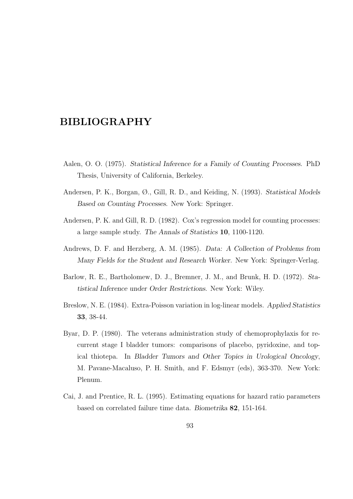## BIBLIOGRAPHY

- Aalen, O. O. (1975). Statistical Inference for a Family of Counting Processes. PhD Thesis, University of California, Berkeley.
- Andersen, P. K., Borgan, Ø., Gill, R. D., and Keiding, N. (1993). Statistical Models Based on Counting Processes. New York: Springer.
- Andersen, P. K. and Gill, R. D. (1982). Cox's regression model for counting processes: a large sample study. The Annals of Statistics 10, 1100-1120.
- Andrews, D. F. and Herzberg, A. M. (1985). Data: A Collection of Problems from Many Fields for the Student and Research Worker. New York: Springer-Verlag.
- Barlow, R. E., Bartholomew, D. J., Bremner, J. M., and Brunk, H. D. (1972). Statistical Inference under Order Restrictions. New York: Wiley.
- Breslow, N. E. (1984). Extra-Poisson variation in log-linear models. Applied Statistics 33, 38-44.
- Byar, D. P. (1980). The veterans administration study of chemoprophylaxis for recurrent stage I bladder tumors: comparisons of placebo, pyridoxine, and topical thiotepa. In Bladder Tumors and Other Topics in Urological Oncology, M. Pavane-Macaluso, P. H. Smith, and F. Edsmyr (eds), 363-370. New York: Plenum.
- Cai, J. and Prentice, R. L. (1995). Estimating equations for hazard ratio parameters based on correlated failure time data. Biometrika 82, 151-164.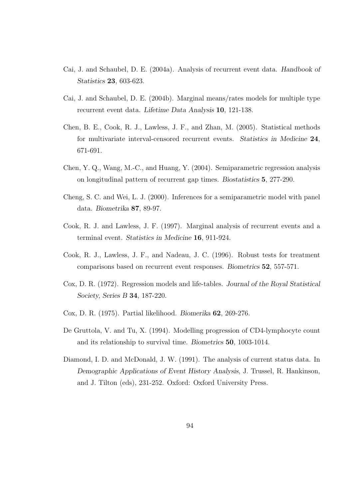- Cai, J. and Schaubel, D. E. (2004a). Analysis of recurrent event data. Handbook of Statistics 23, 603-623.
- Cai, J. and Schaubel, D. E. (2004b). Marginal means/rates models for multiple type recurrent event data. Lifetime Data Analysis 10, 121-138.
- Chen, B. E., Cook, R. J., Lawless, J. F., and Zhan, M. (2005). Statistical methods for multivariate interval-censored recurrent events. Statistics in Medicine 24, 671-691.
- Chen, Y. Q., Wang, M.-C., and Huang, Y. (2004). Semiparametric regression analysis on longitudinal pattern of recurrent gap times. Biostatistics 5, 277-290.
- Cheng, S. C. and Wei, L. J. (2000). Inferences for a semiparametric model with panel data. Biometrika 87, 89-97.
- Cook, R. J. and Lawless, J. F. (1997). Marginal analysis of recurrent events and a terminal event. Statistics in Medicine 16, 911-924.
- Cook, R. J., Lawless, J. F., and Nadeau, J. C. (1996). Robust tests for treatment comparisons based on recurrent event responses. Biometrics 52, 557-571.
- Cox, D. R. (1972). Regression models and life-tables. Journal of the Royal Statistical Society, Series B 34, 187-220.
- Cox, D. R. (1975). Partial likelihood. Biomerika 62, 269-276.
- De Gruttola, V. and Tu, X. (1994). Modelling progression of CD4-lymphocyte count and its relationship to survival time. Biometrics 50, 1003-1014.
- Diamond, I. D. and McDonald, J. W. (1991). The analysis of current status data. In Demographic Applications of Event History Analysis, J. Trussel, R. Hankinson, and J. Tilton (eds), 231-252. Oxford: Oxford University Press.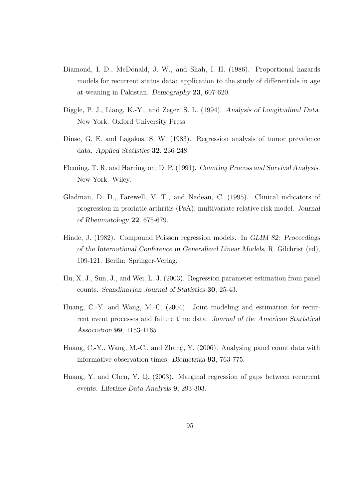- Diamond, I. D., McDonald, J. W., and Shah, I. H. (1986). Proportional hazards models for recurrent status data: application to the study of differentials in age at weaning in Pakistan. Demography 23, 607-620.
- Diggle, P. J., Liang, K.-Y., and Zeger, S. L. (1994). Analysis of Longitudinal Data. New York: Oxford University Press.
- Dinse, G. E. and Lagakos, S. W. (1983). Regression analysis of tumor prevalence data. Applied Statistics 32, 236-248.
- Fleming, T. R. and Harrington, D. P. (1991). Counting Process and Survival Analysis. New York: Wiley.
- Gladman, D. D., Farewell, V. T., and Nadeau, C. (1995). Clinical indicators of progression in psoriatic arthritis (PsA): multivariate relative risk model. Journal of Rheumatology 22, 675-679.
- Hinde, J. (1982). Compound Poisson regression models. In GLIM 82: Proceedings of the International Conference in Generalized Linear Models, R. Gilchrist (ed), 109-121. Berlin: Springer-Verlag.
- Hu, X. J., Sun, J., and Wei, L. J. (2003). Regression parameter estimation from panel counts. Scandinavian Journal of Statistics 30, 25-43.
- Huang, C.-Y. and Wang, M.-C. (2004). Joint modeling and estimation for recurrent event processes and failure time data. Journal of the American Statistical Association 99, 1153-1165.
- Huang, C.-Y., Wang, M.-C., and Zhang, Y. (2006). Analysing panel count data with informative observation times. Biometrika 93, 763-775.
- Huang, Y. and Chen, Y. Q. (2003). Marginal regression of gaps between recurrent events. Lifetime Data Analysis 9, 293-303.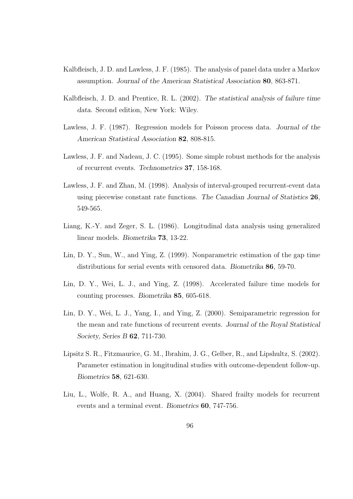- Kalbfleisch, J. D. and Lawless, J. F. (1985). The analysis of panel data under a Markov assumption. Journal of the American Statistical Association 80, 863-871.
- Kalbfleisch, J. D. and Prentice, R. L. (2002). The statistical analysis of failure time data. Second edition, New York: Wiley.
- Lawless, J. F. (1987). Regression models for Poisson process data. Journal of the American Statistical Association 82, 808-815.
- Lawless, J. F. and Nadeau, J. C. (1995). Some simple robust methods for the analysis of recurrent events. Technometrics 37, 158-168.
- Lawless, J. F. and Zhan, M. (1998). Analysis of interval-grouped recurrent-event data using piecewise constant rate functions. The Canadian Journal of Statistics 26, 549-565.
- Liang, K.-Y. and Zeger, S. L. (1986). Longitudinal data analysis using generalized linear models. Biometrika 73, 13-22.
- Lin, D. Y., Sun, W., and Ying, Z. (1999). Nonparametric estimation of the gap time distributions for serial events with censored data. Biometrika 86, 59-70.
- Lin, D. Y., Wei, L. J., and Ying, Z. (1998). Accelerated failure time models for counting processes. Biometrika 85, 605-618.
- Lin, D. Y., Wei, L. J., Yang, I., and Ying, Z. (2000). Semiparametric regression for the mean and rate functions of recurrent events. Journal of the Royal Statistical Society, Series B 62, 711-730.
- Lipsitz S. R., Fitzmaurice, G. M., Ibrahim, J. G., Gelber, R., and Lipshultz, S. (2002). Parameter estimation in longitudinal studies with outcome-dependent follow-up. Biometrics 58, 621-630.
- Liu, L., Wolfe, R. A., and Huang, X. (2004). Shared frailty models for recurrent events and a terminal event. Biometrics 60, 747-756.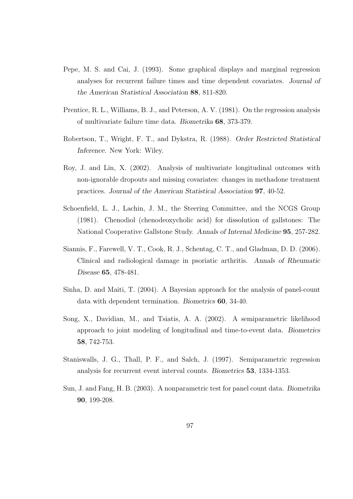- Pepe, M. S. and Cai, J. (1993). Some graphical displays and marginal regression analyses for recurrent failure times and time dependent covariates. Journal of the American Statistical Association 88, 811-820.
- Prentice, R. L., Williams, B. J., and Peterson, A. V. (1981). On the regression analysis of multivariate failure time data. Biometrika 68, 373-379.
- Robertson, T., Wright, F. T., and Dykstra, R. (1988). Order Restricted Statistical Inference. New York: Wiley.
- Roy, J. and Lin, X. (2002). Analysis of multivariate longitudinal outcomes with non-ignorable dropouts and missing covariates: changes in methadone treatment practices. Journal of the American Statistical Association 97, 40-52.
- Schoenfield, L. J., Lachin, J. M., the Steering Committee, and the NCGS Group (1981). Chenodiol (chenodeoxycholic acid) for dissolution of gallstones: The National Cooperative Gallstone Study. Annals of Internal Medicine 95, 257-282.
- Siannis, F., Farewell, V. T., Cook, R. J., Schentag, C. T., and Gladman, D. D. (2006). Clinical and radiological damage in psoriatic arthritis. Annals of Rheumatic Disease 65, 478-481.
- Sinha, D. and Maiti, T. (2004). A Bayesian approach for the analysis of panel-count data with dependent termination. Biometrics 60, 34-40.
- Song, X., Davidian, M., and Tsiatis, A. A. (2002). A semiparametric likelihood approach to joint modeling of longitudinal and time-to-event data. Biometrics 58, 742-753.
- Staniswalls, J. G., Thall, P. F., and Salch, J. (1997). Semiparametric regression analysis for recurrent event interval counts. Biometrics 53, 1334-1353.
- Sun, J. and Fang, H. B. (2003). A nonparametric test for panel count data. Biometrika 90, 199-208.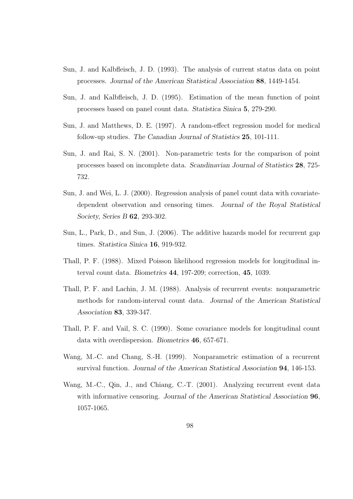- Sun, J. and Kalbfleisch, J. D. (1993). The analysis of current status data on point processes. Journal of the American Statistical Association 88, 1449-1454.
- Sun, J. and Kalbfleisch, J. D. (1995). Estimation of the mean function of point processes based on panel count data. Statistica Sinica 5, 279-290.
- Sun, J. and Matthews, D. E. (1997). A random-effect regression model for medical follow-up studies. The Canadian Journal of Statistics 25, 101-111.
- Sun, J. and Rai, S. N. (2001). Non-parametric tests for the comparison of point processes based on incomplete data. Scandinavian Journal of Statistics 28, 725- 732.
- Sun, J. and Wei, L. J. (2000). Regression analysis of panel count data with covariatedependent observation and censoring times. Journal of the Royal Statistical Society, Series B 62, 293-302.
- Sun, L., Park, D., and Sun, J. (2006). The additive hazards model for recurrent gap times. Statistica Sinica 16, 919-932.
- Thall, P. F. (1988). Mixed Poisson likelihood regression models for longitudinal interval count data. Biometrics 44, 197-209; correction, 45, 1039.
- Thall, P. F. and Lachin, J. M. (1988). Analysis of recurrent events: nonparametric methods for random-interval count data. Journal of the American Statistical Association 83, 339-347.
- Thall, P. F. and Vail, S. C. (1990). Some covariance models for longitudinal count data with overdispersion. Biometrics 46, 657-671.
- Wang, M.-C. and Chang, S.-H. (1999). Nonparametric estimation of a recurrent survival function. Journal of the American Statistical Association 94, 146-153.
- Wang, M.-C., Qin, J., and Chiang, C.-T. (2001). Analyzing recurrent event data with informative censoring. Journal of the American Statistical Association **96**, 1057-1065.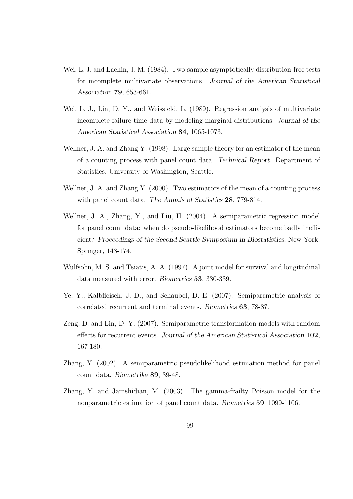- Wei, L. J. and Lachin, J. M. (1984). Two-sample asymptotically distribution-free tests for incomplete multivariate observations. Journal of the American Statistical Association 79, 653-661.
- Wei, L. J., Lin, D. Y., and Weissfeld, L. (1989). Regression analysis of multivariate incomplete failure time data by modeling marginal distributions. Journal of the American Statistical Association 84, 1065-1073.
- Wellner, J. A. and Zhang Y. (1998). Large sample theory for an estimator of the mean of a counting process with panel count data. Technical Report. Department of Statistics, University of Washington, Seattle.
- Wellner, J. A. and Zhang Y. (2000). Two estimators of the mean of a counting process with panel count data. The Annals of Statistics 28, 779-814.
- Wellner, J. A., Zhang, Y., and Liu, H. (2004). A semiparametric regression model for panel count data: when do pseudo-likelihood estimators become badly inefficient? Proceedings of the Second Seattle Symposium in Biostatistics, New York: Springer, 143-174.
- Wulfsohn, M. S. and Tsiatis, A. A. (1997). A joint model for survival and longitudinal data measured with error. Biometrics 53, 330-339.
- Ye, Y., Kalbfleisch, J. D., and Schaubel, D. E. (2007). Semiparametric analysis of correlated recurrent and terminal events. Biometrics 63, 78-87.
- Zeng, D. and Lin, D. Y. (2007). Semiparametric transformation models with random effects for recurrent events. Journal of the American Statistical Association 102, 167-180.
- Zhang, Y. (2002). A semiparametric pseudolikelihood estimation method for panel count data. Biometrika 89, 39-48.
- Zhang, Y. and Jamshidian, M. (2003). The gamma-frailty Poisson model for the nonparametric estimation of panel count data. Biometrics 59, 1099-1106.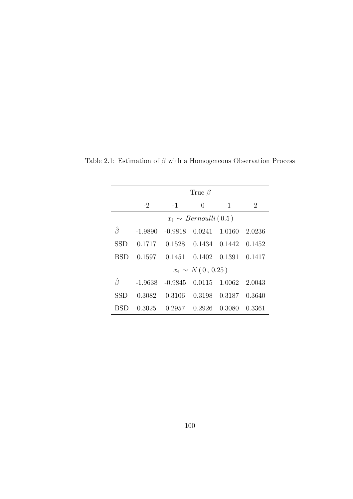|            |           |                                              | True $\beta$                |        |        |
|------------|-----------|----------------------------------------------|-----------------------------|--------|--------|
|            | $-2$      | $-1$                                         | 0                           | 1      | 2      |
|            |           |                                              | $x_i \sim Bernoulli(0.5)$   |        |        |
| Ĝ          | $-1.9890$ | $-0.9818$                                    | $0.0241$ 1.0160             |        | 2.0236 |
| <b>SSD</b> |           | $0.1717$ $0.1528$ $0.1434$ $0.1442$ $0.1452$ |                             |        |        |
| BSD        |           | $0.1597$ $0.1451$ $0.1402$ $0.1391$ $0.1417$ |                             |        |        |
|            |           |                                              | $x_i \sim N(0, 0.25)$       |        |        |
| Ĝ          | $-1.9638$ |                                              | $-0.9845$ $0.0115$ $1.0062$ |        | 2.0043 |
| <b>SSD</b> | 0.3082    |                                              | 0.3106 0.3198 0.3187        |        | 0.3640 |
| BSD        |           | $0.3025$ $0.2957$ $0.2926$                   |                             | 0.3080 | 0.3361 |

Table 2.1: Estimation of  $\beta$  with a Homogeneous Observation Process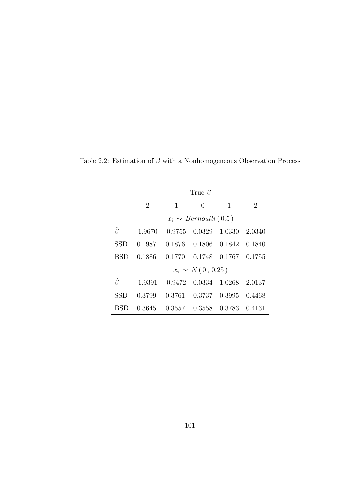|     |           |           | True $\beta$              |               |                |
|-----|-----------|-----------|---------------------------|---------------|----------------|
|     | $-2$      | $-1$      | 0                         | 1             | $\overline{2}$ |
|     |           |           | $x_i \sim Bernoulli(0.5)$ |               |                |
| Ĝ   | $-1.9670$ | $-0.9755$ | 0.0329                    | 1.0330        | 2.0340         |
| SSD | 0.1987    | 0.1876    |                           | 0.1806 0.1842 | 0.1840         |
| BSD | 0.1886    | 0.1770    |                           | 0.1748 0.1767 | 0.1755         |
|     |           |           | $x_i \sim N(0, 0.25)$     |               |                |
| Ĝ   | $-1.9391$ | $-0.9472$ | 0.0334                    | 1.0268        | 2.0137         |
| SSD | 0.3799    | 0.3761    |                           | 0.3737 0.3995 | 0.4468         |
| BSD | 0.3645    | 0.3557    | 0.3558                    | 0.3783        | 0.4131         |

Table 2.2: Estimation of  $\beta$  with a Nonhomogeneous Observation Process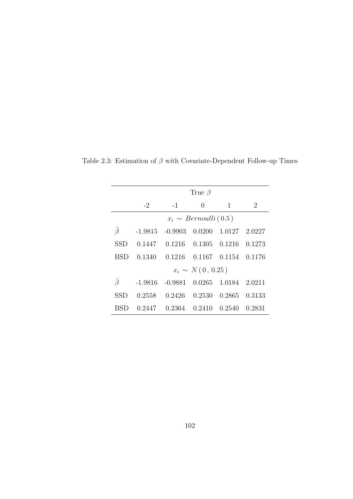|     |           |                                              | True $\beta$              |                            |                |
|-----|-----------|----------------------------------------------|---------------------------|----------------------------|----------------|
|     | $-2$      | $-1$                                         | $\theta$                  | 1                          | $\overline{2}$ |
|     |           |                                              | $x_i \sim Bernoulli(0.5)$ |                            |                |
| Ĝ   |           | $-1.9815 - 0.9903$                           |                           | $0.0200 \quad 1.0127$      | 2.0227         |
| SSD |           | $0.1447$ $0.1216$ $0.1305$ $0.1216$ $0.1273$ |                           |                            |                |
| BSD | 0.1340    | 0.1216                                       |                           | $0.1167$ $0.1154$ $0.1176$ |                |
|     |           |                                              | $x_i \sim N(0, 0.25)$     |                            |                |
| Ĝ   | $-1.9816$ | $-0.9881$                                    |                           | 0.0265 1.0184 2.0211       |                |
| SSD | 0.2558    | 0.2426                                       |                           | 0.2530 0.2865 0.3133       |                |
|     |           | $0.2447$ $0.2364$ $0.2410$ $0.2540$          |                           |                            | 0.2831         |

Table 2.3: Estimation of  $\beta$  with Covariate-Dependent Follow-up Times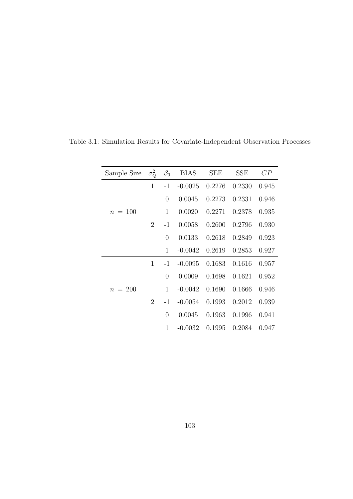| Sample Size | $\sigma_O^2$   | $\beta_0$      | <b>BIAS</b> | <b>SEE</b> | <b>SSE</b> | CP    |
|-------------|----------------|----------------|-------------|------------|------------|-------|
|             | $\mathbf{1}$   | $-1$           | $-0.0025$   | 0.2276     | 0.2330     | 0.945 |
|             |                | $\overline{0}$ | 0.0045      | 0.2273     | 0.2331     | 0.946 |
| $n = 100$   |                | 1              | 0.0020      | 0.2271     | 0.2378     | 0.935 |
|             | 2              | $-1$           | 0.0058      | 0.2600     | 0.2796     | 0.930 |
|             |                | $\theta$       | 0.0133      | 0.2618     | 0.2849     | 0.923 |
|             |                | 1              | $-0.0042$   | 0.2619     | 0.2853     | 0.927 |
|             | $\mathbf{1}$   | $-1$           | $-0.0095$   | 0.1683     | 0.1616     | 0.957 |
|             |                | $\overline{0}$ | 0.0009      | 0.1698     | 0.1621     | 0.952 |
| $n = 200$   |                | $\mathbf{1}$   | $-0.0042$   | 0.1690     | 0.1666     | 0.946 |
|             | $\overline{2}$ | $-1$           | $-0.0054$   | 0.1993     | 0.2012     | 0.939 |
|             |                | $\overline{0}$ | 0.0045      | 0.1963     | 0.1996     | 0.941 |
|             |                | 1              | $-0.0032$   | 0.1995     | 0.2084     | 0.947 |

Table 3.1: Simulation Results for Covariate-Independent Observation Processes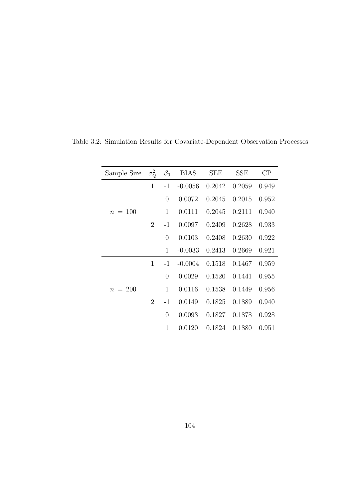| Sample Size | $\sigma_Q^2$   | $\beta_0$      | <b>BIAS</b> | <b>SEE</b> | <b>SSE</b> | $\rm CP$ |
|-------------|----------------|----------------|-------------|------------|------------|----------|
|             | $\mathbf{1}$   | $-1$           | $-0.0056$   | 0.2042     | 0.2059     | 0.949    |
|             |                | $\overline{0}$ | 0.0072      | 0.2045     | 0.2015     | 0.952    |
| $n = 100$   |                | $\mathbf 1$    | 0.0111      | 0.2045     | 0.2111     | 0.940    |
|             | 2              | $-1$           | 0.0097      | 0.2409     | 0.2628     | 0.933    |
|             |                | $\overline{0}$ | 0.0103      | 0.2408     | 0.2630     | 0.922    |
|             |                | 1              | $-0.0033$   | 0.2413     | 0.2669     | 0.921    |
|             | 1              | $-1$           | $-0.0004$   | 0.1518     | 0.1467     | 0.959    |
|             |                | $\overline{0}$ | 0.0029      | 0.1520     | 0.1441     | 0.955    |
| $n = 200$   |                | $\mathbf{1}$   | 0.0116      | 0.1538     | 0.1449     | 0.956    |
|             | $\overline{2}$ | $-1$           | 0.0149      | 0.1825     | 0.1889     | 0.940    |
|             |                | $\overline{0}$ | 0.0093      | 0.1827     | 0.1878     | 0.928    |
|             |                | 1              | 0.0120      | 0.1824     | 0.1880     | 0.951    |

Table 3.2: Simulation Results for Covariate-Dependent Observation Processes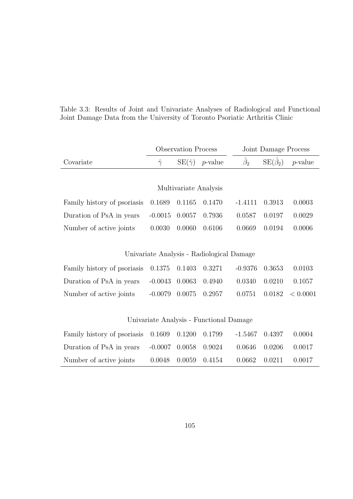|  |  |  | Table 3.3: Results of Joint and Univariate Analyses of Radiological and Functional |  |
|--|--|--|------------------------------------------------------------------------------------|--|
|  |  |  | Joint Damage Data from the University of Toronto Psoriatic Arthritis Clinic        |  |

|                             | <b>Observation Process</b> |                       |                                           | Joint Damage Process |                              |            |
|-----------------------------|----------------------------|-----------------------|-------------------------------------------|----------------------|------------------------------|------------|
| Covariate                   | $\hat{\gamma}$             | $SE(\hat{\gamma})$    | $p$ -value                                | $\hat{\beta}_2$      | $\mathrm{SE}(\hat{\beta}_2)$ | $p$ -value |
|                             |                            |                       |                                           |                      |                              |            |
|                             |                            | Multivariate Analysis |                                           |                      |                              |            |
| Family history of psoriasis | 0.1689                     | 0.1165                | 0.1470                                    | $-1.4111$            | 0.3913                       | 0.0003     |
| Duration of PsA in years    | $-0.0015$                  | 0.0057                | 0.7936                                    | 0.0587               | 0.0197                       | 0.0029     |
| Number of active joints     | 0.0030                     | 0.0060                | 0.6106                                    | 0.0669               | 0.0194                       | 0.0006     |
|                             |                            |                       |                                           |                      |                              |            |
|                             |                            |                       | Univariate Analysis - Radiological Damage |                      |                              |            |
| Family history of psoriasis | 0.1375                     | 0.1403                | 0.3271                                    | $-0.9376$            | 0.3653                       | 0.0103     |
| Duration of PsA in years    | $-0.0043$                  | 0.0063                | 0.4940                                    | 0.0340               | 0.0210                       | 0.1057     |
| Number of active joints     | $-0.0079$                  | 0.0075                | 0.2957                                    | 0.0751               | 0.0182                       | < 0.0001   |
|                             |                            |                       |                                           |                      |                              |            |
|                             |                            |                       | Univariate Analysis - Functional Damage   |                      |                              |            |
| Family history of psoriasis | 0.1609                     | 0.1200                | 0.1799                                    | $-1.5467$            | 0.4397                       | 0.0004     |
| Duration of PsA in years    | $-0.0007$                  | 0.0058                | 0.9024                                    | 0.0646               | 0.0206                       | 0.0017     |
| Number of active joints     | 0.0048                     | 0.0059                | 0.4154                                    | 0.0662               | 0.0211                       | 0.0017     |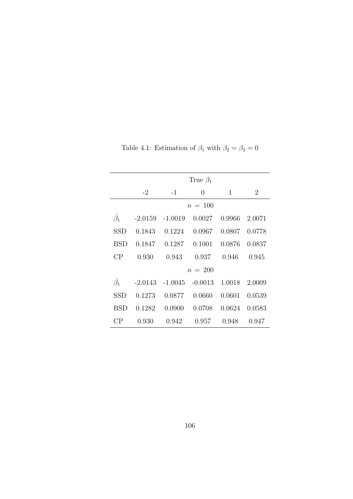|                 | True $\beta_1$ |                   |           |              |        |  |  |  |  |
|-----------------|----------------|-------------------|-----------|--------------|--------|--|--|--|--|
|                 | $-2$           | $-1$<br>0         |           | $\mathbf{1}$ | 2      |  |  |  |  |
|                 |                |                   | $n = 100$ |              |        |  |  |  |  |
| $\hat{\beta_1}$ |                | $-2.0159 -1.0019$ | 0.0027    | 0.9966       | 2.0071 |  |  |  |  |
| SSD             | 0.1843         | 0.1224            | 0.0967    | 0.0807       | 0.0778 |  |  |  |  |
| <b>BSD</b>      | 0.1847         | 0.1287            | 0.1001    | 0.0876       | 0.0837 |  |  |  |  |
| CP              | 0.930          | 0.943             | 0.937     | 0.946        | 0.945  |  |  |  |  |
|                 |                |                   | $n = 200$ |              |        |  |  |  |  |
| $\hat{\beta_1}$ | $-2.0143$      | $-1.0045$         | $-0.0013$ | 1.0018       | 2.0009 |  |  |  |  |
| <b>SSD</b>      | 0.1273         | 0.0877            | 0.0660    | 0.0601       | 0.0539 |  |  |  |  |
| BSD             | 0.1282         | 0.0900            | 0.0708    | 0.0624       | 0.0583 |  |  |  |  |
| CР              | 0.930          | 0.942             | 0.957     | 0.948        | 0.947  |  |  |  |  |

Table 4.1: Estimation of  $\beta_1$  with  $\beta_2 = \beta_3 = 0$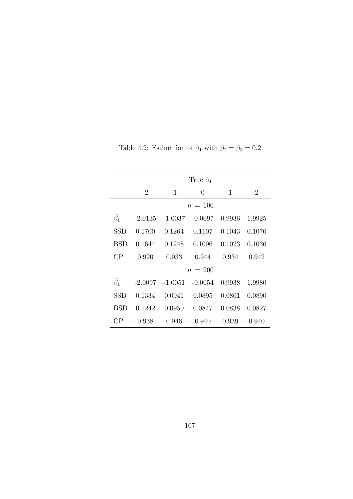|                 | True $\beta_1$ |                               |                    |        |        |  |  |  |  |
|-----------------|----------------|-------------------------------|--------------------|--------|--------|--|--|--|--|
|                 | $-2$           | $-1$                          | 0                  | 1      | 2      |  |  |  |  |
|                 |                |                               | $n = 100$          |        |        |  |  |  |  |
| $\hat{\beta_1}$ |                | $-2.0135$ $-1.0037$ $-0.0097$ |                    | 0.9936 | 1.9925 |  |  |  |  |
| SSD             | 0.1700         | 0.1264                        | 0.1107             | 0.1043 | 0.1076 |  |  |  |  |
| <b>BSD</b>      | 0.1644         |                               | $0.1248$ $0.1096$  | 0.1023 | 0.1036 |  |  |  |  |
| CP              | 0.920          | 0.933                         | 0.944              | 0.934  | 0.942  |  |  |  |  |
|                 |                |                               | $n = 200$          |        |        |  |  |  |  |
| $\hat{\beta_1}$ | $-2.0097$      |                               | $-1.0051 - 0.0054$ | 0.9938 | 1.9980 |  |  |  |  |
| <b>SSD</b>      | 0.1334         | 0.0941                        | 0.0895             | 0.0861 | 0.0890 |  |  |  |  |
| <b>BSD</b>      | 0.1242         | 0.0950                        | 0.0847             | 0.0838 | 0.0827 |  |  |  |  |
| СP              | 0.938          | 0.946                         | 0.940              | 0.939  | 0.940  |  |  |  |  |

Table 4.2: Estimation of  $\beta_1$  with  $\beta_2 = \beta_3 = 0.2$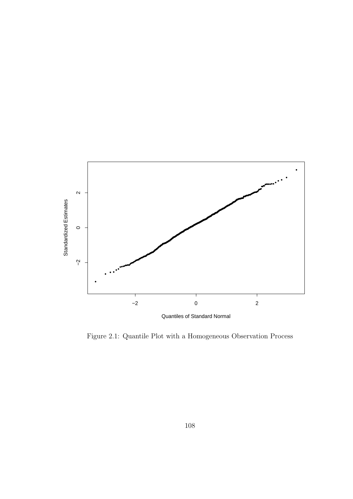

Figure 2.1: Quantile Plot with a Homogeneous Observation Process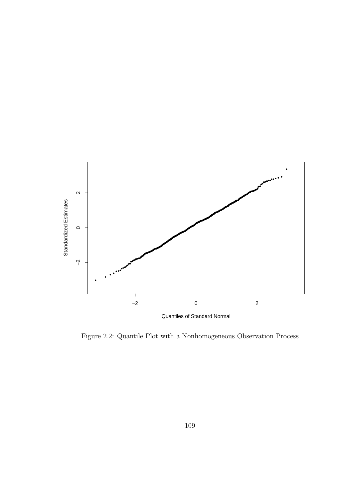

Figure 2.2: Quantile Plot with a Nonhomogeneous Observation Process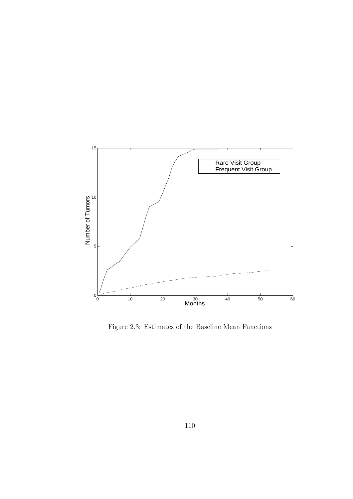

Figure 2.3: Estimates of the Baseline Mean Functions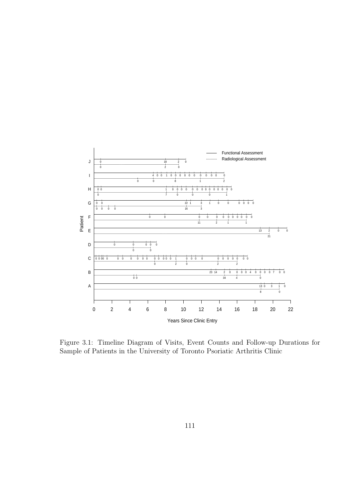

Figure 3.1: Timeline Diagram of Visits, Event Counts and Follow-up Durations for Sample of Patients in the University of Toronto Psoriatic Arthritis Clinic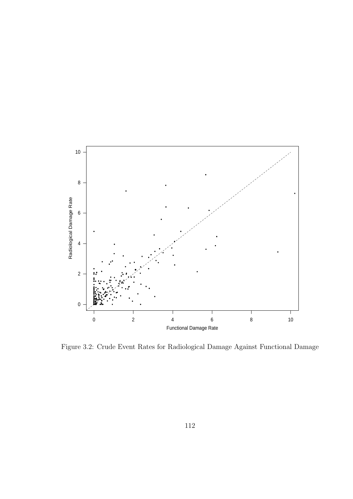

Figure 3.2: Crude Event Rates for Radiological Damage Against Functional Damage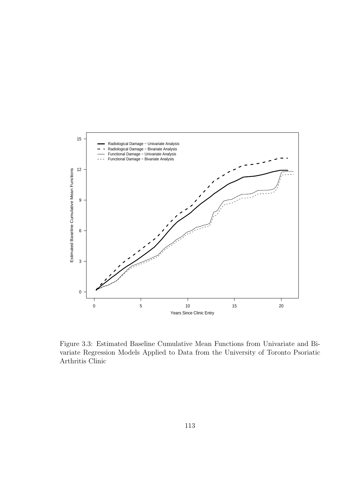

Figure 3.3: Estimated Baseline Cumulative Mean Functions from Univariate and Bivariate Regression Models Applied to Data from the University of Toronto Psoriatic Arthritis Clinic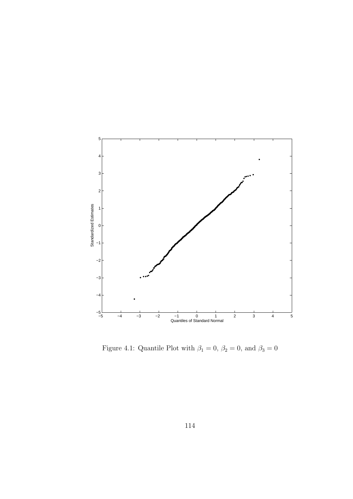

Figure 4.1: Quantile Plot with  $\beta_1=0,\,\beta_2=0,$  and  $\beta_3=0$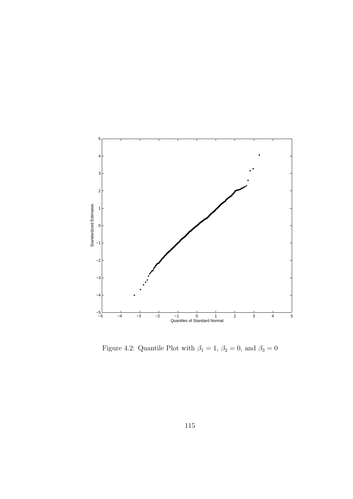

Figure 4.2: Quantile Plot with  $\beta_1 = 1$ ,  $\beta_2 = 0$ , and  $\beta_3 = 0$